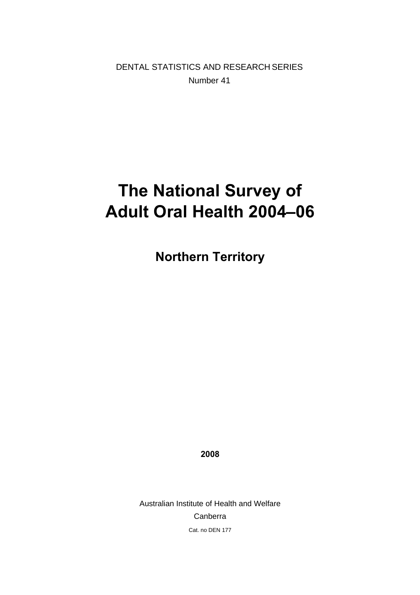DENTAL STATISTICS AND RESEARCH SERIES Number 41

# **The National Survey of Adult Oral Health 2004–06**

**Northern Territory** 

**2008** 

Australian Institute of Health and Welfare Canberra Cat. no DEN 177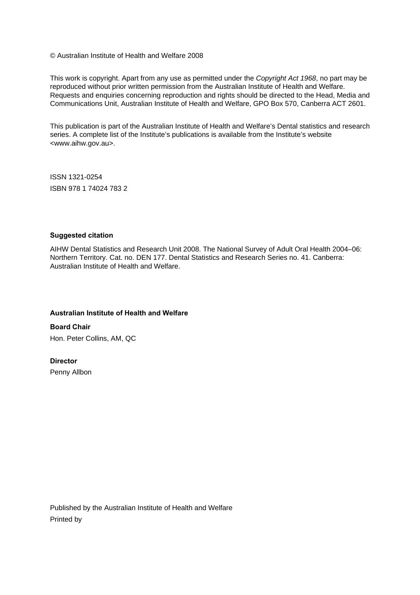© Australian Institute of Health and Welfare 2008

This work is copyright. Apart from any use as permitted under the *Copyright Act 1968*, no part may be reproduced without prior written permission from the Australian Institute of Health and Welfare. Requests and enquiries concerning reproduction and rights should be directed to the Head, Media and Communications Unit, Australian Institute of Health and Welfare, GPO Box 570, Canberra ACT 2601.

This publication is part of the Australian Institute of Health and Welfare's Dental statistics and research series. A complete list of the Institute's publications is available from the Institute's website <www.aihw.gov.au>.

ISSN 1321-0254 ISBN 978 1 74024 783 2

#### **Suggested citation**

AIHW Dental Statistics and Research Unit 2008. The National Survey of Adult Oral Health 2004–06: Northern Territory. Cat. no. DEN 177. Dental Statistics and Research Series no. 41. Canberra: Australian Institute of Health and Welfare.

#### **Australian Institute of Health and Welfare**

**Board Chair**  Hon. Peter Collins, AM, QC

#### **Director**

Penny Allbon

Published by the Australian Institute of Health and Welfare Printed by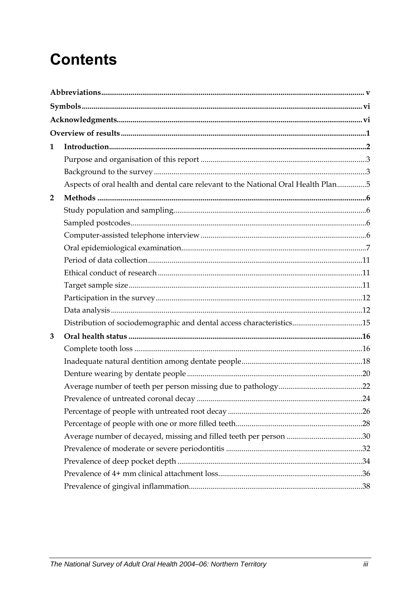# **Contents**

| 1              |                                                                                   |  |
|----------------|-----------------------------------------------------------------------------------|--|
|                |                                                                                   |  |
|                |                                                                                   |  |
|                | Aspects of oral health and dental care relevant to the National Oral Health Plan5 |  |
| $\overline{2}$ |                                                                                   |  |
|                |                                                                                   |  |
|                |                                                                                   |  |
|                |                                                                                   |  |
|                |                                                                                   |  |
|                |                                                                                   |  |
|                |                                                                                   |  |
|                |                                                                                   |  |
|                |                                                                                   |  |
|                |                                                                                   |  |
|                | Distribution of sociodemographic and dental access characteristics15              |  |
| 3              |                                                                                   |  |
|                |                                                                                   |  |
|                |                                                                                   |  |
|                |                                                                                   |  |
|                |                                                                                   |  |
|                |                                                                                   |  |
|                |                                                                                   |  |
|                |                                                                                   |  |
|                |                                                                                   |  |
|                |                                                                                   |  |
|                |                                                                                   |  |
|                |                                                                                   |  |
|                |                                                                                   |  |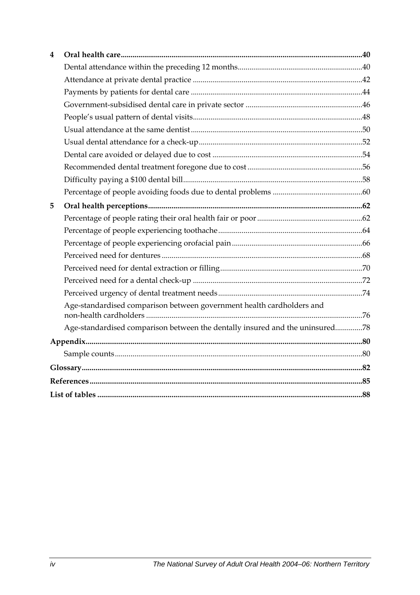| 4 |                                                                              |  |
|---|------------------------------------------------------------------------------|--|
|   |                                                                              |  |
|   |                                                                              |  |
|   |                                                                              |  |
|   |                                                                              |  |
|   |                                                                              |  |
|   |                                                                              |  |
|   |                                                                              |  |
|   |                                                                              |  |
|   |                                                                              |  |
|   |                                                                              |  |
|   |                                                                              |  |
| 5 |                                                                              |  |
|   |                                                                              |  |
|   |                                                                              |  |
|   |                                                                              |  |
|   |                                                                              |  |
|   |                                                                              |  |
|   |                                                                              |  |
|   |                                                                              |  |
|   | Age-standardised comparison between government health cardholders and        |  |
|   | Age-standardised comparison between the dentally insured and the uninsured78 |  |
|   |                                                                              |  |
|   |                                                                              |  |
|   |                                                                              |  |
|   |                                                                              |  |
|   |                                                                              |  |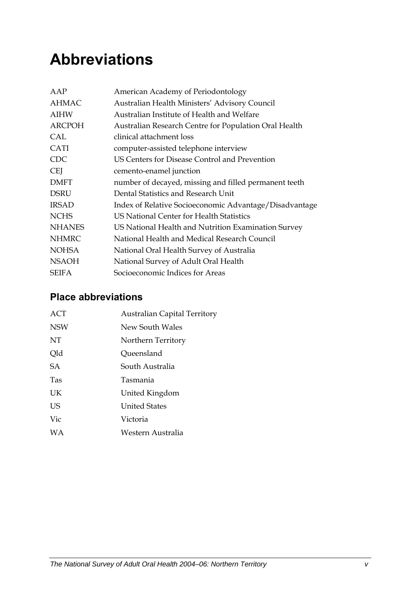# <span id="page-4-0"></span>**Abbreviations**

| AAP           | American Academy of Periodontology                     |
|---------------|--------------------------------------------------------|
| <b>AHMAC</b>  | Australian Health Ministers' Advisory Council          |
| <b>AIHW</b>   | Australian Institute of Health and Welfare             |
| <b>ARCPOH</b> | Australian Research Centre for Population Oral Health  |
| CAL           | clinical attachment loss                               |
| <b>CATI</b>   | computer-assisted telephone interview                  |
| <b>CDC</b>    | US Centers for Disease Control and Prevention          |
| <b>CEI</b>    | cemento-enamel junction                                |
| <b>DMFT</b>   | number of decayed, missing and filled permanent teeth  |
| <b>DSRU</b>   | Dental Statistics and Research Unit                    |
| <b>IRSAD</b>  | Index of Relative Socioeconomic Advantage/Disadvantage |
| <b>NCHS</b>   | US National Center for Health Statistics               |
| <b>NHANES</b> | US National Health and Nutrition Examination Survey    |
| <b>NHMRC</b>  | National Health and Medical Research Council           |
| <b>NOHSA</b>  | National Oral Health Survey of Australia               |
| <b>NSAOH</b>  | National Survey of Adult Oral Health                   |
| <b>SEIFA</b>  | Socioeconomic Indices for Areas                        |

### **Place abbreviations**

| ACT        | <b>Australian Capital Territory</b> |
|------------|-------------------------------------|
| <b>NSW</b> | New South Wales                     |
| NT         | Northern Territory                  |
| Qld        | Queensland                          |
| <b>SA</b>  | South Australia                     |
| <b>Tas</b> | Tasmania                            |
| UK         | United Kingdom                      |
| US         | <b>United States</b>                |
| Vic        | Victoria                            |
| <b>WA</b>  | Western Australia                   |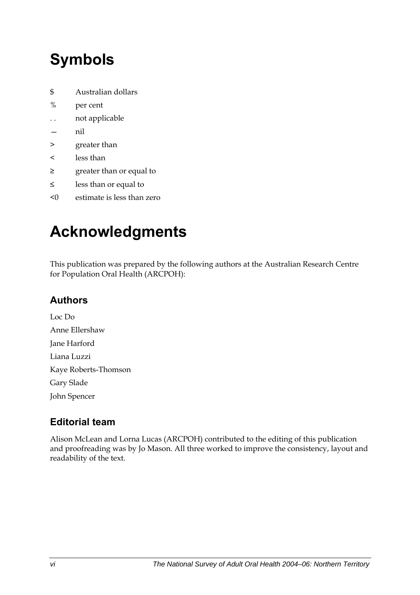# <span id="page-5-0"></span>**Symbols**

- \$ Australian dollars
- % per cent
- . . not applicable
- nil
- > greater than
- < less than
- ≥ greater than or equal to
- ≤ less than or equal to
- <0 estimate is less than zero

# **Acknowledgments**

This publication was prepared by the following authors at the Australian Research Centre for Population Oral Health (ARCPOH):

### **Authors**

Loc Do Anne Ellershaw Jane Harford Liana Luzzi Kaye Roberts-Thomson Gary Slade John Spencer

### **Editorial team**

Alison McLean and Lorna Lucas (ARCPOH) contributed to the editing of this publication and proofreading was by Jo Mason. All three worked to improve the consistency, layout and readability of the text.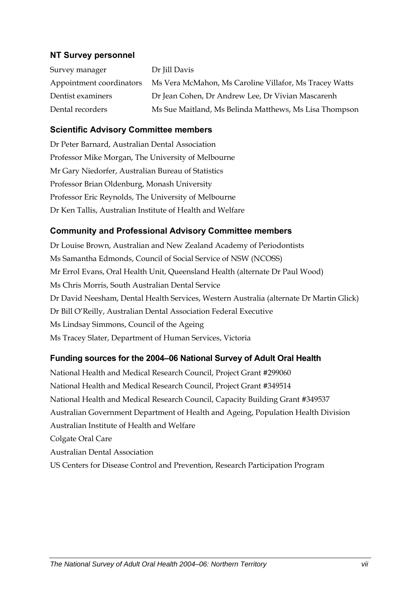#### **NT Survey personnel**

| Survey manager           | Dr Jill Davis                                          |
|--------------------------|--------------------------------------------------------|
| Appointment coordinators | Ms Vera McMahon, Ms Caroline Villafor, Ms Tracey Watts |
| Dentist examiners        | Dr Jean Cohen, Dr Andrew Lee, Dr Vivian Mascarenh      |
| Dental recorders         | Ms Sue Maitland, Ms Belinda Matthews, Ms Lisa Thompson |

#### **Scientific Advisory Committee members**

Dr Peter Barnard, Australian Dental Association Professor Mike Morgan, The University of Melbourne Mr Gary Niedorfer, Australian Bureau of Statistics Professor Brian Oldenburg, Monash University Professor Eric Reynolds, The University of Melbourne Dr Ken Tallis, Australian Institute of Health and Welfare

#### **Community and Professional Advisory Committee members**

Dr Louise Brown, Australian and New Zealand Academy of Periodontists Ms Samantha Edmonds, Council of Social Service of NSW (NCOSS) Mr Errol Evans, Oral Health Unit, Queensland Health (alternate Dr Paul Wood) Ms Chris Morris, South Australian Dental Service Dr David Neesham, Dental Health Services, Western Australia (alternate Dr Martin Glick) Dr Bill O'Reilly, Australian Dental Association Federal Executive Ms Lindsay Simmons, Council of the Ageing Ms Tracey Slater, Department of Human Services, Victoria

#### **Funding sources for the 2004–06 National Survey of Adult Oral Health**

National Health and Medical Research Council, Project Grant #299060 National Health and Medical Research Council, Project Grant #349514 National Health and Medical Research Council, Capacity Building Grant #349537 Australian Government Department of Health and Ageing, Population Health Division Australian Institute of Health and Welfare Colgate Oral Care Australian Dental Association US Centers for Disease Control and Prevention, Research Participation Program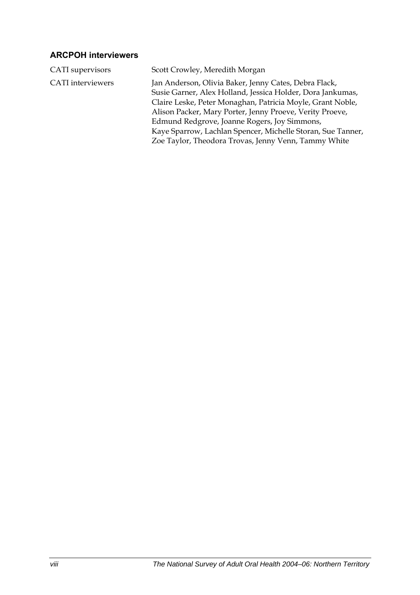### **ARCPOH interviewers**

| CATI supervisors         | Scott Crowley, Meredith Morgan                                                                                                                                                                                                                                                                                                                                                                                       |
|--------------------------|----------------------------------------------------------------------------------------------------------------------------------------------------------------------------------------------------------------------------------------------------------------------------------------------------------------------------------------------------------------------------------------------------------------------|
| <b>CATI</b> interviewers | Jan Anderson, Olivia Baker, Jenny Cates, Debra Flack,<br>Susie Garner, Alex Holland, Jessica Holder, Dora Jankumas,<br>Claire Leske, Peter Monaghan, Patricia Moyle, Grant Noble,<br>Alison Packer, Mary Porter, Jenny Proeve, Verity Proeve,<br>Edmund Redgrove, Joanne Rogers, Joy Simmons,<br>Kaye Sparrow, Lachlan Spencer, Michelle Storan, Sue Tanner,<br>Zoe Taylor, Theodora Trovas, Jenny Venn, Tammy White |
|                          |                                                                                                                                                                                                                                                                                                                                                                                                                      |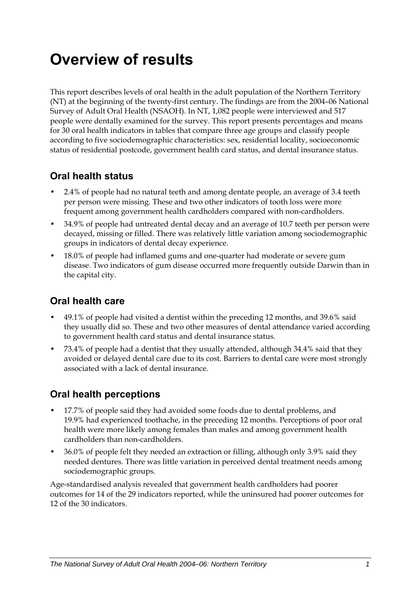# <span id="page-8-0"></span>**Overview of results**

This report describes levels of oral health in the adult population of the Northern Territory (NT) at the beginning of the twenty-first century. The findings are from the 2004–06 National Survey of Adult Oral Health (NSAOH). In NT, 1,082 people were interviewed and 517 people were dentally examined for the survey. This report presents percentages and means for 30 oral health indicators in tables that compare three age groups and classify people according to five sociodemographic characteristics: sex, residential locality, socioeconomic status of residential postcode, government health card status, and dental insurance status.

### **Oral health status**

- 2.4% of people had no natural teeth and among dentate people, an average of 3.4 teeth per person were missing. These and two other indicators of tooth loss were more frequent among government health cardholders compared with non-cardholders.
- 34.9% of people had untreated dental decay and an average of 10.7 teeth per person were decayed, missing or filled. There was relatively little variation among sociodemographic groups in indicators of dental decay experience.
- 18.0% of people had inflamed gums and one-quarter had moderate or severe gum disease. Two indicators of gum disease occurred more frequently outside Darwin than in the capital city.

### **Oral health care**

- 49.1% of people had visited a dentist within the preceding 12 months, and 39.6% said they usually did so. These and two other measures of dental attendance varied according to government health card status and dental insurance status.
- 73.4% of people had a dentist that they usually attended, although 34.4% said that they avoided or delayed dental care due to its cost. Barriers to dental care were most strongly associated with a lack of dental insurance.

### **Oral health perceptions**

- 17.7% of people said they had avoided some foods due to dental problems, and 19.9% had experienced toothache, in the preceding 12 months. Perceptions of poor oral health were more likely among females than males and among government health cardholders than non-cardholders.
- 36.0% of people felt they needed an extraction or filling, although only 3.9% said they needed dentures. There was little variation in perceived dental treatment needs among sociodemographic groups.

Age-standardised analysis revealed that government health cardholders had poorer outcomes for 14 of the 29 indicators reported, while the uninsured had poorer outcomes for 12 of the 30 indicators.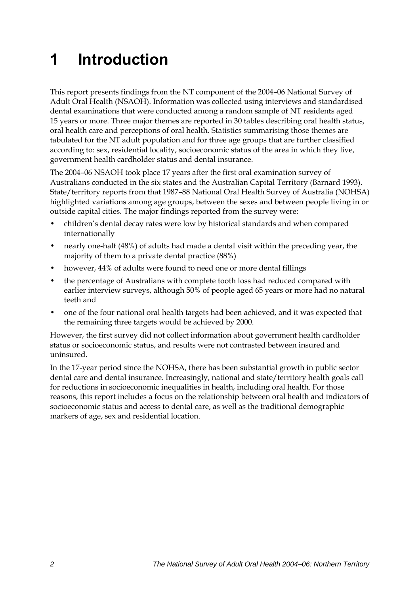# <span id="page-9-0"></span>**1 Introduction**

<span id="page-9-1"></span>This report presents findings from the NT component of the 2004–06 National Survey of Adult Oral Health (NSAOH). Information was collected using interviews and standardised dental examinations that were conducted among a random sample of NT residents aged 15 years or more. Three major themes are reported in 30 tables describing oral health status, oral health care and perceptions of oral health. Statistics summarising those themes are tabulated for the [NT](#page-9-1) adult population and for three age groups that are further classified according to: sex, residential locality, socioeconomic status of the area in which they live, government health cardholder status and dental insurance.

The 2004–06 NSAOH took place 17 years after the first oral examination survey of Australians conducted in the six states and the Australian Capital Territory (Barnard 1993). State/territory reports from that 1987-88 National Oral Health Survey of Australia (NOHSA) highlighted variations among age groups, between the sexes and between people living in or outside capital cities. The major findings reported from the survey were:

- children's dental decay rates were low by historical standards and when compared internationally
- nearly one-half (48%) of adults had made a dental visit within the preceding year, the majority of them to a private dental practice (88%)
- however, 44% of adults were found to need one or more dental fillings
- the percentage of Australians with complete tooth loss had reduced compared with earlier interview surveys, although 50% of people aged 65 years or more had no natural teeth and
- one of the four national oral health targets had been achieved, and it was expected that the remaining three targets would be achieved by 2000.

However, the first survey did not collect information about government health cardholder status or socioeconomic status, and results were not contrasted between insured and uninsured.

In the 17-year period since the NOHSA, there has been substantial growth in public sector dental care and dental insurance. Increasingly, national and state/territory health goals call for reductions in socioeconomic inequalities in health, including oral health. For those reasons, this report includes a focus on the relationship between oral health and indicators of socioeconomic status and access to dental care, as well as the traditional demographic markers of age, sex and residential location.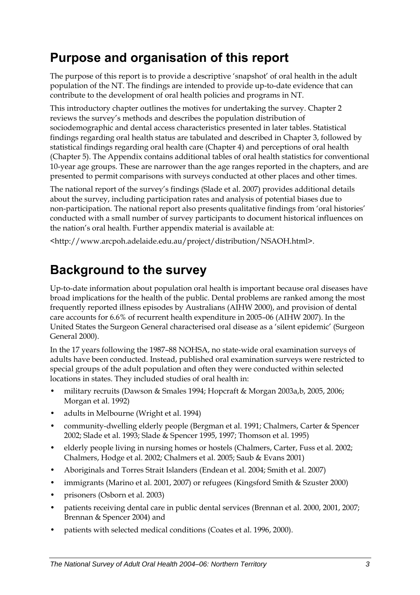# <span id="page-10-0"></span>**Purpose and organisation of this report**

The purpose of this report is to provide a descriptive 'snapshot' of oral health in the adult population of the [NT.](#page-9-1) The findings are intended to provide up-to-date evidence that can contribute to the development of oral health policies and programs in NT.

This introductory chapter outlines the motives for undertaking the survey. Chapter 2 reviews the survey's methods and describes the population distribution of sociodemographic and dental access characteristics presented in later tables. Statistical findings regarding oral health status are tabulated and described in Chapter 3, followed by statistical findings regarding oral health care (Chapter 4) and perceptions of oral health (Chapter 5). The Appendix contains additional tables of oral health statistics for conventional 10-year age groups. These are narrower than the age ranges reported in the chapters, and are presented to permit comparisons with surveys conducted at other places and other times.

The national report of the survey's findings (Slade et al. 2007) provides additional details about the survey, including participation rates and analysis of potential biases due to non-participation. The national report also presents qualitative findings from 'oral histories' conducted with a small number of survey participants to document historical influences on the nation's oral health. Further appendix material is available at:

<http://www.arcpoh.adelaide.edu.au/project/distribution/NSAOH.html>.

# **Background to the survey**

Up-to-date information about population oral health is important because oral diseases have broad implications for the health of the public. Dental problems are ranked among the most frequently reported illness episodes by Australians (AIHW 2000), and provision of dental care accounts for 6.6% of recurrent health expenditure in 2005–06 (AIHW 2007). In the United States the Surgeon General characterised oral disease as a 'silent epidemic' (Surgeon General 2000).

In the 17 years following the 1987–88 NOHSA, no state-wide oral examination surveys of adults have been conducted. Instead, published oral examination surveys were restricted to special groups of the adult population and often they were conducted within selected locations in states. They included studies of oral health in:

- military recruits (Dawson & Smales 1994; Hopcraft & Morgan 2003a,b, 2005, 2006; Morgan et al. 1992)
- adults in Melbourne (Wright et al. 1994)
- community-dwelling elderly people (Bergman et al. 1991; Chalmers, Carter & Spencer 2002; Slade et al. 1993; Slade & Spencer 1995, 1997; Thomson et al. 1995)
- elderly people living in nursing homes or hostels (Chalmers, Carter, Fuss et al. 2002; Chalmers, Hodge et al. 2002; Chalmers et al. 2005; Saub & Evans 2001)
- Aboriginals and Torres Strait Islanders (Endean et al. 2004; Smith et al. 2007)
- immigrants (Marino et al. 2001, 2007) or refugees (Kingsford Smith & Szuster 2000)
- prisoners (Osborn et al. 2003)
- patients receiving dental care in public dental services (Brennan et al. 2000, 2001, 2007; Brennan & Spencer 2004) and
- patients with selected medical conditions (Coates et al. 1996, 2000).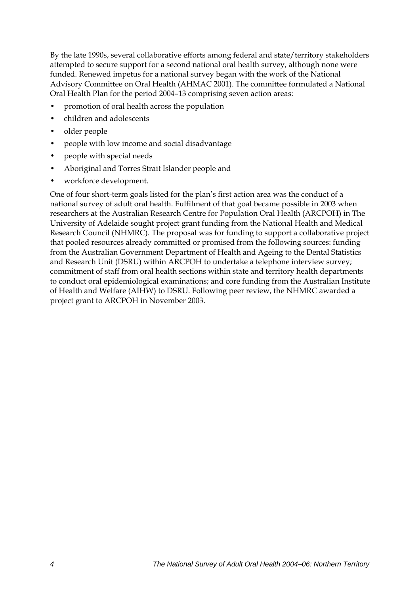By the late 1990s, several collaborative efforts among federal and state/territory stakeholders attempted to secure support for a second national oral health survey, although none were funded. Renewed impetus for a national survey began with the work of the National Advisory Committee on Oral Health (AHMAC 2001). The committee formulated a National Oral Health Plan for the period 2004–13 comprising seven action areas:

- promotion of oral health across the population
- children and adolescents
- older people
- people with low income and social disadvantage
- people with special needs
- Aboriginal and Torres Strait Islander people and
- workforce development.

One of four short-term goals listed for the plan's first action area was the conduct of a national survey of adult oral health. Fulfilment of that goal became possible in 2003 when researchers at the Australian Research Centre for Population Oral Health (ARCPOH) in The University of Adelaide sought project grant funding from the National Health and Medical Research Council (NHMRC). The proposal was for funding to support a collaborative project that pooled resources already committed or promised from the following sources: funding from the Australian Government Department of Health and Ageing to the Dental Statistics and Research Unit (DSRU) within ARCPOH to undertake a telephone interview survey; commitment of staff from oral health sections within state and territory health departments to conduct oral epidemiological examinations; and core funding from the Australian Institute of Health and Welfare (AIHW) to DSRU. Following peer review, the NHMRC awarded a project grant to ARCPOH in November 2003.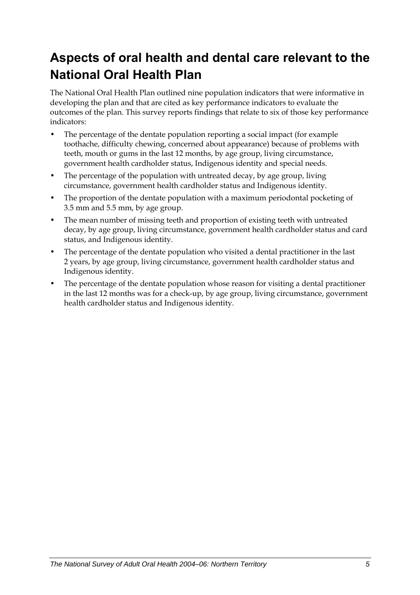# <span id="page-12-0"></span>**Aspects of oral health and dental care relevant to the National Oral Health Plan**

The National Oral Health Plan outlined nine population indicators that were informative in developing the plan and that are cited as key performance indicators to evaluate the outcomes of the plan. This survey reports findings that relate to six of those key performance indicators:

- The percentage of the dentate population reporting a social impact (for example toothache, difficulty chewing, concerned about appearance) because of problems with teeth, mouth or gums in the last 12 months, by age group, living circumstance, government health cardholder status, Indigenous identity and special needs.
- The percentage of the population with untreated decay, by age group, living circumstance, government health cardholder status and Indigenous identity.
- The proportion of the dentate population with a maximum periodontal pocketing of 3.5 mm and 5.5 mm, by age group.
- The mean number of missing teeth and proportion of existing teeth with untreated decay, by age group, living circumstance, government health cardholder status and card status, and Indigenous identity.
- The percentage of the dentate population who visited a dental practitioner in the last 2 years, by age group, living circumstance, government health cardholder status and Indigenous identity.
- The percentage of the dentate population whose reason for visiting a dental practitioner in the last 12 months was for a check-up, by age group, living circumstance, government health cardholder status and Indigenous identity.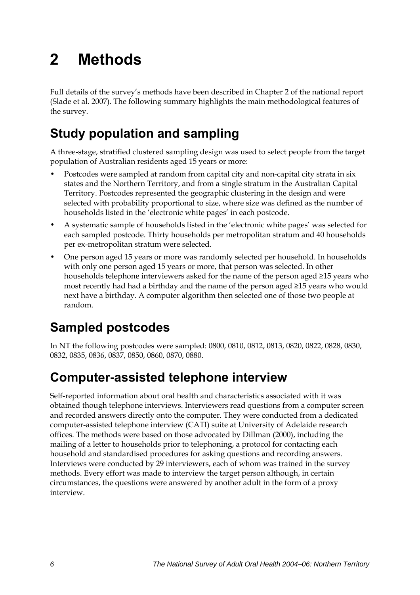# <span id="page-13-0"></span>**2 Methods**

Full details of the survey's methods have been described in Chapter 2 of the national report (Slade et al. 2007). The following summary highlights the main methodological features of the survey.

# **Study population and sampling**

A three-stage, stratified clustered sampling design was used to select people from the target population of Australian residents aged 15 years or more:

- Postcodes were sampled at random from capital city and non-capital city strata in six states and the Northern Territory, and from a single stratum in the Australian Capital Territory. Postcodes represented the geographic clustering in the design and were selected with probability proportional to size, where size was defined as the number of households listed in the 'electronic white pages' in each postcode.
- A systematic sample of households listed in the 'electronic white pages' was selected for each sampled postcode. Thirty households per metropolitan stratum and 40 households per ex-metropolitan stratum were selected.
- One person aged 15 years or more was randomly selected per household. In households with only one person aged 15 years or more, that person was selected. In other households telephone interviewers asked for the name of the person aged ≥15 years who most recently had had a birthday and the name of the person aged ≥15 years who would next have a birthday. A computer algorithm then selected one of those two people at random.

# **Sampled postcodes**

In NT the following postcodes were sampled: 0800, 0810, 0812, 0813, 0820, 0822, 0828, 0830, 0832, 0835, 0836, 0837, 0850, 0860, 0870, 0880.

## **Computer-assisted telephone interview**

Self-reported information about oral health and characteristics associated with it was obtained though telephone interviews. Interviewers read questions from a computer screen and recorded answers directly onto the computer. They were conducted from a dedicated computer-assisted telephone interview (CATI) suite at University of Adelaide research offices. The methods were based on those advocated by Dillman (2000), including the mailing of a letter to households prior to telephoning, a protocol for contacting each household and standardised procedures for asking questions and recording answers. Interviews were conducted by 29 interviewers, each of whom was trained in the survey methods. Every effort was made to interview the target person although, in certain circumstances, the questions were answered by another adult in the form of a proxy interview.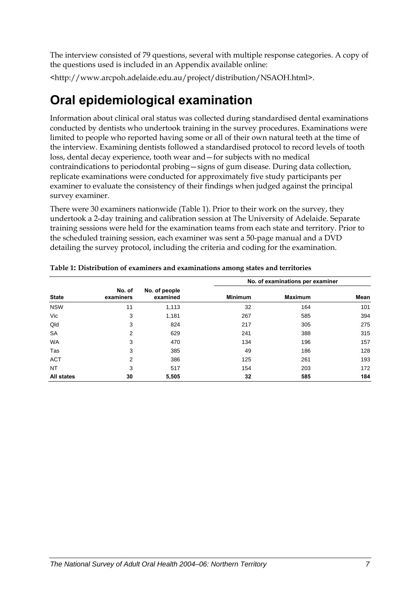<span id="page-14-0"></span>The interview consisted of 79 questions, several with multiple response categories. A copy of the questions used is included in an Appendix available online:

<http://www.arcpoh.adelaide.edu.au/project/distribution/NSAOH.html>.

# **Oral epidemiological examination**

Information about clinical oral status was collected during standardised dental examinations conducted by dentists who undertook training in the survey procedures. Examinations were limited to people who reported having some or all of their own natural teeth at the time of the interview. Examining dentists followed a standardised protocol to record levels of tooth loss, dental decay experience, tooth wear and—for subjects with no medical contraindications to periodontal probing—signs of gum disease. During data collection, replicate examinations were conducted for approximately five study participants per examiner to evaluate the consistency of their findings when judged against the principal survey examiner.

There were 30 examiners nationwide ([Table 1\)](#page-14-1). Prior to their work on the survey, they undertook a 2-day training and calibration session at The University of Adelaide. Separate training sessions were held for the examination teams from each state and territory. Prior to the scheduled training session, each examiner was sent a 50-page manual and a DVD detailing the survey protocol, including the criteria and coding for the examination.

|                   |                     |                           |                | No. of examinations per examiner |      |
|-------------------|---------------------|---------------------------|----------------|----------------------------------|------|
| <b>State</b>      | No. of<br>examiners | No. of people<br>examined | <b>Minimum</b> | <b>Maximum</b>                   | Mean |
| <b>NSW</b>        | 11                  | 1,113                     | 32             | 164                              | 101  |
| Vic               | 3                   | 1,181                     | 267            | 585                              | 394  |
| Qld               | 3                   | 824                       | 217            | 305                              | 275  |
| <b>SA</b>         | 2                   | 629                       | 241            | 388                              | 315  |
| <b>WA</b>         | 3                   | 470                       | 134            | 196                              | 157  |
| Tas               | 3                   | 385                       | 49             | 186                              | 128  |
| <b>ACT</b>        | 2                   | 386                       | 125            | 261                              | 193  |
| NT                | 3                   | 517                       | 154            | 203                              | 172  |
| <b>All states</b> | 30                  | 5,505                     | 32             | 585                              | 184  |

<span id="page-14-1"></span>**Table 1: Distribution of examiners and examinations among states and territories**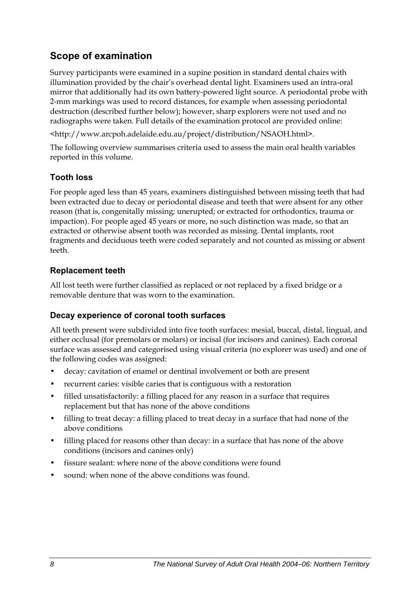### **Scope of examination**

Survey participants were examined in a supine position in standard dental chairs with illumination provided by the chair's overhead dental light. Examiners used an intra-oral mirror that additionally had its own battery-powered light source. A periodontal probe with 2-mm markings was used to record distances, for example when assessing periodontal destruction (described further below); however, sharp explorers were not used and no radiographs were taken. Full details of the examination protocol are provided online:

<http://www.arcpoh.adelaide.edu.au/project/distribution/NSAOH.html>.

The following overview summarises criteria used to assess the main oral health variables reported in this volume.

#### **Tooth loss**

For people aged less than 45 years, examiners distinguished between missing teeth that had been extracted due to decay or periodontal disease and teeth that were absent for any other reason (that is, congenitally missing; unerupted; or extracted for orthodontics, trauma or impaction). For people aged 45 years or more, no such distinction was made, so that an extracted or otherwise absent tooth was recorded as missing. Dental implants, root fragments and deciduous teeth were coded separately and not counted as missing or absent teeth.

#### **Replacement teeth**

All lost teeth were further classified as replaced or not replaced by a fixed bridge or a removable denture that was worn to the examination.

#### **Decay experience of coronal tooth surfaces**

All teeth present were subdivided into five tooth surfaces: mesial, buccal, distal, lingual, and either occlusal (for premolars or molars) or incisal (for incisors and canines). Each coronal surface was assessed and categorised using visual criteria (no explorer was used) and one of the following codes was assigned:

- decay: cavitation of enamel or dentinal involvement or both are present
- recurrent caries: visible caries that is contiguous with a restoration
- filled unsatisfactorily: a filling placed for any reason in a surface that requires replacement but that has none of the above conditions
- filling to treat decay: a filling placed to treat decay in a surface that had none of the above conditions
- filling placed for reasons other than decay: in a surface that has none of the above conditions (incisors and canines only)
- fissure sealant: where none of the above conditions were found
- sound: when none of the above conditions was found.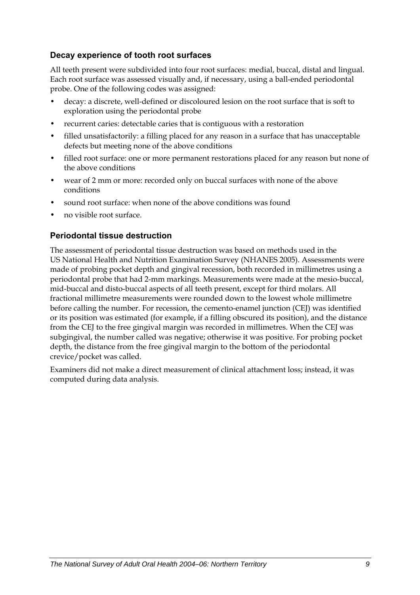#### **Decay experience of tooth root surfaces**

All teeth present were subdivided into four root surfaces: medial, buccal, distal and lingual. Each root surface was assessed visually and, if necessary, using a ball-ended periodontal probe. One of the following codes was assigned:

- decay: a discrete, well-defined or discoloured lesion on the root surface that is soft to exploration using the periodontal probe
- recurrent caries: detectable caries that is contiguous with a restoration
- filled unsatisfactorily: a filling placed for any reason in a surface that has unacceptable defects but meeting none of the above conditions
- filled root surface: one or more permanent restorations placed for any reason but none of the above conditions
- wear of 2 mm or more: recorded only on buccal surfaces with none of the above conditions
- sound root surface: when none of the above conditions was found
- no visible root surface.

#### **Periodontal tissue destruction**

The assessment of periodontal tissue destruction was based on methods used in the US National Health and Nutrition Examination Survey (NHANES 2005). Assessments were made of probing pocket depth and gingival recession, both recorded in millimetres using a periodontal probe that had 2-mm markings. Measurements were made at the mesio-buccal, mid-buccal and disto-buccal aspects of all teeth present, except for third molars. All fractional millimetre measurements were rounded down to the lowest whole millimetre before calling the number. For recession, the cemento-enamel junction (CEJ) was identified or its position was estimated (for example, if a filling obscured its position), and the distance from the CEJ to the free gingival margin was recorded in millimetres. When the CEJ was subgingival, the number called was negative; otherwise it was positive. For probing pocket depth, the distance from the free gingival margin to the bottom of the periodontal crevice/pocket was called.

Examiners did not make a direct measurement of clinical attachment loss; instead, it was computed during data analysis.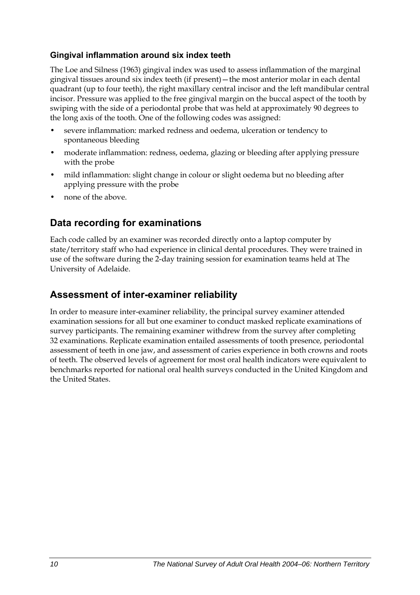#### **Gingival inflammation around six index teeth**

The Loe and Silness (1963) gingival index was used to assess inflammation of the marginal gingival tissues around six index teeth (if present)—the most anterior molar in each dental quadrant (up to four teeth), the right maxillary central incisor and the left mandibular central incisor. Pressure was applied to the free gingival margin on the buccal aspect of the tooth by swiping with the side of a periodontal probe that was held at approximately 90 degrees to the long axis of the tooth. One of the following codes was assigned:

- severe inflammation: marked redness and oedema, ulceration or tendency to spontaneous bleeding
- moderate inflammation: redness, oedema, glazing or bleeding after applying pressure with the probe
- mild inflammation: slight change in colour or slight oedema but no bleeding after applying pressure with the probe
- none of the above.

### **Data recording for examinations**

Each code called by an examiner was recorded directly onto a laptop computer by state/territory staff who had experience in clinical dental procedures. They were trained in use of the software during the 2-day training session for examination teams held at The University of Adelaide.

### **Assessment of inter-examiner reliability**

In order to measure inter-examiner reliability, the principal survey examiner attended examination sessions for all but one examiner to conduct masked replicate examinations of survey participants. The remaining examiner withdrew from the survey after completing 32 examinations. Replicate examination entailed assessments of tooth presence, periodontal assessment of teeth in one jaw, and assessment of caries experience in both crowns and roots of teeth. The observed levels of agreement for most oral health indicators were equivalent to benchmarks reported for national oral health surveys conducted in the United Kingdom and the United States.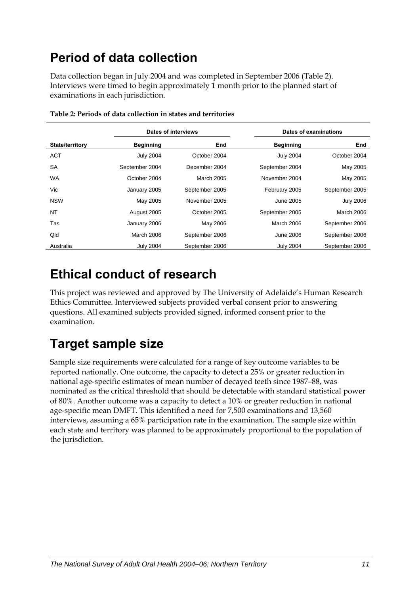# <span id="page-18-0"></span>**Period of data collection**

Data collection began in July 2004 and was completed in September 2006 (Table 2). Interviews were timed to begin approximately 1 month prior to the planned start of examinations in each jurisdiction.

|                        | Dates of interviews |                |                  | Dates of examinations |  |
|------------------------|---------------------|----------------|------------------|-----------------------|--|
| <b>State/territory</b> | <b>Beginning</b>    | End            | <b>Beginning</b> | End                   |  |
| <b>ACT</b>             | <b>July 2004</b>    | October 2004   | <b>July 2004</b> | October 2004          |  |
| <b>SA</b>              | September 2004      | December 2004  | September 2004   | May 2005              |  |
| <b>WA</b>              | October 2004        | March 2005     | November 2004    | May 2005              |  |
| Vic                    | January 2005        | September 2005 | February 2005    | September 2005        |  |
| <b>NSW</b>             | May 2005            | November 2005  | <b>June 2005</b> | <b>July 2006</b>      |  |
| <b>NT</b>              | August 2005         | October 2005   | September 2005   | <b>March 2006</b>     |  |
| Tas                    | January 2006        | May 2006       | March 2006       | September 2006        |  |
| Qld                    | March 2006          | September 2006 | <b>June 2006</b> | September 2006        |  |
| Australia              | <b>July 2004</b>    | September 2006 | <b>July 2004</b> | September 2006        |  |

**Table 2: Periods of data collection in states and territories** 

## **Ethical conduct of research**

This project was reviewed and approved by The University of Adelaide's Human Research Ethics Committee. Interviewed subjects provided verbal consent prior to answering questions. All examined subjects provided signed, informed consent prior to the examination.

# **Target sample size**

Sample size requirements were calculated for a range of key outcome variables to be reported nationally. One outcome, the capacity to detect a 25% or greater reduction in national age-specific estimates of mean number of decayed teeth since 1987–88, was nominated as the critical threshold that should be detectable with standard statistical power of 80%. Another outcome was a capacity to detect a 10% or greater reduction in national age-specific mean DMFT. This identified a need for 7,500 examinations and 13,560 interviews, assuming a 65% participation rate in the examination. The sample size within each state and territory was planned to be approximately proportional to the population of the jurisdiction.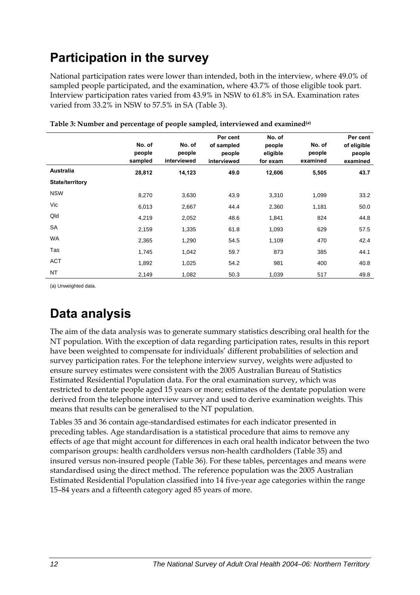# <span id="page-19-0"></span>**Participation in the survey**

National participation rates were lower than intended, both in the interview, where 49.0% of sampled people participated, and the examination, where 43.7% of those eligible took part. Interview participation rates varied from 43.9% in NSW to 61.8% in SA. Examination rates varied from 33.2% in NSW to 57.5% in SA [\(Table 3](#page-19-1)).

<span id="page-19-1"></span>

|                        | No. of<br>people<br>sampled | No. of<br>people<br>interviewed | Per cent<br>of sampled<br>people<br>interviewed | No. of<br>people<br>eligible<br>for exam | No. of<br>people<br>examined | Per cent<br>of eligible<br>people<br>examined |
|------------------------|-----------------------------|---------------------------------|-------------------------------------------------|------------------------------------------|------------------------------|-----------------------------------------------|
| Australia              | 28,812                      | 14,123                          | 49.0                                            | 12,606                                   | 5,505                        | 43.7                                          |
| <b>State/territory</b> |                             |                                 |                                                 |                                          |                              |                                               |
| <b>NSW</b>             | 8,270                       | 3,630                           | 43.9                                            | 3,310                                    | 1,099                        | 33.2                                          |
| Vic                    | 6,013                       | 2,667                           | 44.4                                            | 2,360                                    | 1,181                        | 50.0                                          |
| Qld                    | 4,219                       | 2,052                           | 48.6                                            | 1,841                                    | 824                          | 44.8                                          |
| <b>SA</b>              | 2,159                       | 1,335                           | 61.8                                            | 1,093                                    | 629                          | 57.5                                          |
| <b>WA</b>              | 2,365                       | 1,290                           | 54.5                                            | 1,109                                    | 470                          | 42.4                                          |
| Tas                    | 1,745                       | 1,042                           | 59.7                                            | 873                                      | 385                          | 44.1                                          |
| <b>ACT</b>             | 1,892                       | 1,025                           | 54.2                                            | 981                                      | 400                          | 40.8                                          |
| <b>NT</b>              | 2,149                       | 1,082                           | 50.3                                            | 1,039                                    | 517                          | 49.8                                          |

**Table 3: Number and percentage of people sampled, interviewed and examined(a)** 

(a) Unweighted data.

# **Data analysis**

The aim of the data analysis was to generate summary statistics describing oral health for the [NT](#page-9-1) population. With the exception of data regarding participation rates, results in this report have been weighted to compensate for individuals' different probabilities of selection and survey participation rates. For the telephone interview survey, weights were adjusted to ensure survey estimates were consistent with the 2005 Australian Bureau of Statistics Estimated Residential Population data. For the oral examination survey, which was restricted to dentate people aged 15 years or more; estimates of the dentate population were derived from the telephone interview survey and used to derive examination weights. This means that results can be generalised to the [NT](#page-9-1) population.

Tables 35 and 36 contain age-standardised estimates for each indicator presented in preceding tables. Age standardisation is a statistical procedure that aims to remove any effects of age that might account for differences in each oral health indicator between the two comparison groups: health cardholders versus non-health cardholders (Table 35) and insured versus non-insured people (Table 36). For these tables, percentages and means were standardised using the direct method. The reference population was the 2005 Australian Estimated Residential Population classified into 14 five-year age categories within the range 15–84 years and a fifteenth category aged 85 years of more.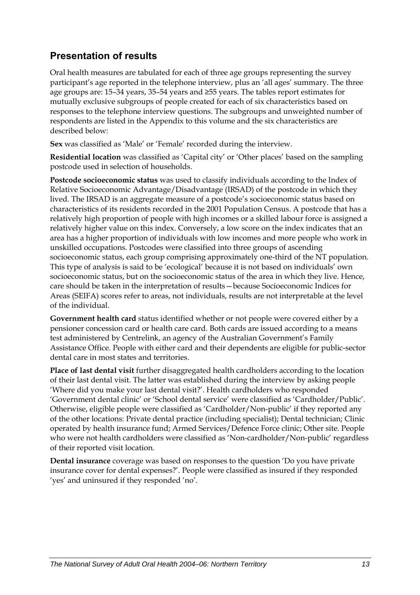### **Presentation of results**

Oral health measures are tabulated for each of three age groups representing the survey participant's age reported in the telephone interview, plus an 'all ages' summary. The three age groups are: 15–34 years, 35–54 years and ≥55 years. The tables report estimates for mutually exclusive subgroups of people created for each of six characteristics based on responses to the telephone interview questions. The subgroups and unweighted number of respondents are listed in the Appendix to this volume and the six characteristics are described below:

**Sex** was classified as 'Male' or 'Female' recorded during the interview.

**Residential location** was classified as 'Capital city' or 'Other places' based on the sampling postcode used in selection of households.

**Postcode socioeconomic status** was used to classify individuals according to the Index of Relative Socioeconomic Advantage/Disadvantage (IRSAD) of the postcode in which they lived. The IRSAD is an aggregate measure of a postcode's socioeconomic status based on characteristics of its residents recorded in the 2001 Population Census. A postcode that has a relatively high proportion of people with high incomes or a skilled labour force is assigned a relatively higher value on this index. Conversely, a low score on the index indicates that an area has a higher proportion of individuals with low incomes and more people who work in unskilled occupations. Postcodes were classified into three groups of ascending socioeconomic status, each group comprising approximately one-third of the NT population. This type of analysis is said to be 'ecological' because it is not based on individuals' own socioeconomic status, but on the socioeconomic status of the area in which they live. Hence, care should be taken in the interpretation of results—because Socioeconomic Indices for Areas (SEIFA) scores refer to areas, not individuals, results are not interpretable at the level of the individual.

**Government health card** status identified whether or not people were covered either by a pensioner concession card or health care card. Both cards are issued according to a means test administered by Centrelink, an agency of the Australian Government's Family Assistance Office. People with either card and their dependents are eligible for public-sector dental care in most states and territories.

**Place of last dental visit** further disaggregated health cardholders according to the location of their last dental visit. The latter was established during the interview by asking people 'Where did you make your last dental visit?'. Health cardholders who responded 'Government dental clinic' or 'School dental service' were classified as 'Cardholder/Public'. Otherwise, eligible people were classified as 'Cardholder/Non-public' if they reported any of the other locations: Private dental practice (including specialist); Dental technician; Clinic operated by health insurance fund; Armed Services/Defence Force clinic; Other site. People who were not health cardholders were classified as 'Non-cardholder/Non-public' regardless of their reported visit location.

**Dental insurance** coverage was based on responses to the question 'Do you have private insurance cover for dental expenses?'. People were classified as insured if they responded 'yes' and uninsured if they responded 'no'.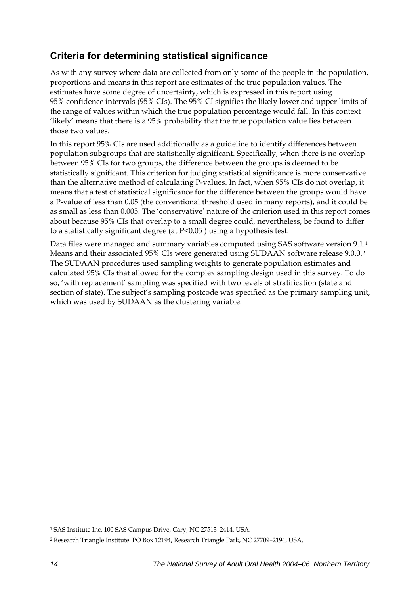### <span id="page-21-0"></span>**Criteria for determining statistical significance**

As with any survey where data are collected from only some of the people in the population, proportions and means in this report are estimates of the true population values. The estimates have some degree of uncertainty, which is expressed in this report using 95% confidence intervals (95% CIs). The 95% CI signifies the likely lower and upper limits of the range of values within which the true population percentage would fall. In this context 'likely' means that there is a 95% probability that the true population value lies between those two values.

In this report 95% CIs are used additionally as a guideline to identify differences between population subgroups that are statistically significant. Specifically, when there is no overlap between 95% CIs for two groups, the difference between the groups is deemed to be statistically significant. This criterion for judging statistical significance is more conservative than the alternative method of calculating P-values. In fact, when 95% CIs do not overlap, it means that a test of statistical significance for the difference between the groups would have a P-value of less than 0.05 (the conventional threshold used in many reports), and it could be as small as less than 0.005. The 'conservative' nature of the criterion used in this report comes about because 95% CIs that overlap to a small degree could, nevertheless, be found to differ to a statistically significant degree (at P<0.05 ) using a hypothesis test.

Data files were managed and summary variables computed using SAS software version 9[.1](#page-21-0).<sup>1</sup> Means and their associated 95% CIs were generated using SUDAAN software release 9.0.0.[2](#page-21-0) The SUDAAN procedures used sampling weights to generate population estimates and calculated 95% CIs that allowed for the complex sampling design used in this survey. To do so, 'with replacement' sampling was specified with two levels of stratification (state and section of state). The subject's sampling postcode was specified as the primary sampling unit, which was used by SUDAAN as the clustering variable.

 $\overline{a}$ 

<sup>1</sup> SAS Institute Inc. 100 SAS Campus Drive, Cary, NC 27513–2414, USA.

<sup>2</sup> Research Triangle Institute. PO Box 12194, Research Triangle Park, NC 27709–2194, USA.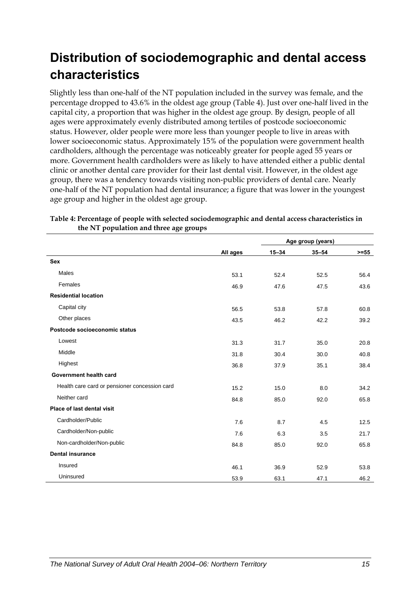# <span id="page-22-0"></span>**Distribution of sociodemographic and dental access characteristics**

Slightly less than one-half of the [NT](#page-9-1) population included in the survey was female, and the percentage dropped to 43.6% in the oldest age group ([Table 4\)](#page-22-1). Just over one-half lived in the capital city, a proportion that was higher in the oldest age group. By design, people of all ages were approximately evenly distributed among tertiles of postcode socioeconomic status. However, older people were more less than younger people to live in areas with lower socioeconomic status. Approximately 15% of the population were government health cardholders, although the percentage was noticeably greater for people aged 55 years or more. Government health cardholders were as likely to have attended either a public dental clinic or another dental care provider for their last dental visit. However, in the oldest age group, there was a tendency towards visiting non-public providers of dental care. Nearly one-half of the [NT](#page-9-1) population had dental insurance; a figure that was lower in the youngest age group and higher in the oldest age group.

|                                               |          | Age group (years) |           |         |
|-----------------------------------------------|----------|-------------------|-----------|---------|
|                                               | All ages | $15 - 34$         | $35 - 54$ | $>= 55$ |
| <b>Sex</b>                                    |          |                   |           |         |
| Males                                         | 53.1     | 52.4              | 52.5      | 56.4    |
| Females                                       | 46.9     | 47.6              | 47.5      | 43.6    |
| <b>Residential location</b>                   |          |                   |           |         |
| Capital city                                  | 56.5     | 53.8              | 57.8      | 60.8    |
| Other places                                  | 43.5     | 46.2              | 42.2      | 39.2    |
| Postcode socioeconomic status                 |          |                   |           |         |
| Lowest                                        | 31.3     | 31.7              | 35.0      | 20.8    |
| Middle                                        | 31.8     | 30.4              | 30.0      | 40.8    |
| Highest                                       | 36.8     | 37.9              | 35.1      | 38.4    |
| Government health card                        |          |                   |           |         |
| Health care card or pensioner concession card | 15.2     | 15.0              | 8.0       | 34.2    |
| Neither card                                  | 84.8     | 85.0              | 92.0      | 65.8    |
| Place of last dental visit                    |          |                   |           |         |
| Cardholder/Public                             | 7.6      | 8.7               | 4.5       | 12.5    |
| Cardholder/Non-public                         | 7.6      | 6.3               | 3.5       | 21.7    |
| Non-cardholder/Non-public                     | 84.8     | 85.0              | 92.0      | 65.8    |
| <b>Dental insurance</b>                       |          |                   |           |         |
| Insured                                       | 46.1     | 36.9              | 52.9      | 53.8    |
| Uninsured                                     | 53.9     | 63.1              | 47.1      | 46.2    |

#### <span id="page-22-1"></span>**Table 4: Percentage of people with selected sociodemographic and dental access characteristics in the [NT](#page-9-1) population and three age groups**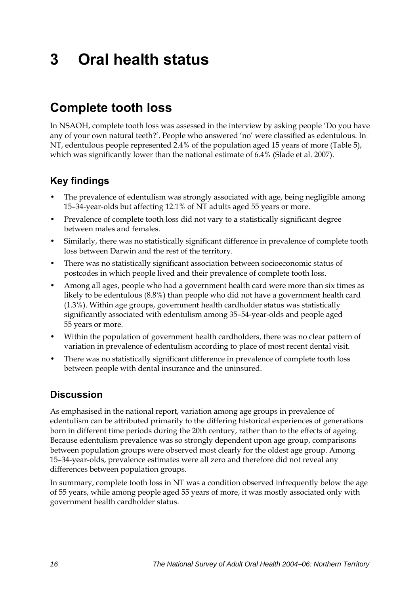# <span id="page-23-0"></span>**3 Oral health status**

# **Complete tooth loss**

In NSAOH, complete tooth loss was assessed in the interview by asking people 'Do you have any of your own natural teeth?'. People who answered 'no' were classified as edentulous. In NT, edentulous people represented 2.4% of the population aged 15 years of more [\(Table 5](#page-24-0)), which was significantly lower than the national estimate of 6.4% (Slade et al. 2007).

### **Key findings**

- The prevalence of edentulism was strongly associated with age, being negligible among 15–34-year-olds but affecting 12.1% of NT adults aged 55 years or more.
- Prevalence of complete tooth loss did not vary to a statistically significant degree between males and females.
- Similarly, there was no statistically significant difference in prevalence of complete tooth loss between Darwin and the rest of the territory.
- There was no statistically significant association between socioeconomic status of postcodes in which people lived and their prevalence of complete tooth loss.
- Among all ages, people who had a government health card were more than six times as likely to be edentulous (8.8%) than people who did not have a government health card (1.3%). Within age groups, government health cardholder status was statistically significantly associated with edentulism among 35–54-year-olds and people aged 55 years or more.
- Within the population of government health cardholders, there was no clear pattern of variation in prevalence of edentulism according to place of most recent dental visit.
- There was no statistically significant difference in prevalence of complete tooth loss between people with dental insurance and the uninsured.

### **Discussion**

As emphasised in the national report, variation among age groups in prevalence of edentulism can be attributed primarily to the differing historical experiences of generations born in different time periods during the 20th century, rather than to the effects of ageing. Because edentulism prevalence was so strongly dependent upon age group, comparisons between population groups were observed most clearly for the oldest age group. Among 15–34-year-olds, prevalence estimates were all zero and therefore did not reveal any differences between population groups.

In summary, complete tooth loss in NT was a condition observed infrequently below the age of 55 years, while among people aged 55 years of more, it was mostly associated only with government health cardholder status.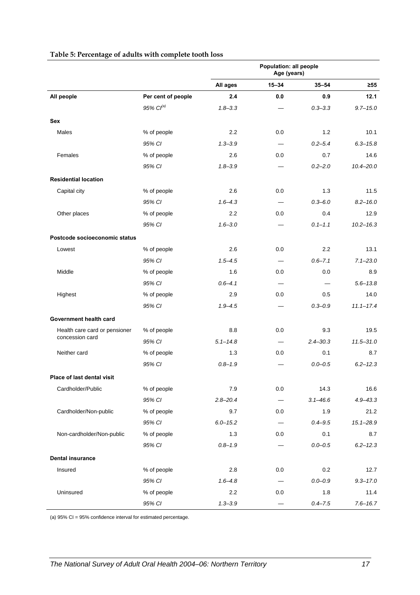<span id="page-24-0"></span>

|                               |                    | Population: all people<br>Age (years) |                          |              |               |
|-------------------------------|--------------------|---------------------------------------|--------------------------|--------------|---------------|
|                               |                    | All ages                              | $15 - 34$                | $35 - 54$    | $\geq 55$     |
| All people                    | Per cent of people | 2.4                                   | 0.0                      | 0.9          | 12.1          |
|                               | 95% Cl(a)          | $1.8 - 3.3$                           |                          | $0.3 - 3.3$  | $9.7 - 15.0$  |
| <b>Sex</b>                    |                    |                                       |                          |              |               |
| Males                         | % of people        | 2.2                                   | 0.0                      | 1.2          | 10.1          |
|                               | 95% CI             | $1.3 - 3.9$                           |                          | $0.2 - 5.4$  | $6.3 - 15.8$  |
| Females                       | % of people        | 2.6                                   | 0.0                      | 0.7          | 14.6          |
|                               | 95% CI             | $1.8 - 3.9$                           |                          | $0.2 - 2.0$  | $10.4 - 20.0$ |
| <b>Residential location</b>   |                    |                                       |                          |              |               |
| Capital city                  | % of people        | 2.6                                   | 0.0                      | 1.3          | 11.5          |
|                               | 95% CI             | $1,6-4,3$                             | $\overline{\phantom{0}}$ | $0.3 - 6.0$  | $8.2 - 16.0$  |
| Other places                  | % of people        | 2.2                                   | 0.0                      | 0.4          | 12.9          |
|                               | 95% CI             | $1.6 - 3.0$                           |                          | $0.1 - 1.1$  | $10.2 - 16.3$ |
| Postcode socioeconomic status |                    |                                       |                          |              |               |
| Lowest                        | % of people        | 2.6                                   | 0.0                      | 2.2          | 13.1          |
|                               | 95% CI             | $1.5 - 4.5$                           | —                        | $0.6 - 7.1$  | $7.1 - 23.0$  |
| Middle                        | % of people        | 1.6                                   | 0.0                      | 0.0          | 8.9           |
|                               | 95% CI             | $0.6 - 4.1$                           |                          |              | $5.6 - 13.8$  |
| Highest                       | % of people        | 2.9                                   | 0.0                      | 0.5          | 14.0          |
|                               | 95% CI             | $1.9 - 4.5$                           |                          | $0.3 - 0.9$  | $11.1 - 17.4$ |
| Government health card        |                    |                                       |                          |              |               |
| Health care card or pensioner | % of people        | 8.8                                   | 0.0                      | 9.3          | 19.5          |
| concession card               | 95% CI             | $5.1 - 14.8$                          |                          | $2.4 - 30.3$ | $11.5 - 31.0$ |
| Neither card                  | % of people        | 1.3                                   | 0.0                      | 0.1          | 8.7           |
|                               | 95% CI             | $0.8 - 1.9$                           |                          | $0.0 - 0.5$  | $6.2 - 12.3$  |
| Place of last dental visit    |                    |                                       |                          |              |               |
| Cardholder/Public             | % of people        | 7.9                                   | 0.0                      | 14.3         | 16.6          |
|                               | 95% CI             | $2.8 - 20.4$                          |                          | $3.1 - 46.6$ | $4.9 - 43.3$  |
| Cardholder/Non-public         | % of people        | 9.7                                   | 0.0                      | 1.9          | 21.2          |
|                               | 95% CI             | $6.0 - 15.2$                          |                          | $0.4 - 9.5$  | $15.1 - 28.9$ |
| Non-cardholder/Non-public     | % of people        | 1.3                                   | 0.0                      | 0.1          | 8.7           |
|                               | 95% CI             | $0.8 - 1.9$                           |                          | $0.0 - 0.5$  | $6.2 - 12.3$  |
| <b>Dental insurance</b>       |                    |                                       |                          |              |               |
| Insured                       | % of people        | 2.8                                   | 0.0                      | 0.2          | 12.7          |
|                               | 95% CI             | $1.6 - 4.8$                           |                          | $0.0 - 0.9$  | $9.3 - 17.0$  |
| Uninsured                     | % of people        | 2.2                                   | 0.0                      | 1.8          | 11.4          |
|                               | 95% CI             | $1.3 - 3.9$                           |                          | $0.4 - 7.5$  | $7.6 - 16.7$  |

#### **Table 5: Percentage of adults with complete tooth loss**

(a) 95% CI = 95% confidence interval for estimated percentage.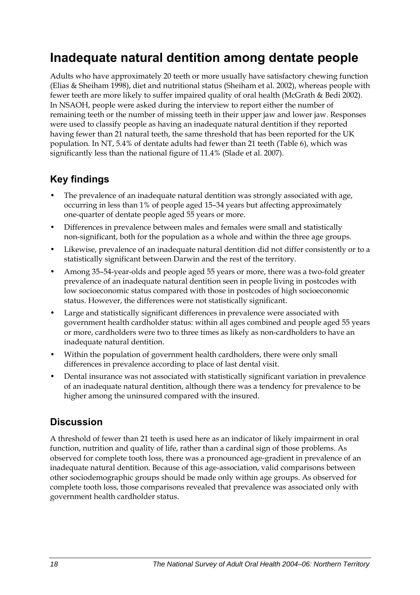## <span id="page-25-0"></span>**Inadequate natural dentition among dentate people**

Adults who have approximately 20 teeth or more usually have satisfactory chewing function (Elias & Sheiham 1998), diet and nutritional status (Sheiham et al. 2002), whereas people with fewer teeth are more likely to suffer impaired quality of oral health (McGrath & Bedi 2002). In NSAOH, people were asked during the interview to report either the number of remaining teeth or the number of missing teeth in their upper jaw and lower jaw. Responses were used to classify people as having an inadequate natural dentition if they reported having fewer than 21 natural teeth, the same threshold that has been reported for the UK population. In NT, 5.4% of dentate adults had fewer than 21 teeth ([Table 6\)](#page-26-0), which was significantly less than the national figure of 11.4% (Slade et al. 2007).

### **Key findings**

- The prevalence of an inadequate natural dentition was strongly associated with age, occurring in less than 1% of people aged 15–34 years but affecting approximately one-quarter of dentate people aged 55 years or more.
- Differences in prevalence between males and females were small and statistically non-significant, both for the population as a whole and within the three age groups.
- Likewise, prevalence of an inadequate natural dentition did not differ consistently or to a statistically significant between Darwin and the rest of the territory.
- Among 35–54-year-olds and people aged 55 years or more, there was a two-fold greater prevalence of an inadequate natural dentition seen in people living in postcodes with low socioeconomic status compared with those in postcodes of high socioeconomic status. However, the differences were not statistically significant.
- Large and statistically significant differences in prevalence were associated with government health cardholder status: within all ages combined and people aged 55 years or more, cardholders were two to three times as likely as non-cardholders to have an inadequate natural dentition.
- Within the population of government health cardholders, there were only small differences in prevalence according to place of last dental visit.
- Dental insurance was not associated with statistically significant variation in prevalence of an inadequate natural dentition, although there was a tendency for prevalence to be higher among the uninsured compared with the insured.

### **Discussion**

A threshold of fewer than 21 teeth is used here as an indicator of likely impairment in oral function, nutrition and quality of life, rather than a cardinal sign of those problems. As observed for complete tooth loss, there was a pronounced age-gradient in prevalence of an inadequate natural dentition. Because of this age-association, valid comparisons between other sociodemographic groups should be made only within age groups. As observed for complete tooth loss, those comparisons revealed that prevalence was associated only with government health cardholder status.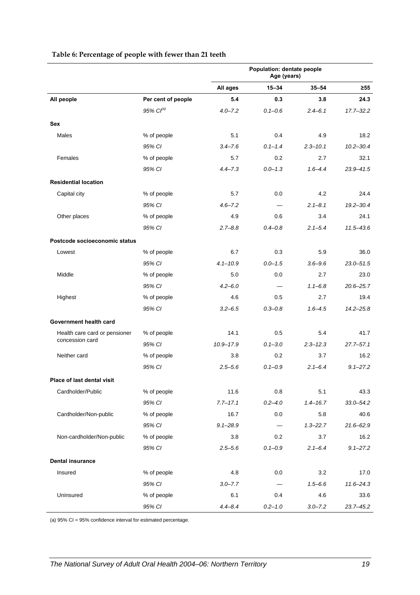<span id="page-26-0"></span>

|                               |                       | Population: dentate people<br>Age (years) |             |              |               |
|-------------------------------|-----------------------|-------------------------------------------|-------------|--------------|---------------|
|                               |                       | All ages                                  | $15 - 34$   | $35 - 54$    | $\geq 55$     |
| All people                    | Per cent of people    | 5.4                                       | 0.3         | 3.8          | 24.3          |
|                               | 95% Cl <sup>(a)</sup> | $4.0 - 7.2$                               | $0.1 - 0.6$ | $2.4 - 6.1$  | $17.7 - 32.2$ |
| <b>Sex</b>                    |                       |                                           |             |              |               |
| Males                         | % of people           | 5.1                                       | 0.4         | 4.9          | 18.2          |
|                               | 95% CI                | $3.4 - 7.6$                               | $0.1 - 1.4$ | $2.3 - 10.1$ | $10.2 - 30.4$ |
| Females                       | % of people           | 5.7                                       | 0.2         | 2.7          | 32.1          |
|                               | 95% CI                | $4.4 - 7.3$                               | $0.0 - 1.3$ | $1.6 - 4.4$  | $23.9 - 41.5$ |
| <b>Residential location</b>   |                       |                                           |             |              |               |
| Capital city                  | % of people           | 5.7                                       | 0.0         | 4.2          | 24.4          |
|                               | 95% CI                | $4.6 - 7.2$                               |             | $2.1 - 8.1$  | $19.2 - 30.4$ |
| Other places                  | % of people           | 4.9                                       | 0.6         | 3.4          | 24.1          |
|                               | 95% CI                | $2.7 - 8.8$                               | $0.4 - 0.8$ | $2.1 - 5.4$  | $11.5 - 43.6$ |
| Postcode socioeconomic status |                       |                                           |             |              |               |
| Lowest                        | % of people           | 6.7                                       | 0.3         | 5.9          | 36.0          |
|                               | 95% CI                | $4.1 - 10.9$                              | $0.0 - 1.5$ | $3.6 - 9.6$  | $23.0 - 51.5$ |
| Middle                        | % of people           | 5.0                                       | 0.0         | 2.7          | 23.0          |
|                               | 95% CI                | $4.2 - 6.0$                               |             | $1.1 - 6.8$  | $20.6 - 25.7$ |
| Highest                       | % of people           | 4.6                                       | 0.5         | 2.7          | 19.4          |
|                               | 95% CI                | $3.2 - 6.5$                               | $0.3 - 0.8$ | $1.6 - 4.5$  | $14.2 - 25.8$ |
| Government health card        |                       |                                           |             |              |               |
| Health care card or pensioner | % of people           | 14.1                                      | 0.5         | 5.4          | 41.7          |
| concession card               | 95% CI                | $10.9 - 17.9$                             | $0.1 - 3.0$ | $2.3 - 12.3$ | $27.7 - 57.1$ |
| Neither card                  | % of people           | 3.8                                       | 0.2         | 3.7          | 16.2          |
|                               | 95% CI                | $2.5 - 5.6$                               | $0.1 - 0.9$ | $2.1 - 6.4$  | $9.1 - 27.2$  |
| Place of last dental visit    |                       |                                           |             |              |               |
| Cardholder/Public             | % of people           | 11.6                                      | 0.8         | 5.1          | 43.3          |
|                               | 95% CI                | $7.7 - 17.1$                              | $0.2 - 4.0$ | $1.4 - 16.7$ | $33.0 - 54.2$ |
| Cardholder/Non-public         | % of people           | 16.7                                      | 0.0         | 5.8          | 40.6          |
|                               | 95% CI                | $9.1 - 28.9$                              |             | $1.3 - 22.7$ | $21.6 - 62.9$ |
| Non-cardholder/Non-public     | % of people           | 3.8                                       | 0.2         | 3.7          | 16.2          |
|                               | 95% CI                | $2.5 - 5.6$                               | $0.1 - 0.9$ | $2.1 - 6.4$  | $9.1 - 27.2$  |
| <b>Dental insurance</b>       |                       |                                           |             |              |               |
| Insured                       | % of people           | 4.8                                       | 0.0         | 3.2          | 17.0          |
|                               | 95% CI                | $3.0 - 7.7$                               |             | $1.5 - 6.6$  | $11.6 - 24.3$ |
| Uninsured                     | % of people           | 6.1                                       | 0.4         | 4.6          | 33.6          |
|                               | 95% CI                | $4.4 - 8.4$                               | $0.2 - 1.0$ | $3.0 - 7.2$  | $23.7 - 45.2$ |

#### **Table 6: Percentage of people with fewer than 21 teeth**

(a) 95% CI = 95% confidence interval for estimated percentage.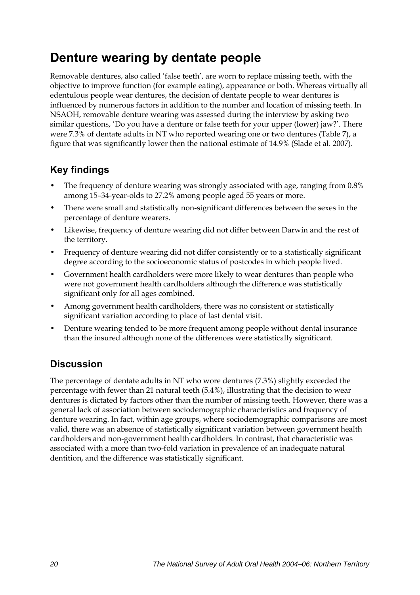# <span id="page-27-0"></span>**Denture wearing by dentate people**

Removable dentures, also called 'false teeth', are worn to replace missing teeth, with the objective to improve function (for example eating), appearance or both. Whereas virtually all edentulous people wear dentures, the decision of dentate people to wear dentures is influenced by numerous factors in addition to the number and location of missing teeth. In NSAOH, removable denture wearing was assessed during the interview by asking two similar questions, 'Do you have a denture or false teeth for your upper (lower) jaw?'. There were 7.3% of dentate adults in NT who reported wearing one or two dentures [\(Table 7](#page-28-0)), a figure that was significantly lower then the national estimate of 14.9% (Slade et al. 2007).

### **Key findings**

- The frequency of denture wearing was strongly associated with age, ranging from 0.8% among 15–34-year-olds to 27.2% among people aged 55 years or more.
- There were small and statistically non-significant differences between the sexes in the percentage of denture wearers.
- Likewise, frequency of denture wearing did not differ between Darwin and the rest of the territory.
- Frequency of denture wearing did not differ consistently or to a statistically significant degree according to the socioeconomic status of postcodes in which people lived.
- Government health cardholders were more likely to wear dentures than people who were not government health cardholders although the difference was statistically significant only for all ages combined.
- Among government health cardholders, there was no consistent or statistically significant variation according to place of last dental visit.
- Denture wearing tended to be more frequent among people without dental insurance than the insured although none of the differences were statistically significant.

### **Discussion**

The percentage of dentate adults in NT who wore dentures (7.3%) slightly exceeded the percentage with fewer than 21 natural teeth (5.4%), illustrating that the decision to wear dentures is dictated by factors other than the number of missing teeth. However, there was a general lack of association between sociodemographic characteristics and frequency of denture wearing. In fact, within age groups, where sociodemographic comparisons are most valid, there was an absence of statistically significant variation between government health cardholders and non-government health cardholders. In contrast, that characteristic was associated with a more than two-fold variation in prevalence of an inadequate natural dentition, and the difference was statistically significant.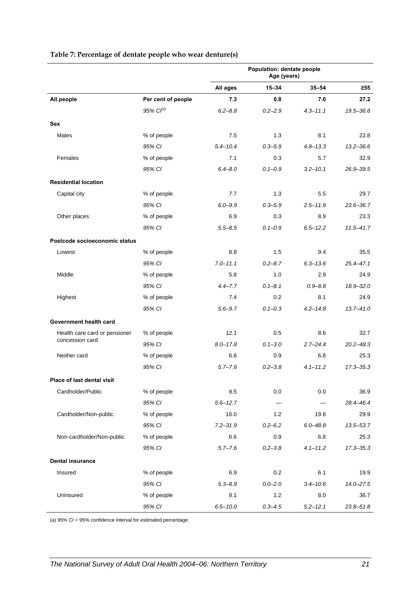<span id="page-28-0"></span>

|                               |                       | Population: dentate people<br>Age (years) |             |                          |               |
|-------------------------------|-----------------------|-------------------------------------------|-------------|--------------------------|---------------|
|                               |                       | All ages                                  | $15 - 34$   | $35 - 54$                | ≥55           |
| All people                    | Per cent of people    | 7.3                                       | 0.8         | 7.0                      | 27.2          |
|                               | 95% Cl <sup>(a)</sup> | $6.2 - 8.8$                               | $0.2 - 2.9$ | $4.3 - 11.1$             | 19.5-36.6     |
| <b>Sex</b>                    |                       |                                           |             |                          |               |
| Males                         | % of people           | 7.5                                       | 1.3         | 8.1                      | 22.8          |
|                               | 95% CI                | $5.4 - 10.4$                              | $0.3 - 5.9$ | $4.8 - 13.3$             | $13.2 - 36.6$ |
| Females                       | % of people           | 7.1                                       | 0.3         | 5.7                      | 32.9          |
|                               | 95% CI                | $6.4 - 8.0$                               | $0.1 - 0.9$ | $3.2 - 10.1$             | $26.9 - 39.5$ |
| <b>Residential location</b>   |                       |                                           |             |                          |               |
| Capital city                  | % of people           | 7.7                                       | 1.3         | 5.5                      | 29.7          |
|                               | 95% CI                | $6.0 - 9.9$                               | $0.3 - 5.9$ | $2.5 - 11.9$             | $23.6 - 36.7$ |
| Other places                  | % of people           | 6.9                                       | 0.3         | 8.9                      | 23.3          |
|                               | 95% CI                | $5.5 - 8.5$                               | $0.1 - 0.9$ | $6.5 - 12.2$             | $11.5 - 41.7$ |
| Postcode socioeconomic status |                       |                                           |             |                          |               |
| Lowest                        | % of people           | 8.8                                       | 1.5         | 9.4                      | 35.5          |
|                               | 95% CI                | $7.0 - 11.1$                              | $0.2 - 8.7$ | $6.3 - 13.6$             | 25.4-47.1     |
| Middle                        | % of people           | 5.8                                       | 1.0         | 2.9                      | 24.9          |
|                               | 95% CI                | $4.4 - 7.7$                               | $0.1 - 8.1$ | $0.9 - 8.8$              | 18.9-32.0     |
| Highest                       | % of people           | 7.4                                       | 0.2         | 8.1                      | 24.9          |
|                               | 95% CI                | $5.6 - 9.7$                               | $0.1 - 0.3$ | $4.2 - 14.8$             | $13.7 - 41.0$ |
| Government health card        |                       |                                           |             |                          |               |
| Health care card or pensioner | % of people           | 12.1                                      | 0.5         | 8.6                      | 32.7          |
| concession card               | 95% CI                | $8.0 - 17.8$                              | $0.1 - 3.0$ | $2.7 - 24.4$             | $20.2 - 48.3$ |
| Neither card                  | % of people           | 6.6                                       | 0.9         | 6.8                      | 25.3          |
|                               | 95% CI                | $5.7 - 7.6$                               | $0.2 - 3.8$ | $4.1 - 11.2$             | $17.3 - 35.3$ |
| Place of last dental visit    |                       |                                           |             |                          |               |
| Cardholder/Public             | % of people           | 8.5                                       | 0.0         | 0.0                      | 36.9          |
|                               | 95% CI                | $5.6 - 12.7$                              |             | $\overline{\phantom{0}}$ | 28.4-46.4     |
| Cardholder/Non-public         | % of people           | 16.0                                      | 1.2         | 19.8                     | 29.9          |
|                               | 95% CI                | $7.2 - 31.9$                              | $0.2 - 6.2$ | $6.0 - 48.8$             | 13.5-53.7     |
| Non-cardholder/Non-public     | % of people           | $6.6\,$                                   | 0.9         | 6.8                      | 25.3          |
|                               | 95% CI                | $5.7 - 7.6$                               | $0.2 - 3.8$ | $4.1 - 11.2$             | $17.3 - 35.3$ |
| <b>Dental insurance</b>       |                       |                                           |             |                          |               |
| Insured                       | % of people           | 6.9                                       | 0.2         | 6.1                      | 19.9          |
|                               | 95% CI                | $5.3 - 8.9$                               | $0.0 - 2.0$ | $3.4 - 10.6$             | $14.0 - 27.5$ |
| Uninsured                     | % of people           | 8.1                                       | 1.2         | 8.0                      | 36.7          |
|                               | 95% CI                | $6.5 - 10.0$                              | $0.3 - 4.5$ | $5.2 - 12.1$             | $23.8 - 51.8$ |

#### **Table 7: Percentage of dentate people who wear denture(s)**

(a) 95% CI = 95% confidence interval for estimated percentage.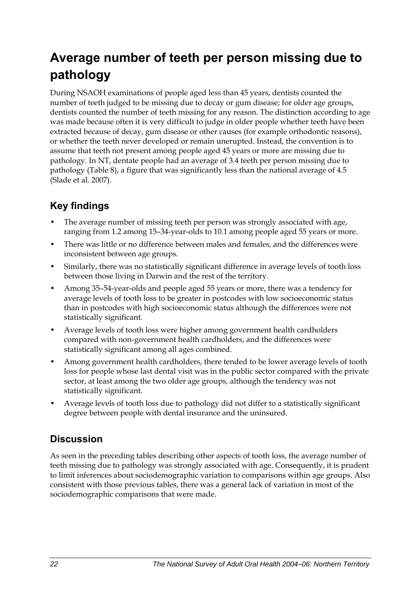# <span id="page-29-0"></span>**Average number of teeth per person missing due to pathology**

During NSAOH examinations of people aged less than 45 years, dentists counted the number of teeth judged to be missing due to decay or gum disease; for older age groups, dentists counted the number of teeth missing for any reason. The distinction according to age was made because often it is very difficult to judge in older people whether teeth have been extracted because of decay, gum disease or other causes (for example orthodontic reasons), or whether the teeth never developed or remain unerupted. Instead, the convention is to assume that teeth not present among people aged 45 years or more are missing due to pathology. In NT, dentate people had an average of 3.4 teeth per person missing due to pathology (Table 8), a figure that was significantly less than the national average of 4.5 (Slade et al. 2007).

### **Key findings**

- The average number of missing teeth per person was strongly associated with age, ranging from 1.2 among 15–34-year-olds to 10.1 among people aged 55 years or more.
- There was little or no difference between males and females, and the differences were inconsistent between age groups.
- Similarly, there was no statistically significant difference in average levels of tooth loss between those living in Darwin and the rest of the territory.
- Among 35–54-year-olds and people aged 55 years or more, there was a tendency for average levels of tooth loss to be greater in postcodes with low socioeconomic status than in postcodes with high socioeconomic status although the differences were not statistically significant.
- Average levels of tooth loss were higher among government health cardholders compared with non-government health cardholders, and the differences were statistically significant among all ages combined.
- Among government health cardholders, there tended to be lower average levels of tooth loss for people whose last dental visit was in the public sector compared with the private sector, at least among the two older age groups, although the tendency was not statistically significant.
- Average levels of tooth loss due to pathology did not differ to a statistically significant degree between people with dental insurance and the uninsured.

### **Discussion**

As seen in the preceding tables describing other aspects of tooth loss, the average number of teeth missing due to pathology was strongly associated with age. Consequently, it is prudent to limit inferences about sociodemographic variation to comparisons within age groups. Also consistent with those previous tables, there was a general lack of variation in most of the sociodemographic comparisons that were made.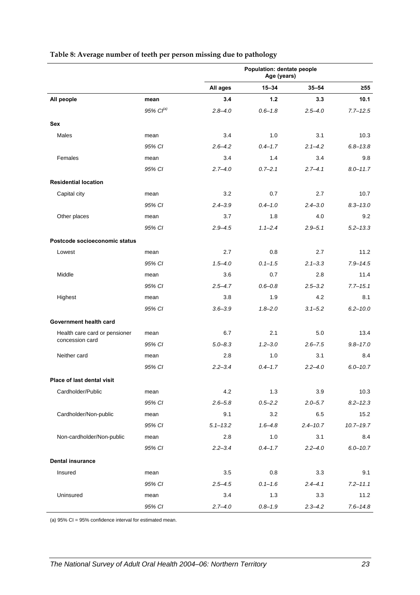|                               |                   | Population: dentate people<br>Age (years) |             |              |               |
|-------------------------------|-------------------|-------------------------------------------|-------------|--------------|---------------|
|                               |                   | All ages                                  | $15 - 34$   | $35 - 54$    | $\geq 55$     |
| All people                    | mean              | 3.4                                       | 1.2         | 3.3          | 10.1          |
|                               | $95\%$ $Cl^{(a)}$ | $2.8 - 4.0$                               | $0.6 - 1.8$ | $2.5 - 4.0$  | $7.7 - 12.5$  |
| <b>Sex</b>                    |                   |                                           |             |              |               |
| Males                         | mean              | 3.4                                       | 1.0         | 3.1          | 10.3          |
|                               | 95% CI            | $2.6 - 4.2$                               | $0.4 - 1.7$ | $2.1 - 4.2$  | $6.8 - 13.8$  |
| Females                       | mean              | 3.4                                       | 1.4         | 3.4          | 9.8           |
|                               | 95% CI            | $2.7 - 4.0$                               | $0.7 - 2.1$ | $2.7 - 4.1$  | $8.0 - 11.7$  |
| <b>Residential location</b>   |                   |                                           |             |              |               |
| Capital city                  | mean              | 3.2                                       | 0.7         | 2.7          | 10.7          |
|                               | 95% CI            | $2.4 - 3.9$                               | $0.4 - 1.0$ | $2.4 - 3.0$  | $8.3 - 13.0$  |
| Other places                  | mean              | 3.7                                       | 1.8         | 4.0          | 9.2           |
|                               | 95% CI            | $2.9 - 4.5$                               | $1.1 - 2.4$ | $2.9 - 5.1$  | $5.2 - 13.3$  |
| Postcode socioeconomic status |                   |                                           |             |              |               |
| Lowest                        | mean              | 2.7                                       | 0.8         | 2.7          | 11.2          |
|                               | 95% CI            | $1.5 - 4.0$                               | $0.1 - 1.5$ | $2.1 - 3.3$  | $7.9 - 14.5$  |
| Middle                        | mean              | 3.6                                       | 0.7         | 2.8          | 11.4          |
|                               | 95% CI            | $2.5 - 4.7$                               | $0.6 - 0.8$ | $2.5 - 3.2$  | $7.7 - 15.1$  |
| Highest                       | mean              | 3.8                                       | 1.9         | 4.2          | 8.1           |
|                               | 95% CI            | $3.6 - 3.9$                               | $1.8 - 2.0$ | $3.1 - 5.2$  | $6.2 - 10.0$  |
| Government health card        |                   |                                           |             |              |               |
| Health care card or pensioner | mean              | 6.7                                       | 2.1         | 5.0          | 13.4          |
| concession card               | 95% CI            | $5.0 - 8.3$                               | $1.2 - 3.0$ | $2.6 - 7.5$  | $9.8 - 17.0$  |
| Neither card                  | mean              | 2.8                                       | 1.0         | 3.1          | 8.4           |
|                               | 95% CI            | $2.2 - 3.4$                               | $0.4 - 1.7$ | $2.2 - 4.0$  | $6.0 - 10.7$  |
| Place of last dental visit    |                   |                                           |             |              |               |
| Cardholder/Public             | mean              | 4.2                                       | 1.3         | 3.9          | 10.3          |
|                               | 95% CI            | $2.6 - 5.8$                               | $0.5 - 2.2$ | $2.0 - 5.7$  | $8.2 - 12.3$  |
| Cardholder/Non-public         | mean              | 9.1                                       | 3.2         | 6.5          | 15.2          |
|                               | 95% CI            | $5.1 - 13.2$                              | $1.6 - 4.8$ | $2.4 - 10.7$ | $10.7 - 19.7$ |
| Non-cardholder/Non-public     | mean              | 2.8                                       | 1.0         | 3.1          | 8.4           |
|                               | 95% CI            | $2.2 - 3.4$                               | $0.4 - 1.7$ | $2.2 - 4.0$  | $6.0 - 10.7$  |
| <b>Dental insurance</b>       |                   |                                           |             |              |               |
| Insured                       | mean              | 3.5                                       | 0.8         | 3.3          | 9.1           |
|                               | 95% CI            | $2.5 - 4.5$                               | $0.1 - 1.6$ | $2.4 - 4.1$  | $7.2 - 11.1$  |
| Uninsured                     | mean              | 3.4                                       | 1.3         | 3.3          | 11.2          |
|                               | 95% CI            | $2.7 - 4.0$                               | $0.8 - 1.9$ | $2.3 - 4.2$  | $7.6 - 14.8$  |

#### **Table 8: Average number of teeth per person missing due to pathology**

(a) 95% CI = 95% confidence interval for estimated mean.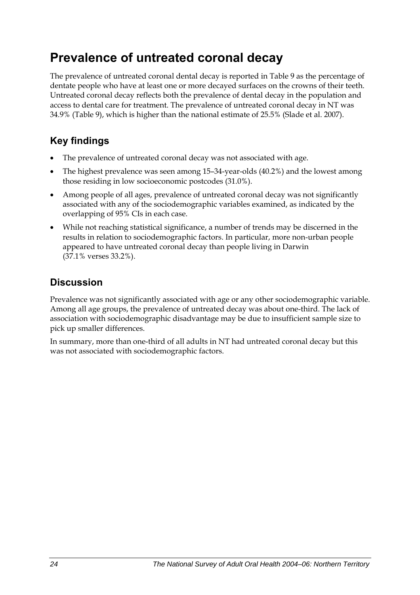# <span id="page-31-0"></span>**Prevalence of untreated coronal decay**

The prevalence of untreated coronal dental decay is reported in Table 9 as the percentage of dentate people who have at least one or more decayed surfaces on the crowns of their teeth. Untreated coronal decay reflects both the prevalence of dental decay in the population and access to dental care for treatment. The prevalence of untreated coronal decay in NT was 34.9% (Table 9), which is higher than the national estimate of 25.5% (Slade et al. 2007).

### **Key findings**

- The prevalence of untreated coronal decay was not associated with age.
- The highest prevalence was seen among 15–34-year-olds (40.2%) and the lowest among those residing in low socioeconomic postcodes (31.0%).
- Among people of all ages, prevalence of untreated coronal decay was not significantly associated with any of the sociodemographic variables examined, as indicated by the overlapping of 95% CIs in each case.
- While not reaching statistical significance, a number of trends may be discerned in the results in relation to sociodemographic factors. In particular, more non-urban people appeared to have untreated coronal decay than people living in Darwin (37.1% verses 33.2%).

### **Discussion**

Prevalence was not significantly associated with age or any other sociodemographic variable. Among all age groups, the prevalence of untreated decay was about one-third. The lack of association with sociodemographic disadvantage may be due to insufficient sample size to pick up smaller differences.

In summary, more than one-third of all adults in NT had untreated coronal decay but this was not associated with sociodemographic factors.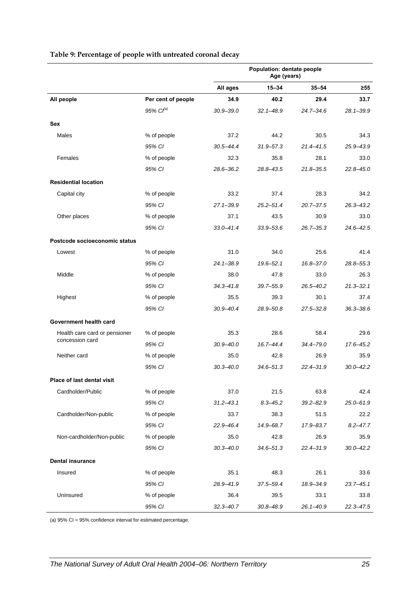|                               |                       | Population: dentate people<br>Age (years) |               |               |               |
|-------------------------------|-----------------------|-------------------------------------------|---------------|---------------|---------------|
|                               |                       | All ages                                  | $15 - 34$     | $35 - 54$     | $\geq 55$     |
| All people                    | Per cent of people    | 34.9                                      | 40.2          | 29.4          | 33.7          |
|                               | 95% Cl <sup>(a)</sup> | $30.9 - 39.0$                             | $32.1 - 48.9$ | $24.7 - 34.6$ | $28.1 - 39.9$ |
| Sex                           |                       |                                           |               |               |               |
| Males                         | % of people           | 37.2                                      | 44.2          | 30.5          | 34.3          |
|                               | 95% CI                | $30.5 - 44.4$                             | $31.9 - 57.3$ | $21.4 - 41.5$ | 25.9-43.9     |
| Females                       | % of people           | 32.3                                      | 35.8          | 28.1          | 33.0          |
|                               | 95% CI                | 28.6-36.2                                 | 28.8-43.5     | $21.8 - 35.5$ | $22.8 - 45.0$ |
| <b>Residential location</b>   |                       |                                           |               |               |               |
| Capital city                  | % of people           | 33.2                                      | 37.4          | 28.3          | 34.2          |
|                               | 95% CI                | $27.1 - 39.9$                             | $25.2 - 51.4$ | $20.7 - 37.5$ | $26.3 - 43.2$ |
| Other places                  | % of people           | 37.1                                      | 43.5          | 30.9          | 33.0          |
|                               | 95% CI                | $33.0 - 41.4$                             | $33.9 - 53.6$ | $26.7 - 35.3$ | 24.6-42.5     |
| Postcode socioeconomic status |                       |                                           |               |               |               |
| Lowest                        | % of people           | 31.0                                      | 34.0          | 25.6          | 41.4          |
|                               | 95% CI                | $24.1 - 38.9$                             | $19.6 - 52.1$ | $16.8 - 37.0$ | 28.8-55.3     |
| Middle                        | % of people           | 38.0                                      | 47.8          | 33.0          | 26.3          |
|                               | 95% CI                | $34.3 - 41.8$                             | 39.7-55.9     | $26.5 - 40.2$ | $21.3 - 32.1$ |
| Highest                       | % of people           | 35.5                                      | 39.3          | 30.1          | 37.4          |
|                               | 95% CI                | $30.9 - 40.4$                             | 28.9-50.8     | $27.5 - 32.8$ | $36.3 - 38.6$ |
| Government health card        |                       |                                           |               |               |               |
| Health care card or pensioner | % of people           | 35.3                                      | 28.6          | 58.4          | 29.6          |
| concession card               | 95% CI                | $30.9 - 40.0$                             | 16.7-44.4     | $34.4 - 79.0$ | 17.6-45.2     |
| Neither card                  | % of people           | 35.0                                      | 42.8          | 26.9          | 35.9          |
|                               | 95% CI                | $30.3 - 40.0$                             | $34.6 - 51.3$ | $22.4 - 31.9$ | $30.0 - 42.2$ |
| Place of last dental visit    |                       |                                           |               |               |               |
| Cardholder/Public             | % of people           | 37.0                                      | 21.5          | 63.8          | 42.4          |
|                               | 95% CI                | $31.2 - 43.1$                             | $8.3 - 45.2$  | $39.2 - 82.9$ | $25.0 - 61.9$ |
| Cardholder/Non-public         | % of people           | 33.7                                      | 38.3          | 51.5          | 22.2          |
|                               | 95% CI                | $22.9 - 46.4$                             | 14.9-68.7     | 17.9-83.7     | $8.2 - 47.7$  |
| Non-cardholder/Non-public     | % of people           | 35.0                                      | 42.8          | 26.9          | 35.9          |
|                               | 95% CI                | $30.3 - 40.0$                             | $34.6 - 51.3$ | $22.4 - 31.9$ | $30.0 - 42.2$ |
| <b>Dental insurance</b>       |                       |                                           |               |               |               |
| Insured                       | % of people           | 35.1                                      | 48.3          | 26.1          | 33.6          |
|                               | 95% CI                | 28.9-41.9                                 | 37.5-59.4     | 18.9-34.9     | $23.7 - 45.1$ |
| Uninsured                     | % of people           | 36.4                                      | 39.5          | 33.1          | 33.8          |
|                               | 95% CI                | $32.3 - 40.7$                             | $30.8 - 48.9$ | 26.1-40.9     | $22.3 - 47.5$ |

#### **Table 9: Percentage of people with untreated coronal decay**

(a) 95% CI = 95% confidence interval for estimated percentage.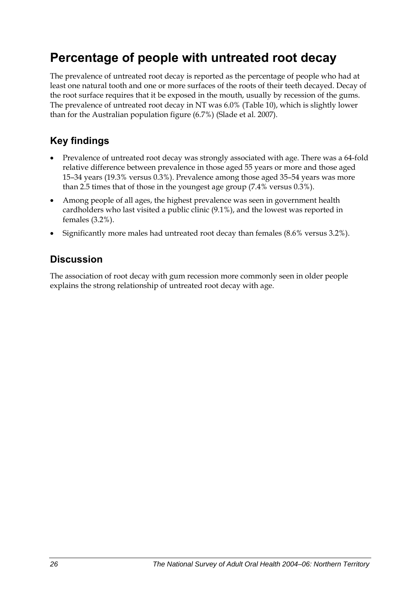# <span id="page-33-0"></span>**Percentage of people with untreated root decay**

The prevalence of untreated root decay is reported as the percentage of people who had at least one natural tooth and one or more surfaces of the roots of their teeth decayed. Decay of the root surface requires that it be exposed in the mouth, usually by recession of the gums. The prevalence of untreated root decay in NT was 6.0% (Table 10), which is slightly lower than for the Australian population figure (6.7%) (Slade et al. 2007).

### **Key findings**

- Prevalence of untreated root decay was strongly associated with age. There was a 64-fold relative difference between prevalence in those aged 55 years or more and those aged 15–34 years (19.3% versus 0.3%). Prevalence among those aged 35–54 years was more than 2.5 times that of those in the youngest age group (7.4% versus 0.3%).
- Among people of all ages, the highest prevalence was seen in government health cardholders who last visited a public clinic (9.1%), and the lowest was reported in females (3.2%).
- Significantly more males had untreated root decay than females (8.6% versus 3.2%).

### **Discussion**

The association of root decay with gum recession more commonly seen in older people explains the strong relationship of untreated root decay with age.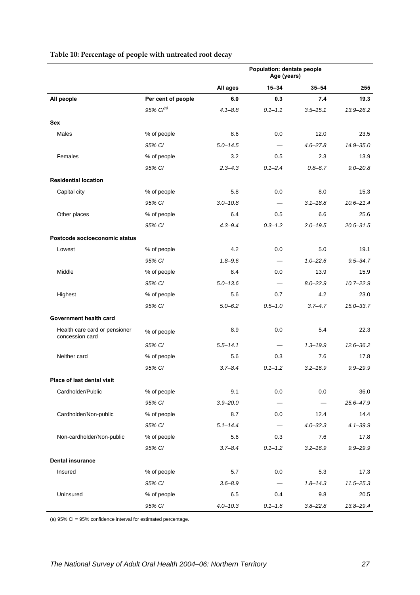|                                                  |                       | Population: dentate people<br>Age (years) |             |              |               |
|--------------------------------------------------|-----------------------|-------------------------------------------|-------------|--------------|---------------|
|                                                  |                       | All ages                                  | $15 - 34$   | $35 - 54$    | $\geq 55$     |
| All people                                       | Per cent of people    | 6.0                                       | 0.3         | 7.4          | 19.3          |
|                                                  | 95% Cl <sup>(a)</sup> | $4.1 - 8.8$                               | $0.1 - 1.1$ | $3.5 - 15.1$ | $13.9 - 26.2$ |
| Sex                                              |                       |                                           |             |              |               |
| Males                                            | % of people           | 8.6                                       | 0.0         | 12.0         | 23.5          |
|                                                  | 95% CI                | $5.0 - 14.5$                              | $\equiv$    | $4.6 - 27.8$ | $14.9 - 35.0$ |
| Females                                          | % of people           | 3.2                                       | 0.5         | 2.3          | 13.9          |
|                                                  | 95% CI                | $2.3 - 4.3$                               | $0.1 - 2.4$ | $0.8 - 6.7$  | $9.0 - 20.8$  |
| <b>Residential location</b>                      |                       |                                           |             |              |               |
| Capital city                                     | % of people           | 5.8                                       | 0.0         | 8.0          | 15.3          |
|                                                  | 95% CI                | $3.0 - 10.8$                              |             | $3.1 - 18.8$ | $10.6 - 21.4$ |
| Other places                                     | % of people           | 6.4                                       | 0.5         | 6.6          | 25.6          |
|                                                  | 95% CI                | $4.3 - 9.4$                               | $0.3 - 1.2$ | $2.0 - 19.5$ | $20.5 - 31.5$ |
| Postcode socioeconomic status                    |                       |                                           |             |              |               |
| Lowest                                           | % of people           | 4.2                                       | 0.0         | 5.0          | 19.1          |
|                                                  | 95% CI                | $1.8 - 9.6$                               |             | $1.0 - 22.6$ | $9.5 - 34.7$  |
| Middle                                           | % of people           | 8.4                                       | 0.0         | 13.9         | 15.9          |
|                                                  | 95% CI                | $5.0 - 13.6$                              |             | $8.0 - 22.9$ | $10.7 - 22.9$ |
| Highest                                          | % of people           | 5.6                                       | 0.7         | 4.2          | 23.0          |
|                                                  | 95% CI                | $5.0 - 6.2$                               | $0.5 - 1.0$ | $3.7 - 4.7$  | $15.0 - 33.7$ |
| Government health card                           |                       |                                           |             |              |               |
| Health care card or pensioner<br>concession card | % of people           | 8.9                                       | 0.0         | 5.4          | 22.3          |
|                                                  | 95% CI                | $5.5 - 14.1$                              |             | $1.3 - 19.9$ | $12.6 - 36.2$ |
| Neither card                                     | % of people           | 5.6                                       | 0.3         | 7.6          | 17.8          |
|                                                  | 95% CI                | $3.7 - 8.4$                               | $0.1 - 1.2$ | $3.2 - 16.9$ | $9.9 - 29.9$  |
| Place of last dental visit                       |                       |                                           |             |              |               |
| Cardholder/Public                                | % of people           | 9.1                                       | 0.0         | 0.0          | 36.0          |
|                                                  | 95% CI                | $3.9 - 20.0$                              |             |              | 25.6-47.9     |
| Cardholder/Non-public                            | % of people           | 8.7                                       | 0.0         | 12.4         | 14.4          |
|                                                  | 95% CI                | $5.1 - 14.4$                              |             | $4.0 - 32.3$ | $4.1 - 39.9$  |
| Non-cardholder/Non-public                        | % of people           | 5.6                                       | 0.3         | 7.6          | 17.8          |
|                                                  | 95% CI                | $3.7 - 8.4$                               | $0.1 - 1.2$ | $3.2 - 16.9$ | $9.9 - 29.9$  |
| <b>Dental insurance</b>                          |                       |                                           |             |              |               |
| Insured                                          | % of people           | 5.7                                       | 0.0         | 5.3          | 17.3          |
|                                                  | 95% CI                | $3.6 - 8.9$                               |             | $1.8 - 14.3$ | $11.5 - 25.3$ |
| Uninsured                                        | % of people           | 6.5                                       | 0.4         | 9.8          | 20.5          |
|                                                  | 95% CI                | $4.0 - 10.3$                              | $0.1 - 1.6$ | $3.8 - 22.8$ | 13.8-29.4     |

#### **Table 10: Percentage of people with untreated root decay**

(a) 95% CI = 95% confidence interval for estimated percentage.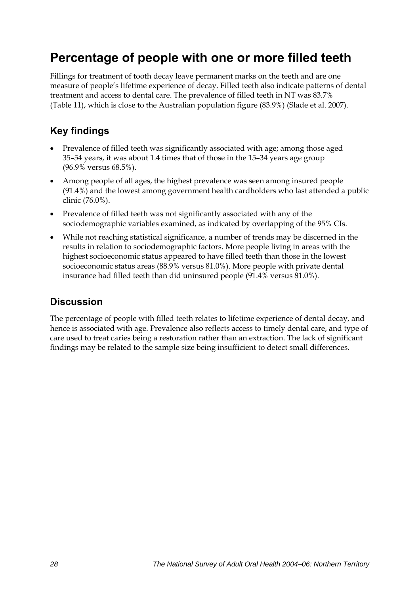## <span id="page-35-0"></span>**Percentage of people with one or more filled teeth**

Fillings for treatment of tooth decay leave permanent marks on the teeth and are one measure of people's lifetime experience of decay. Filled teeth also indicate patterns of dental treatment and access to dental care. The prevalence of filled teeth in NT was 83.7% (Table 11), which is close to the Australian population figure (83.9%) (Slade et al. 2007).

### **Key findings**

- Prevalence of filled teeth was significantly associated with age; among those aged 35–54 years, it was about 1.4 times that of those in the 15–34 years age group (96.9% versus 68.5%).
- Among people of all ages, the highest prevalence was seen among insured people (91.4%) and the lowest among government health cardholders who last attended a public clinic (76.0%).
- Prevalence of filled teeth was not significantly associated with any of the sociodemographic variables examined, as indicated by overlapping of the 95% CIs.
- While not reaching statistical significance, a number of trends may be discerned in the results in relation to sociodemographic factors. More people living in areas with the highest socioeconomic status appeared to have filled teeth than those in the lowest socioeconomic status areas (88.9% versus 81.0%). More people with private dental insurance had filled teeth than did uninsured people (91.4% versus 81.0%).

### **Discussion**

The percentage of people with filled teeth relates to lifetime experience of dental decay, and hence is associated with age. Prevalence also reflects access to timely dental care, and type of care used to treat caries being a restoration rather than an extraction. The lack of significant findings may be related to the sample size being insufficient to detect small differences.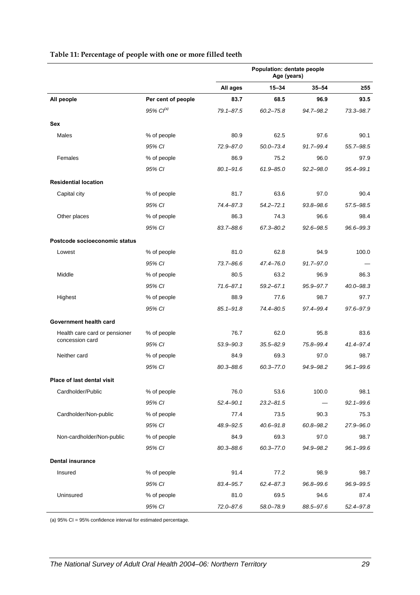|                               |                       | <b>Population: dentate people</b><br>Age (years) |               |               |               |
|-------------------------------|-----------------------|--------------------------------------------------|---------------|---------------|---------------|
|                               |                       | All ages                                         | 15-34         | $35 - 54$     | $\geq 55$     |
| All people                    | Per cent of people    | 83.7                                             | 68.5          | 96.9          | 93.5          |
|                               | 95% Cl <sup>(a)</sup> | 79.1-87.5                                        | $60.2 - 75.8$ | 94.7-98.2     | 73.3-98.7     |
| <b>Sex</b>                    |                       |                                                  |               |               |               |
| Males                         | % of people           | 80.9                                             | 62.5          | 97.6          | 90.1          |
|                               | 95% CI                | 72.9-87.0                                        | $50.0 - 73.4$ | 91.7-99.4     | 55.7-98.5     |
| Females                       | % of people           | 86.9                                             | 75.2          | 96.0          | 97.9          |
|                               | 95% CI                | $80.1 - 91.6$                                    | $61.9 - 85.0$ | $92.2 - 98.0$ | $95.4 - 99.1$ |
| <b>Residential location</b>   |                       |                                                  |               |               |               |
| Capital city                  | % of people           | 81.7                                             | 63.6          | 97.0          | 90.4          |
|                               | 95% CI                | 74.4-87.3                                        | $54.2 - 72.1$ | $93.8 - 98.6$ | 57.5-98.5     |
| Other places                  | % of people           | 86.3                                             | 74.3          | 96.6          | 98.4          |
|                               | 95% CI                | $83.7 - 88.6$                                    | 67.3-80.2     | $92.6 - 98.5$ | $96.6 - 99.3$ |
| Postcode socioeconomic status |                       |                                                  |               |               |               |
| Lowest                        | % of people           | 81.0                                             | 62.8          | 94.9          | 100.0         |
|                               | 95% CI                | 73.7-86.6                                        | 47.4-76.0     | $91.7 - 97.0$ |               |
| Middle                        | % of people           | 80.5                                             | 63.2          | 96.9          | 86.3          |
|                               | 95% CI                | $71.6 - 87.1$                                    | $59.2 - 67.1$ | 95.9-97.7     | $40.0 - 98.3$ |
| Highest                       | % of people           | 88.9                                             | 77.6          | 98.7          | 97.7          |
|                               | 95% CI                | $85.1 - 91.8$                                    | 74.4-80.5     | 97.4-99.4     | 97.6-97.9     |
| Government health card        |                       |                                                  |               |               |               |
| Health care card or pensioner | % of people           | 76.7                                             | 62.0          | 95.8          | 83.6          |
| concession card               | 95% CI                | 53.9-90.3                                        | $35.5 - 82.9$ | 75.8-99.4     | 41.4-97.4     |
| Neither card                  | % of people           | 84.9                                             | 69.3          | 97.0          | 98.7          |
|                               | 95% CI                | $80.3 - 88.6$                                    | $60.3 - 77.0$ | 94.9-98.2     | $96.1 - 99.6$ |
| Place of last dental visit    |                       |                                                  |               |               |               |
| Cardholder/Public             | % of people           | 76.0                                             | 53.6          | 100.0         | 98.1          |
|                               | 95% CI                | $52.4 - 90.1$                                    | $23.2 - 81.5$ |               | $92.1 - 99.6$ |
| Cardholder/Non-public         | % of people           | 77.4                                             | 73.5          | 90.3          | 75.3          |
|                               | 95% CI                | 48.9-92.5                                        | $40.6 - 91.8$ | 60.8-98.2     | 27.9-96.0     |
| Non-cardholder/Non-public     | % of people           | 84.9                                             | 69.3          | 97.0          | 98.7          |
|                               | 95% CI                | 80.3-88.6                                        | $60.3 - 77.0$ | 94.9-98.2     | $96.1 - 99.6$ |
| <b>Dental insurance</b>       |                       |                                                  |               |               |               |
| Insured                       | % of people           | 91.4                                             | 77.2          | 98.9          | 98.7          |
|                               | 95% CI                | 83.4-95.7                                        | $62.4 - 87.3$ | 96.8-99.6     | 96.9-99.5     |
| Uninsured                     | % of people           | 81.0                                             | 69.5          | 94.6          | 87.4          |
|                               | 95% CI                | 72.0-87.6                                        | 58.0-78.9     | 88.5-97.6     | 52.4-97.8     |

#### **Table 11: Percentage of people with one or more filled teeth**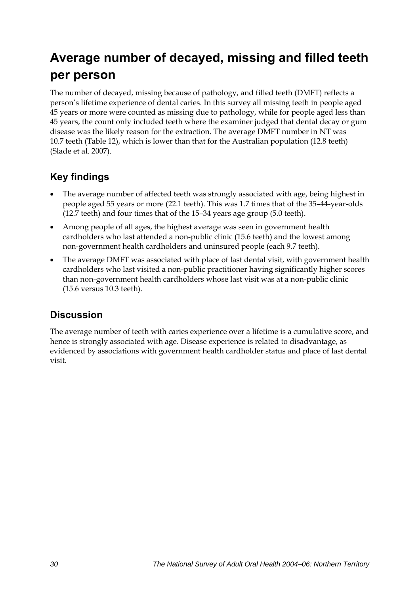# **Average number of decayed, missing and filled teeth per person**

The number of decayed, missing because of pathology, and filled teeth (DMFT) reflects a person's lifetime experience of dental caries. In this survey all missing teeth in people aged 45 years or more were counted as missing due to pathology, while for people aged less than 45 years, the count only included teeth where the examiner judged that dental decay or gum disease was the likely reason for the extraction. The average DMFT number in NT was 10.7 teeth (Table 12), which is lower than that for the Australian population (12.8 teeth) (Slade et al. 2007).

## **Key findings**

- The average number of affected teeth was strongly associated with age, being highest in people aged 55 years or more (22.1 teeth). This was 1.7 times that of the 35–44-year-olds (12.7 teeth) and four times that of the 15–34 years age group (5.0 teeth).
- Among people of all ages, the highest average was seen in government health cardholders who last attended a non-public clinic (15.6 teeth) and the lowest among non-government health cardholders and uninsured people (each 9.7 teeth).
- The average DMFT was associated with place of last dental visit, with government health cardholders who last visited a non-public practitioner having significantly higher scores than non-government health cardholders whose last visit was at a non-public clinic (15.6 versus 10.3 teeth).

### **Discussion**

The average number of teeth with caries experience over a lifetime is a cumulative score, and hence is strongly associated with age. Disease experience is related to disadvantage, as evidenced by associations with government health cardholder status and place of last dental visit.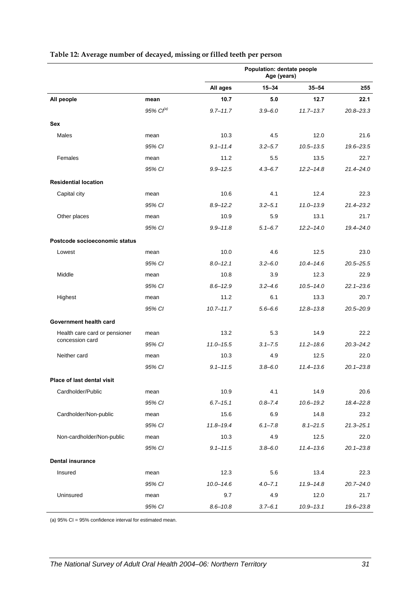|                               |                   | Population: dentate people<br>Age (years) |             |               |               |
|-------------------------------|-------------------|-------------------------------------------|-------------|---------------|---------------|
|                               |                   | All ages                                  | $15 - 34$   | $35 - 54$     | $\geq 55$     |
| All people                    | mean              | 10.7                                      | 5.0         | 12.7          | 22.1          |
|                               | $95\%$ $Cl^{(a)}$ | $9.7 - 11.7$                              | $3.9 - 6.0$ | $11.7 - 13.7$ | $20.8 - 23.3$ |
| Sex                           |                   |                                           |             |               |               |
| Males                         | mean              | 10.3                                      | 4.5         | 12.0          | 21.6          |
|                               | 95% CI            | $9.1 - 11.4$                              | $3.2 - 5.7$ | $10.5 - 13.5$ | 19.6-23.5     |
| Females                       | mean              | 11.2                                      | 5.5         | 13.5          | 22.7          |
|                               | 95% CI            | $9.9 - 12.5$                              | $4.3 - 6.7$ | $12.2 - 14.8$ | $21.4 - 24.0$ |
| <b>Residential location</b>   |                   |                                           |             |               |               |
| Capital city                  | mean              | 10.6                                      | 4.1         | 12.4          | 22.3          |
|                               | 95% CI            | $8.9 - 12.2$                              | $3.2 - 5.1$ | $11.0 - 13.9$ | $21.4 - 23.2$ |
| Other places                  | mean              | 10.9                                      | 5.9         | 13.1          | 21.7          |
|                               | 95% CI            | $9.9 - 11.8$                              | $5.1 - 6.7$ | $12.2 - 14.0$ | 19.4-24.0     |
| Postcode socioeconomic status |                   |                                           |             |               |               |
| Lowest                        | mean              | 10.0                                      | 4.6         | 12.5          | 23.0          |
|                               | 95% CI            | $8.0 - 12.1$                              | $3.2 - 6.0$ | $10.4 - 14.6$ | $20.5 - 25.5$ |
| Middle                        | mean              | 10.8                                      | 3.9         | 12.3          | 22.9          |
|                               | 95% CI            | $8.6 - 12.9$                              | $3.2 - 4.6$ | $10.5 - 14.0$ | $22.1 - 23.6$ |
| Highest                       | mean              | 11.2                                      | 6.1         | 13.3          | 20.7          |
|                               | 95% CI            | $10.7 - 11.7$                             | $5.6 - 6.6$ | $12.8 - 13.8$ | $20.5 - 20.9$ |
| Government health card        |                   |                                           |             |               |               |
| Health care card or pensioner | mean              | 13.2                                      | 5.3         | 14.9          | 22.2          |
| concession card               | 95% CI            | $11.0 - 15.5$                             | $3.1 - 7.5$ | $11.2 - 18.6$ | $20.3 - 24.2$ |
| Neither card                  | mean              | 10.3                                      | 4.9         | 12.5          | 22.0          |
|                               | 95% CI            | $9.1 - 11.5$                              | $3.8 - 6.0$ | $11.4 - 13.6$ | $20.1 - 23.8$ |
| Place of last dental visit    |                   |                                           |             |               |               |
| Cardholder/Public             | mean              | 10.9                                      | 4.1         | 14.9          | 20.6          |
|                               | 95% CI            | $6.7 - 15.1$                              | $0.8 - 7.4$ | $10.6 - 19.2$ | 18.4-22.8     |
| Cardholder/Non-public         | mean              | 15.6                                      | 6.9         | 14.8          | 23.2          |
|                               | 95% CI            | $11.8 - 19.4$                             | $6.1 - 7.8$ | $8.1 - 21.5$  | $21.3 - 25.1$ |
| Non-cardholder/Non-public     | mean              | 10.3                                      | 4.9         | 12.5          | 22.0          |
|                               | 95% CI            | $9.1 - 11.5$                              | $3.8 - 6.0$ | $11.4 - 13.6$ | $20.1 - 23.8$ |
| <b>Dental insurance</b>       |                   |                                           |             |               |               |
| Insured                       | mean              | 12.3                                      | 5.6         | 13.4          | 22.3          |
|                               | 95% CI            | $10.0 - 14.6$                             | $4.0 - 7.1$ | $11.9 - 14.8$ | $20.7 - 24.0$ |
| Uninsured                     | mean              | 9.7                                       | 4.9         | 12.0          | 21.7          |
|                               | 95% CI            | $8.6 - 10.8$                              | $3.7 - 6.1$ | $10.9 - 13.1$ | 19.6-23.8     |

#### **Table 12: Average number of decayed, missing or filled teeth per person**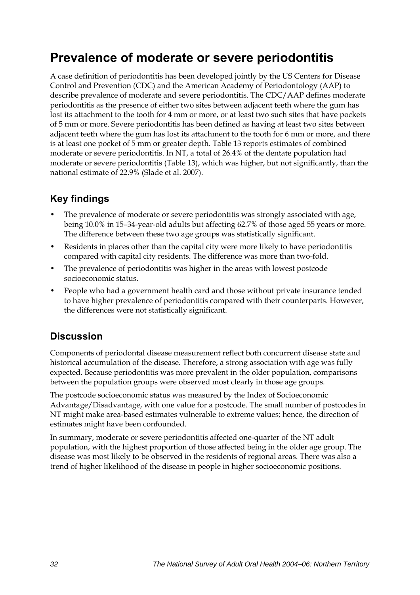## **Prevalence of moderate or severe periodontitis**

A case definition of periodontitis has been developed jointly by the US Centers for Disease Control and Prevention (CDC) and the American Academy of Periodontology (AAP) to describe prevalence of moderate and severe periodontitis. The CDC/AAP defines moderate periodontitis as the presence of either two sites between adjacent teeth where the gum has lost its attachment to the tooth for 4 mm or more, or at least two such sites that have pockets of 5 mm or more. Severe periodontitis has been defined as having at least two sites between adjacent teeth where the gum has lost its attachment to the tooth for 6 mm or more, and there is at least one pocket of 5 mm or greater depth. Table 13 reports estimates of combined moderate or severe periodontitis. In NT, a total of 26.4% of the dentate population had moderate or severe periodontitis [\(Table 13\)](#page-40-0), which was higher, but not significantly, than the national estimate of 22.9% (Slade et al. 2007).

## **Key findings**

- The prevalence of moderate or severe periodontitis was strongly associated with age, being 10.0% in 15–34-year-old adults but affecting 62.7% of those aged 55 years or more. The difference between these two age groups was statistically significant.
- Residents in places other than the capital city were more likely to have periodontitis compared with capital city residents. The difference was more than two-fold.
- The prevalence of periodontitis was higher in the areas with lowest postcode socioeconomic status.
- People who had a government health card and those without private insurance tended to have higher prevalence of periodontitis compared with their counterparts. However, the differences were not statistically significant.

## **Discussion**

Components of periodontal disease measurement reflect both concurrent disease state and historical accumulation of the disease. Therefore, a strong association with age was fully expected. Because periodontitis was more prevalent in the older population, comparisons between the population groups were observed most clearly in those age groups.

The postcode socioeconomic status was measured by the Index of Socioeconomic Advantage/Disadvantage, with one value for a postcode. The small number of postcodes in NT might make area-based estimates vulnerable to extreme values; hence, the direction of estimates might have been confounded.

In summary, moderate or severe periodontitis affected one-quarter of the NT adult population, with the highest proportion of those affected being in the older age group. The disease was most likely to be observed in the residents of regional areas. There was also a trend of higher likelihood of the disease in people in higher socioeconomic positions.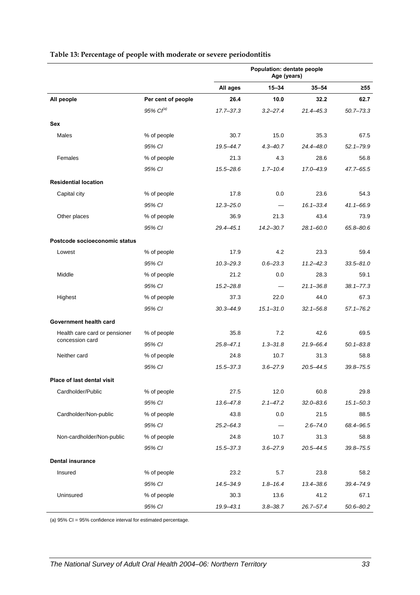|                               |                    | Population: dentate people<br>Age (years) |               |               |               |
|-------------------------------|--------------------|-------------------------------------------|---------------|---------------|---------------|
|                               |                    | All ages                                  | 15-34         | $35 - 54$     | ≥55           |
| All people                    | Per cent of people | 26.4                                      | 10.0          | 32.2          | 62.7          |
|                               | $95\%$ $Cl^{(a)}$  | 17.7-37.3                                 | $3.2 - 27.4$  | 21.4-45.3     | $50.7 - 73.3$ |
| Sex                           |                    |                                           |               |               |               |
| Males                         | % of people        | 30.7                                      | 15.0          | 35.3          | 67.5          |
|                               | 95% CI             | 19.5-44.7                                 | $4.3 - 40.7$  | 24.4-48.0     | $52.1 - 79.9$ |
| Females                       | % of people        | 21.3                                      | 4.3           | 28.6          | 56.8          |
|                               | 95% CI             | 15.5-28.6                                 | $1.7 - 10.4$  | 17.0-43.9     | 47.7-65.5     |
| <b>Residential location</b>   |                    |                                           |               |               |               |
| Capital city                  | % of people        | 17.8                                      | 0.0           | 23.6          | 54.3          |
|                               | 95% CI             | $12.3 - 25.0$                             |               | $16.1 - 33.4$ | $41.1 - 66.9$ |
| Other places                  | % of people        | 36.9                                      | 21.3          | 43.4          | 73.9          |
|                               | 95% CI             | $29.4 - 45.1$                             | $14.2 - 30.7$ | $28.1 - 60.0$ | 65.8-80.6     |
| Postcode socioeconomic status |                    |                                           |               |               |               |
| Lowest                        | % of people        | 17.9                                      | 4.2           | 23.3          | 59.4          |
|                               | 95% CI             | $10.3 - 29.3$                             | $0.6 - 23.3$  | $11.2 - 42.3$ | $33.5 - 81.0$ |
| Middle                        | % of people        | 21.2                                      | 0.0           | 28.3          | 59.1          |
|                               | 95% CI             | $15.2 - 28.8$                             |               | $21.1 - 36.8$ | $38.1 - 77.3$ |
| Highest                       | % of people        | 37.3                                      | 22.0          | 44.0          | 67.3          |
|                               | 95% CI             | $30.3 - 44.9$                             | $15.1 - 31.0$ | $32.1 - 56.8$ | $57.1 - 76.2$ |
| Government health card        |                    |                                           |               |               |               |
| Health care card or pensioner | % of people        | 35.8                                      | 7.2           | 42.6          | 69.5          |
| concession card               | 95% CI             | $25.8 - 47.1$                             | $1.3 - 31.8$  | $21.9 - 66.4$ | $50.1 - 83.8$ |
| Neither card                  | % of people        | 24.8                                      | 10.7          | 31.3          | 58.8          |
|                               | 95% CI             | 15.5-37.3                                 | $3.6 - 27.9$  | $20.5 - 44.5$ | $39.8 - 75.5$ |
| Place of last dental visit    |                    |                                           |               |               |               |
| Cardholder/Public             | % of people        | 27.5                                      | 12.0          | 60.8          | 29.8          |
|                               | 95% CI             | 13.6-47.8                                 | $2.1 - 47.2$  | $32.0 - 83.6$ | $15.1 - 50.3$ |
| Cardholder/Non-public         | % of people        | 43.8                                      | 0.0           | 21.5          | 88.5          |
|                               | 95% CI             | $25.2 - 64.3$                             |               | $2.6 - 74.0$  | 68.4-96.5     |
| Non-cardholder/Non-public     | % of people        | 24.8                                      | 10.7          | 31.3          | 58.8          |
|                               | 95% CI             | $15.5 - 37.3$                             | $3.6 - 27.9$  | $20.5 - 44.5$ | $39.8 - 75.5$ |
| <b>Dental insurance</b>       |                    |                                           |               |               |               |
| Insured                       | % of people        | 23.2                                      | 5.7           | 23.8          | 58.2          |
|                               | 95% CI             | 14.5-34.9                                 | $1.8 - 16.4$  | 13.4-38.6     | 39.4-74.9     |
| Uninsured                     | % of people        | 30.3                                      | 13.6          | 41.2          | 67.1          |
|                               | 95% CI             | 19.9-43.1                                 | $3.8 - 38.7$  | $26.7 - 57.4$ | $50.6 - 80.2$ |

#### <span id="page-40-0"></span>**Table 13: Percentage of people with moderate or severe periodontitis**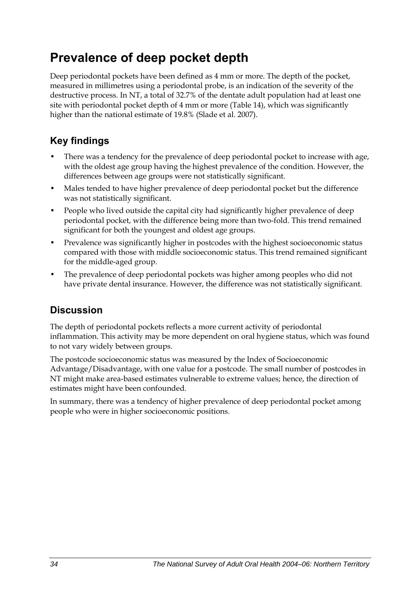## **Prevalence of deep pocket depth**

Deep periodontal pockets have been defined as 4 mm or more. The depth of the pocket, measured in millimetres using a periodontal probe, is an indication of the severity of the destructive process. In NT, a total of 32.7% of the dentate adult population had at least one site with periodontal pocket depth of 4 mm or more [\(Table 14\)](#page-42-0), which was significantly higher than the national estimate of 19.8% (Slade et al. 2007).

## **Key findings**

- There was a tendency for the prevalence of deep periodontal pocket to increase with age, with the oldest age group having the highest prevalence of the condition. However, the differences between age groups were not statistically significant.
- Males tended to have higher prevalence of deep periodontal pocket but the difference was not statistically significant.
- People who lived outside the capital city had significantly higher prevalence of deep periodontal pocket, with the difference being more than two-fold. This trend remained significant for both the youngest and oldest age groups.
- Prevalence was significantly higher in postcodes with the highest socioeconomic status compared with those with middle socioeconomic status. This trend remained significant for the middle-aged group.
- The prevalence of deep periodontal pockets was higher among peoples who did not have private dental insurance. However, the difference was not statistically significant.

## **Discussion**

The depth of periodontal pockets reflects a more current activity of periodontal inflammation. This activity may be more dependent on oral hygiene status, which was found to not vary widely between groups.

The postcode socioeconomic status was measured by the Index of Socioeconomic Advantage/Disadvantage, with one value for a postcode. The small number of postcodes in NT might make area-based estimates vulnerable to extreme values; hence, the direction of estimates might have been confounded.

In summary, there was a tendency of higher prevalence of deep periodontal pocket among people who were in higher socioeconomic positions.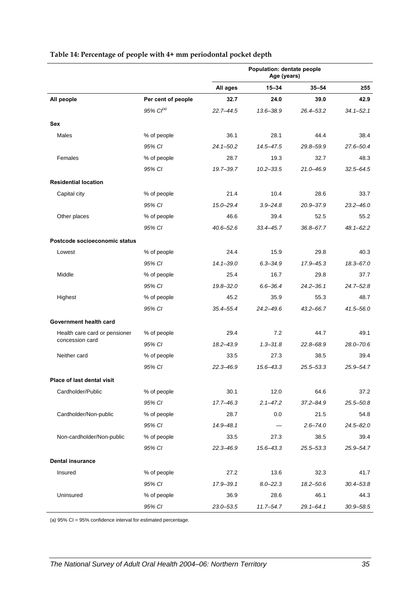|                               |                    | Population: dentate people<br>Age (years) |               |               |               |
|-------------------------------|--------------------|-------------------------------------------|---------------|---------------|---------------|
|                               |                    | All ages                                  | $15 - 34$     | $35 - 54$     | $\geq 55$     |
| All people                    | Per cent of people | 32.7                                      | 24.0          | 39.0          | 42.9          |
|                               | $95\%$ $Cl^{(a)}$  | $22.7 - 44.5$                             | $13.6 - 38.9$ | 26.4-53.2     | $34.1 - 52.1$ |
| <b>Sex</b>                    |                    |                                           |               |               |               |
| Males                         | % of people        | 36.1                                      | 28.1          | 44.4          | 38.4          |
|                               | 95% CI             | $24.1 - 50.2$                             | $14.5 - 47.5$ | 29.8-59.9     | 27.6-50.4     |
| Females                       | % of people        | 28.7                                      | 19.3          | 32.7          | 48.3          |
|                               | 95% CI             | 19.7-39.7                                 | $10.2 - 33.5$ | 21.0-46.9     | $32.5 - 64.5$ |
| <b>Residential location</b>   |                    |                                           |               |               |               |
| Capital city                  | % of people        | 21.4                                      | 10.4          | 28.6          | 33.7          |
|                               | 95% CI             | $15.0 - 29.4$                             | $3.9 - 24.8$  | $20.9 - 37.9$ | $23.2 - 46.0$ |
| Other places                  | % of people        | 46.6                                      | 39.4          | 52.5          | 55.2          |
|                               | 95% CI             | 40.6-52.6                                 | $33.4 - 45.7$ | 36.8-67.7     | $48.1 - 62.2$ |
| Postcode socioeconomic status |                    |                                           |               |               |               |
| Lowest                        | % of people        | 24.4                                      | 15.9          | 29.8          | 40.3          |
|                               | 95% CI             | $14.1 - 39.0$                             | $6.3 - 34.9$  | 17.9 - 45.3   | 18.3-67.0     |
| Middle                        | % of people        | 25.4                                      | 16.7          | 29.8          | 37.7          |
|                               | 95% CI             | $19.8 - 32.0$                             | $6.6 - 36.4$  | $24.2 - 36.1$ | $24.7 - 52.8$ |
| Highest                       | % of people        | 45.2                                      | 35.9          | 55.3          | 48.7          |
|                               | 95% CI             | 35.4 - 55.4                               | $24.2 - 49.6$ | 43.2-66.7     | $41.5 - 56.0$ |
| Government health card        |                    |                                           |               |               |               |
| Health care card or pensioner | % of people        | 29.4                                      | 7.2           | 44.7          | 49.1          |
| concession card               | 95% CI             | 18.2-43.9                                 | $1.3 - 31.8$  | 22.8-68.9     | $28.0 - 70.6$ |
| Neither card                  | % of people        | 33.5                                      | 27.3          | 38.5          | 39.4          |
|                               | 95% CI             | $22.3 - 46.9$                             | $15.6 - 43.3$ | $25.5 - 53.3$ | $25.9 - 54.7$ |
| Place of last dental visit    |                    |                                           |               |               |               |
| Cardholder/Public             | % of people        | 30.1                                      | 12.0          | 64.6          | 37.2          |
|                               | 95% CI             | 17.7-46.3                                 | $2.1 - 47.2$  | $37.2 - 84.9$ | $25.5 - 50.8$ |
| Cardholder/Non-public         | % of people        | 28.7                                      | $0.0\,$       | 21.5          | 54.8          |
|                               | 95% CI             | 14.9-48.1                                 |               | $2.6 - 74.0$  | $24.5 - 82.0$ |
| Non-cardholder/Non-public     | % of people        | 33.5                                      | 27.3          | 38.5          | 39.4          |
|                               | 95% CI             | $22.3 - 46.9$                             | $15.6 - 43.3$ | $25.5 - 53.3$ | 25.9-54.7     |
| <b>Dental insurance</b>       |                    |                                           |               |               |               |
| Insured                       | % of people        | 27.2                                      | 13.6          | 32.3          | 41.7          |
|                               | 95% CI             | 17.9-39.1                                 | $8.0 - 22.3$  | $18.2 - 50.6$ | $30.4 - 53.8$ |
| Uninsured                     | % of people        | 36.9                                      | 28.6          | 46.1          | 44.3          |
|                               | 95% CI             | 23.0-53.5                                 | $11.7 - 54.7$ | $29.1 - 64.1$ | $30.9 - 58.5$ |

#### <span id="page-42-0"></span>**Table 14: Percentage of people with 4+ mm periodontal pocket depth**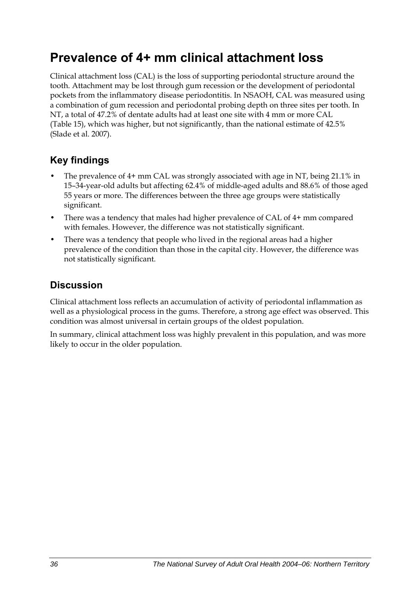## **Prevalence of 4+ mm clinical attachment loss**

Clinical attachment loss (CAL) is the loss of supporting periodontal structure around the tooth. Attachment may be lost through gum recession or the development of periodontal pockets from the inflammatory disease periodontitis. In NSAOH, CAL was measured using a combination of gum recession and periodontal probing depth on three sites per tooth. In NT, a total of 47.2% of dentate adults had at least one site with 4 mm or more CAL ([Table 15](#page-44-0)), which was higher, but not significantly, than the national estimate of 42.5% (Slade et al. 2007).

## **Key findings**

- The prevalence of 4+ mm CAL was strongly associated with age in NT, being 21.1% in 15–34-year-old adults but affecting 62.4% of middle-aged adults and 88.6% of those aged 55 years or more. The differences between the three age groups were statistically significant.
- There was a tendency that males had higher prevalence of CAL of 4+ mm compared with females. However, the difference was not statistically significant.
- There was a tendency that people who lived in the regional areas had a higher prevalence of the condition than those in the capital city. However, the difference was not statistically significant.

## **Discussion**

Clinical attachment loss reflects an accumulation of activity of periodontal inflammation as well as a physiological process in the gums. Therefore, a strong age effect was observed. This condition was almost universal in certain groups of the oldest population.

In summary, clinical attachment loss was highly prevalent in this population, and was more likely to occur in the older population.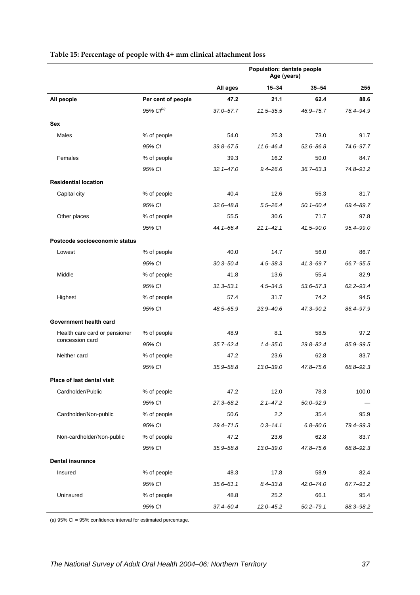|                               |                       | Population: dentate people<br>Age (years) |               |               |               |
|-------------------------------|-----------------------|-------------------------------------------|---------------|---------------|---------------|
|                               |                       | All ages                                  | $15 - 34$     | $35 - 54$     | $\geq 55$     |
| All people                    | Per cent of people    | 47.2                                      | 21.1          | 62.4          | 88.6          |
|                               | 95% Cl <sup>(a)</sup> | 37.0-57.7                                 | $11.5 - 35.5$ | 46.9-75.7     | 76.4-94.9     |
| Sex                           |                       |                                           |               |               |               |
| Males                         | % of people           | 54.0                                      | 25.3          | 73.0          | 91.7          |
|                               | 95% CI                | $39.8 - 67.5$                             | $11.6 - 46.4$ | $52.6 - 86.8$ | 74.6-97.7     |
| Females                       | % of people           | 39.3                                      | 16.2          | 50.0          | 84.7          |
|                               | 95% CI                | $32.1 - 47.0$                             | $9.4 - 26.6$  | $36.7 - 63.3$ | 74.8-91.2     |
| <b>Residential location</b>   |                       |                                           |               |               |               |
| Capital city                  | % of people           | 40.4                                      | 12.6          | 55.3          | 81.7          |
|                               | 95% CI                | $32.6 - 48.8$                             | $5.5 - 26.4$  | $50.1 - 60.4$ | 69.4-89.7     |
| Other places                  | % of people           | 55.5                                      | 30.6          | 71.7          | 97.8          |
|                               | 95% CI                | $44.1 - 66.4$                             | $21.1 - 42.1$ | 41.5-90.0     | $95.4 - 99.0$ |
| Postcode socioeconomic status |                       |                                           |               |               |               |
| Lowest                        | % of people           | 40.0                                      | 14.7          | 56.0          | 86.7          |
|                               | 95% CI                | $30.3 - 50.4$                             | $4.5 - 38.3$  | $41.3 - 69.7$ | 66.7-95.5     |
| Middle                        | % of people           | 41.8                                      | 13.6          | 55.4          | 82.9          |
|                               | 95% CI                | $31.3 - 53.1$                             | $4.5 - 34.5$  | 53.6-57.3     | $62.2 - 93.4$ |
| Highest                       | % of people           | 57.4                                      | 31.7          | 74.2          | 94.5          |
|                               | 95% CI                | 48.5-65.9                                 | $23.9 - 40.6$ | 47.3-90.2     | 86.4-97.9     |
| Government health card        |                       |                                           |               |               |               |
| Health care card or pensioner | % of people           | 48.9                                      | 8.1           | 58.5          | 97.2          |
| concession card               | 95% CI                | $35.7 - 62.4$                             | $1.4 - 35.0$  | 29.8-82.4     | 85.9-99.5     |
| Neither card                  | % of people           | 47.2                                      | 23.6          | 62.8          | 83.7          |
|                               | 95% CI                | $35.9 - 58.8$                             | $13.0 - 39.0$ | 47.8-75.6     | 68.8-92.3     |
| Place of last dental visit    |                       |                                           |               |               |               |
| Cardholder/Public             | % of people           | 47.2                                      | 12.0          | 78.3          | 100.0         |
|                               | 95% CI                | 27.3-68.2                                 | $2.1 - 47.2$  | 50.0-92.9     |               |
| Cardholder/Non-public         | % of people           | 50.6                                      | 2.2           | 35.4          | 95.9          |
|                               | 95% CI                | 29.4-71.5                                 | $0.3 - 14.1$  | $6.8 - 80.6$  | 79.4-99.3     |
| Non-cardholder/Non-public     | % of people           | 47.2                                      | 23.6          | 62.8          | 83.7          |
|                               | 95% CI                | $35.9 - 58.8$                             | $13.0 - 39.0$ | 47.8-75.6     | 68.8-92.3     |
| <b>Dental insurance</b>       |                       |                                           |               |               |               |
| Insured                       | % of people           | 48.3                                      | 17.8          | 58.9          | 82.4          |
|                               | 95% CI                | $35.6 - 61.1$                             | $8.4 - 33.8$  | 42.0-74.0     | 67.7-91.2     |
| Uninsured                     | % of people           | 48.8                                      | 25.2          | 66.1          | 95.4          |
|                               | 95% CI                | 37.4-60.4                                 | $12.0 - 45.2$ | $50.2 - 79.1$ | 88.3-98.2     |

#### <span id="page-44-0"></span>**Table 15: Percentage of people with 4+ mm clinical attachment loss**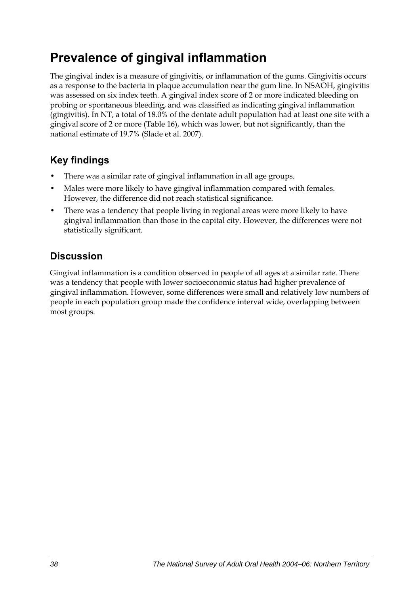## **Prevalence of gingival inflammation**

The gingival index is a measure of gingivitis, or inflammation of the gums. Gingivitis occurs as a response to the bacteria in plaque accumulation near the gum line. In NSAOH, gingivitis was assessed on six index teeth. A gingival index score of 2 or more indicated bleeding on probing or spontaneous bleeding, and was classified as indicating gingival inflammation (gingivitis). In NT, a total of 18.0% of the dentate adult population had at least one site with a gingival score of 2 or more [\(Table 16\)](#page-46-0), which was lower, but not significantly, than the national estimate of 19.7% (Slade et al. 2007).

## **Key findings**

- There was a similar rate of gingival inflammation in all age groups.
- Males were more likely to have gingival inflammation compared with females. However, the difference did not reach statistical significance.
- There was a tendency that people living in regional areas were more likely to have gingival inflammation than those in the capital city. However, the differences were not statistically significant.

### **Discussion**

Gingival inflammation is a condition observed in people of all ages at a similar rate. There was a tendency that people with lower socioeconomic status had higher prevalence of gingival inflammation. However, some differences were small and relatively low numbers of people in each population group made the confidence interval wide, overlapping between most groups.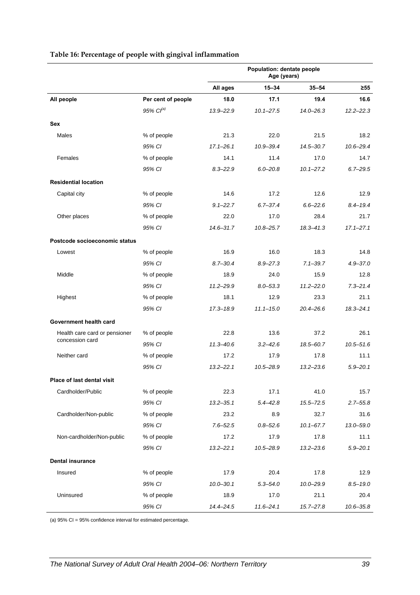<span id="page-46-0"></span>

|                               |                       | Population: dentate people<br>Age (years) |               |               |               |
|-------------------------------|-----------------------|-------------------------------------------|---------------|---------------|---------------|
|                               |                       | All ages                                  | $15 - 34$     | $35 - 54$     | $\geq 55$     |
| All people                    | Per cent of people    | 18.0                                      | 17.1          | 19.4          | 16.6          |
|                               | 95% Cl <sup>(a)</sup> | 13.9-22.9                                 | $10.1 - 27.5$ | $14.0 - 26.3$ | $12.2 - 22.3$ |
| Sex                           |                       |                                           |               |               |               |
| Males                         | % of people           | 21.3                                      | 22.0          | 21.5          | 18.2          |
|                               | 95% CI                | $17.1 - 26.1$                             | $10.9 - 39.4$ | $14.5 - 30.7$ | $10.6 - 29.4$ |
| Females                       | % of people           | 14.1                                      | 11.4          | 17.0          | 14.7          |
|                               | 95% CI                | $8.3 - 22.9$                              | $6.0 - 20.8$  | $10.1 - 27.2$ | $6.7 - 29.5$  |
| <b>Residential location</b>   |                       |                                           |               |               |               |
| Capital city                  | % of people           | 14.6                                      | 17.2          | 12.6          | 12.9          |
|                               | 95% CI                | $9.1 - 22.7$                              | $6.7 - 37.4$  | $6.6 - 22.6$  | $8.4 - 19.4$  |
| Other places                  | % of people           | 22.0                                      | 17.0          | 28.4          | 21.7          |
|                               | 95% CI                | $14.6 - 31.7$                             | $10.8 - 25.7$ | $18.3 - 41.3$ | $17.1 - 27.1$ |
| Postcode socioeconomic status |                       |                                           |               |               |               |
| Lowest                        | % of people           | 16.9                                      | 16.0          | 18.3          | 14.8          |
|                               | 95% CI                | $8.7 - 30.4$                              | $8.9 - 27.3$  | $7.1 - 39.7$  | $4.9 - 37.0$  |
| Middle                        | % of people           | 18.9                                      | 24.0          | 15.9          | 12.8          |
|                               | 95% CI                | $11.2 - 29.9$                             | $8.0 - 53.3$  | $11.2 - 22.0$ | $7.3 - 21.4$  |
| Highest                       | % of people           | 18.1                                      | 12.9          | 23.3          | 21.1          |
|                               | 95% CI                | $17.3 - 18.9$                             | $11.1 - 15.0$ | $20.4 - 26.6$ | $18.3 - 24.1$ |
| Government health card        |                       |                                           |               |               |               |
| Health care card or pensioner | % of people           | 22.8                                      | 13.6          | 37.2          | 26.1          |
| concession card               | 95% CI                | $11.3 - 40.6$                             | $3.2 - 42.6$  | 18.5-60.7     | $10.5 - 51.6$ |
| Neither card                  | % of people           | 17.2                                      | 17.9          | 17.8          | 11.1          |
|                               | 95% CI                | $13.2 - 22.1$                             | 10.5-28.9     | $13.2 - 23.6$ | $5.9 - 20.1$  |
| Place of last dental visit    |                       |                                           |               |               |               |
| Cardholder/Public             | % of people           | 22.3                                      | 17.1          | 41.0          | 15.7          |
|                               | 95% CI                | $13.2 - 35.1$                             | $5.4 - 42.8$  | $15.5 - 72.5$ | $2.7 - 55.8$  |
| Cardholder/Non-public         | % of people           | 23.2                                      | 8.9           | 32.7          | 31.6          |
|                               | 95% CI                | $7.6 - 52.5$                              | $0.8 - 52.6$  | $10.1 - 67.7$ | $13.0 - 59.0$ |
| Non-cardholder/Non-public     | % of people           | 17.2                                      | 17.9          | 17.8          | 11.1          |
|                               | 95% CI                | $13.2 - 22.1$                             | $10.5 - 28.9$ | $13.2 - 23.6$ | $5.9 - 20.1$  |
| <b>Dental insurance</b>       |                       |                                           |               |               |               |
| Insured                       | % of people           | 17.9                                      | 20.4          | 17.8          | 12.9          |
|                               | 95% CI                | $10.0 - 30.1$                             | $5.3 - 54.0$  | $10.0 - 29.9$ | $8.5 - 19.0$  |
| Uninsured                     | % of people           | 18.9                                      | 17.0          | 21.1          | 20.4          |
|                               | 95% CI                | $14.4 - 24.5$                             | $11.6 - 24.1$ | $15.7 - 27.8$ | $10.6 - 35.8$ |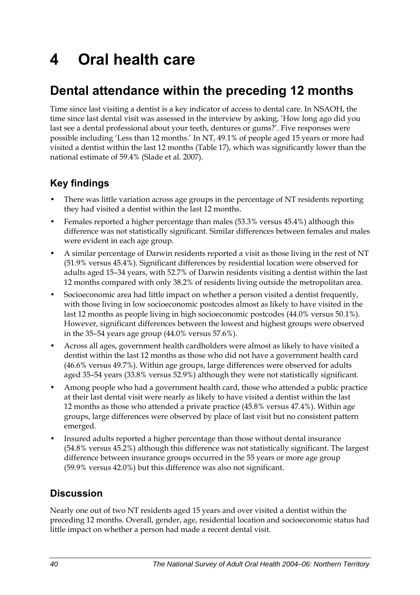# **4 Oral health care**

## **Dental attendance within the preceding 12 months**

Time since last visiting a dentist is a key indicator of access to dental care. In NSAOH, the time since last dental visit was assessed in the interview by asking, 'How long ago did you last see a dental professional about your teeth, dentures or gums?'. Five responses were possible including 'Less than 12 months.' In NT, 49.1% of people aged 15 years or more had visited a dentist within the last 12 months [\(Table 17\)](#page-48-0), which was significantly lower than the national estimate of 59.4% (Slade et al. 2007).

## **Key findings**

- There was little variation across age groups in the percentage of NT residents reporting they had visited a dentist within the last 12 months.
- Females reported a higher percentage than males (53.3% versus 45.4%) although this difference was not statistically significant. Similar differences between females and males were evident in each age group.
- A similar percentage of Darwin residents reported a visit as those living in the rest of NT (51.9% versus 45.4%). Significant differences by residential location were observed for adults aged 15–34 years, with 52.7% of Darwin residents visiting a dentist within the last 12 months compared with only 38.2% of residents living outside the metropolitan area.
- Socioeconomic area had little impact on whether a person visited a dentist frequently, with those living in low socioeconomic postcodes almost as likely to have visited in the last 12 months as people living in high socioeconomic postcodes (44.0% versus 50.1%). However, significant differences between the lowest and highest groups were observed in the 35–54 years age group (44.0% versus 57.6%).
- Across all ages, government health cardholders were almost as likely to have visited a dentist within the last 12 months as those who did not have a government health card (46.6% versus 49.7%). Within age groups, large differences were observed for adults aged 35–54 years (33.8% versus 52.9%) although they were not statistically significant.
- Among people who had a government health card, those who attended a public practice at their last dental visit were nearly as likely to have visited a dentist within the last 12 months as those who attended a private practice (45.8% versus 47.4%). Within age groups, large differences were observed by place of last visit but no consistent pattern emerged.
- Insured adults reported a higher percentage than those without dental insurance (54.8% versus 45.2%) although this difference was not statistically significant. The largest difference between insurance groups occurred in the 55 years or more age group (59.9% versus 42.0%) but this difference was also not significant.

### **Discussion**

Nearly one out of two NT residents aged 15 years and over visited a dentist within the preceding 12 months. Overall, gender, age, residential location and socioeconomic status had little impact on whether a person had made a recent dental visit.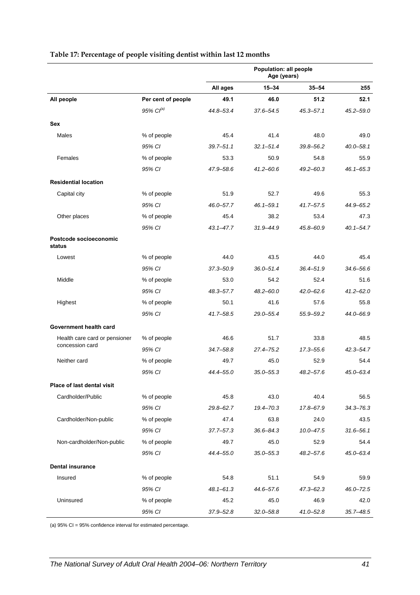|                                  |                    | Population: all people<br>Age (years) |               |               |               |
|----------------------------------|--------------------|---------------------------------------|---------------|---------------|---------------|
|                                  |                    | All ages                              | $15 - 34$     | $35 - 54$     | $\geq 55$     |
| All people                       | Per cent of people | 49.1                                  | 46.0          | 51.2          | 52.1          |
|                                  | $95\%$ $Cl^{(a)}$  | 44.8-53.4                             | $37.6 - 54.5$ | $45.3 - 57.1$ | $45.2 - 59.0$ |
| Sex                              |                    |                                       |               |               |               |
| Males                            | % of people        | 45.4                                  | 41.4          | 48.0          | 49.0          |
|                                  | 95% CI             | $39.7 - 51.1$                         | $32.1 - 51.4$ | $39.8 - 56.2$ | $40.0 - 58.1$ |
| Females                          | % of people        | 53.3                                  | 50.9          | 54.8          | 55.9          |
|                                  | 95% CI             | 47.9-58.6                             | $41.2 - 60.6$ | 49.2-60.3     | $46.1 - 65.3$ |
| <b>Residential location</b>      |                    |                                       |               |               |               |
| Capital city                     | % of people        | 51.9                                  | 52.7          | 49.6          | 55.3          |
|                                  | 95% CI             | $46.0 - 57.7$                         | $46.1 - 59.1$ | $41.7 - 57.5$ | 44.9-65.2     |
| Other places                     | % of people        | 45.4                                  | 38.2          | 53.4          | 47.3          |
|                                  | 95% CI             | $43.1 - 47.7$                         | $31.9 - 44.9$ | 45.8–60.9     | $40.1 - 54.7$ |
| Postcode socioeconomic<br>status |                    |                                       |               |               |               |
| Lowest                           | % of people        | 44.0                                  | 43.5          | 44.0          | 45.4          |
|                                  | 95% CI             | $37.3 - 50.9$                         | $36.0 - 51.4$ | $36.4 - 51.9$ | 34.6-56.6     |
| Middle                           | % of people        | 53.0                                  | 54.2          | 52.4          | 51.6          |
|                                  | 95% CI             | 48.3-57.7                             | $48.2 - 60.0$ | $42.0 - 62.6$ | $41.2 - 62.0$ |
| Highest                          | % of people        | 50.1                                  | 41.6          | 57.6          | 55.8          |
|                                  | 95% CI             | 41.7-58.5                             | 29.0-55.4     | 55.9 - 59.2   | 44.0-66.9     |
| Government health card           |                    |                                       |               |               |               |
| Health care card or pensioner    | % of people        | 46.6                                  | 51.7          | 33.8          | 48.5          |
| concession card                  | 95% CI             | 34.7-58.8                             | $27.4 - 75.2$ | $17.3 - 55.6$ | $42.3 - 54.7$ |
| Neither card                     | % of people        | 49.7                                  | 45.0          | 52.9          | 54.4          |
|                                  | 95% CI             | 44.4-55.0                             | $35.0 - 55.3$ | 48.2-57.6     | 45.0-63.4     |
| Place of last dental visit       |                    |                                       |               |               |               |
| Cardholder/Public                | % of people        | 45.8                                  | 43.0          | 40.4          | 56.5          |
|                                  | 95% CI             | 29.8-62.7                             | 19.4-70.3     | 17.8-67.9     | $34.3 - 76.3$ |
| Cardholder/Non-public            | % of people        | 47.4                                  | 63.8          | 24.0          | 43.5          |
|                                  | 95% CI             | $37.7 - 57.3$                         | $36.6 - 84.3$ | $10.0 - 47.5$ | $31.6 - 56.1$ |
| Non-cardholder/Non-public        | % of people        | 49.7                                  | 45.0          | 52.9          | 54.4          |
|                                  | 95% CI             | 44.4-55.0                             | $35.0 - 55.3$ | 48.2–57.6     | 45.0-63.4     |
| <b>Dental insurance</b>          |                    |                                       |               |               |               |
| Insured                          | % of people        | 54.8                                  | 51.1          | 54.9          | 59.9          |
|                                  | 95% CI             | $48.1 - 61.3$                         | 44.6-57.6     | $47.3 - 62.3$ | $46.0 - 72.5$ |
| Uninsured                        | % of people        | 45.2                                  | 45.0          | 46.9          | 42.0          |
|                                  | 95% CI             | $37.9 - 52.8$                         | $32.0 - 58.8$ | $41.0 - 52.8$ | $35.7 - 48.5$ |

#### <span id="page-48-0"></span>**Table 17: Percentage of people visiting dentist within last 12 months**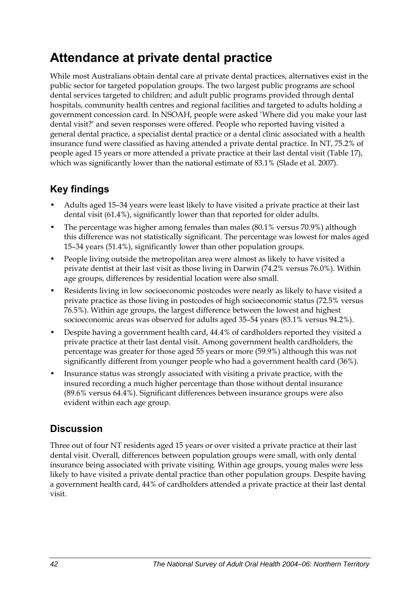## **Attendance at private dental practice**

While most Australians obtain dental care at private dental practices, alternatives exist in the public sector for targeted population groups. The two largest public programs are school dental services targeted to children; and adult public programs provided through dental hospitals, community health centres and regional facilities and targeted to adults holding a government concession card. In NSOAH, people were asked 'Where did you make your last dental visit?' and seven responses were offered. People who reported having visited a general dental practice, a specialist dental practice or a dental clinic associated with a health insurance fund were classified as having attended a private dental practice. In NT, 75.2% of people aged 15 years or more attended a private practice at their last dental visit ([Table 17\)](#page-48-0), which was significantly lower than the national estimate of 83.1% (Slade et al. 2007).

## **Key findings**

- Adults aged 15–34 years were least likely to have visited a private practice at their last dental visit (61.4%), significantly lower than that reported for older adults.
- The percentage was higher among females than males (80.1% versus 70.9%) although this difference was not statistically significant. The percentage was lowest for males aged 15–34 years (51.4%), significantly lower than other population groups.
- People living outside the metropolitan area were almost as likely to have visited a private dentist at their last visit as those living in Darwin (74.2% versus 76.0%). Within age groups, differences by residential location were also small.
- Residents living in low socioeconomic postcodes were nearly as likely to have visited a private practice as those living in postcodes of high socioeconomic status (72.5% versus 76.5%). Within age groups, the largest difference between the lowest and highest socioeconomic areas was observed for adults aged 35–54 years (83.1% versus 94.2%).
- Despite having a government health card, 44.4% of cardholders reported they visited a private practice at their last dental visit. Among government health cardholders, the percentage was greater for those aged 55 years or more (59.9%) although this was not significantly different from younger people who had a government health card (36%).
- Insurance status was strongly associated with visiting a private practice, with the insured recording a much higher percentage than those without dental insurance (89.6% versus 64.4%). Significant differences between insurance groups were also evident within each age group.

### **Discussion**

Three out of four NT residents aged 15 years or over visited a private practice at their last dental visit. Overall, differences between population groups were small, with only dental insurance being associated with private visiting. Within age groups, young males were less likely to have visited a private dental practice than other population groups. Despite having a government health card, 44% of cardholders attended a private practice at their last dental visit.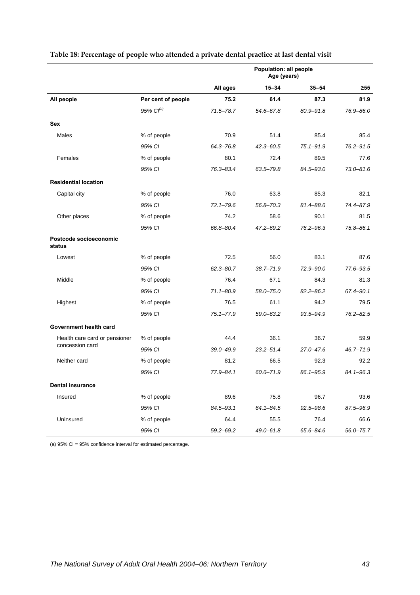|                                  |                       | Population: all people<br>Age (years) |               |               |               |
|----------------------------------|-----------------------|---------------------------------------|---------------|---------------|---------------|
|                                  |                       | All ages                              | $15 - 34$     | $35 - 54$     | $\geq 55$     |
| All people                       | Per cent of people    | 75.2                                  | 61.4          | 87.3          | 81.9          |
|                                  | 95% Cl <sup>(a)</sup> | 71.5-78.7                             | 54.6-67.8     | $80.9 - 91.8$ | 76.9-86.0     |
| Sex                              |                       |                                       |               |               |               |
| Males                            | % of people           | 70.9                                  | 51.4          | 85.4          | 85.4          |
|                                  | 95% CI                | 64.3-76.8                             | $42.3 - 60.5$ | $75.1 - 91.9$ | 76.2-91.5     |
| Females                          | % of people           | 80.1                                  | 72.4          | 89.5          | 77.6          |
|                                  | 95% CI                | 76.3-83.4                             | 63.5-79.8     | 84.5-93.0     | $73.0 - 81.6$ |
| <b>Residential location</b>      |                       |                                       |               |               |               |
| Capital city                     | % of people           | 76.0                                  | 63.8          | 85.3          | 82.1          |
|                                  | 95% CI                | $72.1 - 79.6$                         | 56.8-70.3     | 81.4-88.6     | 74.4-87.9     |
| Other places                     | % of people           | 74.2                                  | 58.6          | 90.1          | 81.5          |
|                                  | 95% CI                | 66.8-80.4                             | 47.2-69.2     | 76.2-96.3     | $75.8 - 86.1$ |
| Postcode socioeconomic<br>status |                       |                                       |               |               |               |
| Lowest                           | % of people           | 72.5                                  | 56.0          | 83.1          | 87.6          |
|                                  | 95% CI                | $62.3 - 80.7$                         | $38.7 - 71.9$ | 72.9-90.0     | 77.6-93.5     |
| Middle                           | % of people           | 76.4                                  | 67.1          | 84.3          | 81.3          |
|                                  | 95% CI                | $71.1 - 80.9$                         | 58.0-75.0     | $82.2 - 86.2$ | 67.4-90.1     |
| Highest                          | % of people           | 76.5                                  | 61.1          | 94.2          | 79.5          |
|                                  | 95% CI                | $75.1 - 77.9$                         | 59.0-63.2     | 93.5-94.9     | 76.2-82.5     |
| Government health card           |                       |                                       |               |               |               |
| Health care card or pensioner    | % of people           | 44.4                                  | 36.1          | 36.7          | 59.9          |
| concession card                  | 95% CI                | 39.0-49.9                             | 23.2-51.4     | 27.0-47.6     | $46.7 - 71.9$ |
| Neither card                     | % of people           | 81.2                                  | 66.5          | 92.3          | 92.2          |
|                                  | 95% CI                | 77.9-84.1                             | 60.6-71.9     | 86.1-95.9     | $84.1 - 96.3$ |
| <b>Dental insurance</b>          |                       |                                       |               |               |               |
| Insured                          | % of people           | 89.6                                  | 75.8          | 96.7          | 93.6          |
|                                  | 95% CI                | 84.5-93.1                             | $64.1 - 84.5$ | $92.5 - 98.6$ | 87.5-96.9     |
| Uninsured                        | % of people           | 64.4                                  | 55.5          | 76.4          | 66.6          |
|                                  | 95% CI                | $59.2 - 69.2$                         | 49.0-61.8     | 65.6-84.6     | $56.0 - 75.7$ |

#### **Table 18: Percentage of people who attended a private dental practice at last dental visit**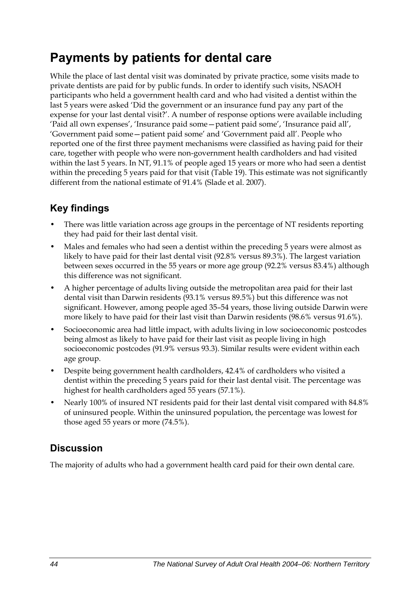## **Payments by patients for dental care**

While the place of last dental visit was dominated by private practice, some visits made to private dentists are paid for by public funds. In order to identify such visits, NSAOH participants who held a government health card and who had visited a dentist within the last 5 years were asked 'Did the government or an insurance fund pay any part of the expense for your last dental visit?'. A number of response options were available including 'Paid all own expenses', 'Insurance paid some—patient paid some', 'Insurance paid all', 'Government paid some—patient paid some' and 'Government paid all'. People who reported one of the first three payment mechanisms were classified as having paid for their care, together with people who were non-government health cardholders and had visited within the last 5 years. In NT, 91.1% of people aged 15 years or more who had seen a dentist within the preceding 5 years paid for that visit ([Table 19](#page-52-0)). This estimate was not significantly different from the national estimate of 91.4% (Slade et al. 2007).

## **Key findings**

- There was little variation across age groups in the percentage of NT residents reporting they had paid for their last dental visit.
- Males and females who had seen a dentist within the preceding 5 years were almost as likely to have paid for their last dental visit (92.8% versus 89.3%). The largest variation between sexes occurred in the 55 years or more age group (92.2% versus 83.4%) although this difference was not significant.
- A higher percentage of adults living outside the metropolitan area paid for their last dental visit than Darwin residents (93.1% versus 89.5%) but this difference was not significant. However, among people aged 35–54 years, those living outside Darwin were more likely to have paid for their last visit than Darwin residents (98.6% versus 91.6%).
- Socioeconomic area had little impact, with adults living in low socioeconomic postcodes being almost as likely to have paid for their last visit as people living in high socioeconomic postcodes (91.9% versus 93.3). Similar results were evident within each age group.
- Despite being government health cardholders, 42.4% of cardholders who visited a dentist within the preceding 5 years paid for their last dental visit. The percentage was highest for health cardholders aged 55 years (57.1%).
- Nearly 100% of insured NT residents paid for their last dental visit compared with 84.8% of uninsured people. Within the uninsured population, the percentage was lowest for those aged 55 years or more (74.5%).

## **Discussion**

The majority of adults who had a government health card paid for their own dental care.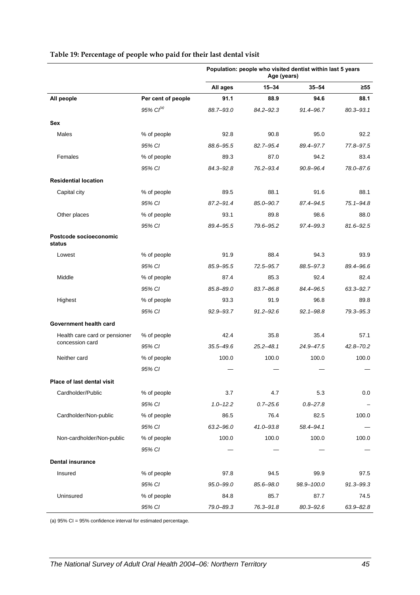|                                  |                    | Population: people who visited dentist within last 5 years<br>Age (years) |               |               |               |
|----------------------------------|--------------------|---------------------------------------------------------------------------|---------------|---------------|---------------|
|                                  |                    | All ages                                                                  | $15 - 34$     | $35 - 54$     | $\geq 55$     |
| All people                       | Per cent of people | 91.1                                                                      | 88.9          | 94.6          | 88.1          |
|                                  | 95% $Cl^{(a)}$     | 88.7-93.0                                                                 | 84.2-92.3     | 91.4-96.7     | $80.3 - 93.1$ |
| Sex                              |                    |                                                                           |               |               |               |
| Males                            | % of people        | 92.8                                                                      | 90.8          | 95.0          | 92.2          |
|                                  | 95% CI             | 88.6-95.5                                                                 | 82.7-95.4     | 89.4-97.7     | 77.8-97.5     |
| Females                          | % of people        | 89.3                                                                      | 87.0          | 94.2          | 83.4          |
|                                  | 95% CI             | 84.3-92.8                                                                 | 76.2-93.4     | $90.8 - 96.4$ | 78.0-87.6     |
| <b>Residential location</b>      |                    |                                                                           |               |               |               |
| Capital city                     | % of people        | 89.5                                                                      | 88.1          | 91.6          | 88.1          |
|                                  | 95% CI             | $87.2 - 91.4$                                                             | 85.0-90.7     | 87.4-94.5     | 75.1-94.8     |
| Other places                     | % of people        | 93.1                                                                      | 89.8          | 98.6          | 88.0          |
|                                  | 95% CI             | 89.4-95.5                                                                 | 79.6-95.2     | 97.4-99.3     | $81.6 - 92.5$ |
| Postcode socioeconomic<br>status |                    |                                                                           |               |               |               |
| Lowest                           | % of people        | 91.9                                                                      | 88.4          | 94.3          | 93.9          |
|                                  | 95% CI             | 85.9-95.5                                                                 | 72.5-95.7     | 88.5-97.3     | 89.4-96.6     |
| Middle                           | % of people        | 87.4                                                                      | 85.3          | 92.4          | 82.4          |
|                                  | 95% CI             | 85.8-89.0                                                                 | 83.7-86.8     | 84.4-96.5     | 63.3-92.7     |
| Highest                          | % of people        | 93.3                                                                      | 91.9          | 96.8          | 89.8          |
|                                  | 95% CI             | 92.9-93.7                                                                 | $91.2 - 92.6$ | $92.1 - 98.8$ | 79.3-95.3     |
| Government health card           |                    |                                                                           |               |               |               |
| Health care card or pensioner    | % of people        | 42.4                                                                      | 35.8          | 35.4          | 57.1          |
| concession card                  | 95% CI             | $35.5 - 49.6$                                                             | $25.2 - 48.1$ | 24.9-47.5     | $42.8 - 70.2$ |
| Neither card                     | % of people        | 100.0                                                                     | 100.0         | 100.0         | 100.0         |
|                                  | 95% CI             |                                                                           |               |               |               |
| Place of last dental visit       |                    |                                                                           |               |               |               |
| Cardholder/Public                | % of people        | 3.7                                                                       | 4.7           | 5.3           | 0.0           |
|                                  | 95% CI             | $1.0 - 12.2$                                                              | $0.7 - 25.6$  | $0.8 - 27.8$  |               |
| Cardholder/Non-public            | % of people        | 86.5                                                                      | 76.4          | 82.5          | 100.0         |
|                                  | 95% CI             | $63.2 - 96.0$                                                             | 41.0-93.8     | 58.4-94.1     |               |
| Non-cardholder/Non-public        | % of people        | 100.0                                                                     | 100.0         | 100.0         | 100.0         |
|                                  | 95% CI             |                                                                           |               |               |               |
| <b>Dental insurance</b>          |                    |                                                                           |               |               |               |
| Insured                          | % of people        | 97.8                                                                      | 94.5          | 99.9          | 97.5          |
|                                  | 95% CI             | 95.0-99.0                                                                 | 85.6-98.0     | 98.9-100.0    | 91.3-99.3     |
| Uninsured                        | % of people        | 84.8                                                                      | 85.7          | 87.7          | 74.5          |
|                                  | 95% CI             | 79.0-89.3                                                                 | 76.3-91.8     | 80.3-92.6     | 63.9-82.8     |

#### <span id="page-52-0"></span>**Table 19: Percentage of people who paid for their last dental visit**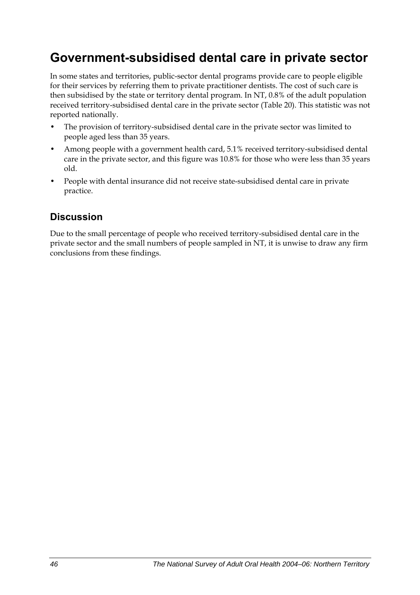## **Government-subsidised dental care in private sector**

In some states and territories, public-sector dental programs provide care to people eligible for their services by referring them to private practitioner dentists. The cost of such care is then subsidised by the state or territory dental program. In NT, 0.8% of the adult population received territory-subsidised dental care in the private sector [\(Table 20\)](#page-54-0). This statistic was not reported nationally.

- The provision of territory-subsidised dental care in the private sector was limited to people aged less than 35 years.
- Among people with a government health card, 5.1% received territory-subsidised dental care in the private sector, and this figure was 10.8% for those who were less than 35 years old.
- People with dental insurance did not receive state-subsidised dental care in private practice.

## **Discussion**

Due to the small percentage of people who received territory-subsidised dental care in the private sector and the small numbers of people sampled in NT, it is unwise to draw any firm conclusions from these findings.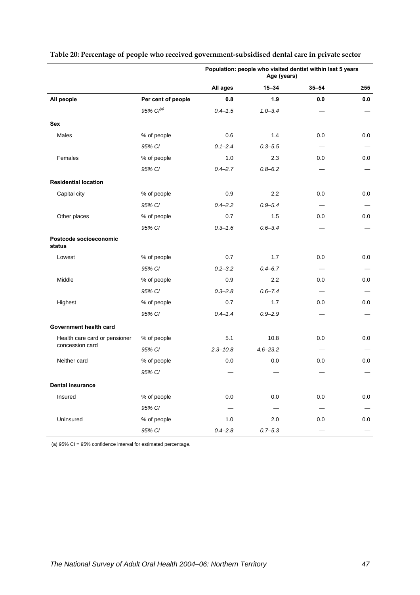|                                  |                       | Population: people who visited dentist within last 5 years<br>Age (years) |              |           |           |
|----------------------------------|-----------------------|---------------------------------------------------------------------------|--------------|-----------|-----------|
|                                  |                       | All ages                                                                  | $15 - 34$    | $35 - 54$ | $\geq 55$ |
| All people                       | Per cent of people    | 0.8                                                                       | 1.9          | 0.0       | 0.0       |
|                                  | 95% Cl <sup>(a)</sup> | $0.4 - 1.5$                                                               | $1.0 - 3.4$  |           |           |
| <b>Sex</b>                       |                       |                                                                           |              |           |           |
| Males                            | % of people           | 0.6                                                                       | 1.4          | 0.0       | 0.0       |
|                                  | 95% CI                | $0.1 - 2.4$                                                               | $0.3 - 5.5$  |           |           |
| Females                          | % of people           | 1.0                                                                       | 2.3          | 0.0       | 0.0       |
|                                  | 95% CI                | $0.4 - 2.7$                                                               | $0.8 - 6.2$  |           |           |
| <b>Residential location</b>      |                       |                                                                           |              |           |           |
| Capital city                     | % of people           | 0.9                                                                       | 2.2          | 0.0       | 0.0       |
|                                  | 95% CI                | $0.4 - 2.2$                                                               | $0.9 - 5.4$  |           |           |
| Other places                     | % of people           | 0.7                                                                       | 1.5          | 0.0       | 0.0       |
|                                  | 95% CI                | $0.3 - 1.6$                                                               | $0.6 - 3.4$  |           |           |
| Postcode socioeconomic<br>status |                       |                                                                           |              |           |           |
| Lowest                           | % of people           | 0.7                                                                       | 1.7          | 0.0       | 0.0       |
|                                  | 95% CI                | $0.2 - 3.2$                                                               | $0.4 - 6.7$  |           |           |
| Middle                           | % of people           | 0.9                                                                       | 2.2          | 0.0       | 0.0       |
|                                  | 95% CI                | $0.3 - 2.8$                                                               | $0.6 - 7.4$  |           |           |
| Highest                          | % of people           | 0.7                                                                       | 1.7          | 0.0       | 0.0       |
|                                  | 95% CI                | $0.4 - 1.4$                                                               | $0.9 - 2.9$  |           |           |
| Government health card           |                       |                                                                           |              |           |           |
| Health care card or pensioner    | % of people           | 5.1                                                                       | 10.8         | 0.0       | 0.0       |
| concession card                  | 95% CI                | $2.3 - 10.8$                                                              | $4.6 - 23.2$ |           |           |
| Neither card                     | % of people           | 0.0                                                                       | 0.0          | 0.0       | 0.0       |
|                                  | 95% CI                |                                                                           |              |           |           |
| <b>Dental insurance</b>          |                       |                                                                           |              |           |           |
| Insured                          | % of people           | $0.0\,$                                                                   | $0.0\,$      | $0.0\,$   | $0.0\,$   |
|                                  | 95% CI                |                                                                           |              |           |           |
| Uninsured                        | % of people           | $1.0$                                                                     | 2.0          | $0.0\,$   | 0.0       |
|                                  | 95% CI                | $0.4 - 2.8$                                                               | $0.7 - 5.3$  |           |           |

#### <span id="page-54-0"></span>**Table 20: Percentage of people who received government-subsidised dental care in private sector**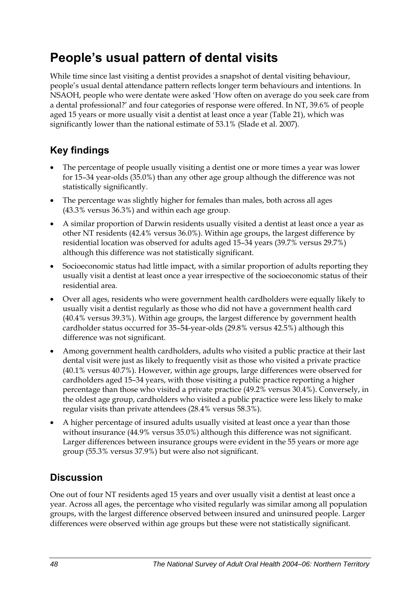## **People's usual pattern of dental visits**

While time since last visiting a dentist provides a snapshot of dental visiting behaviour, people's usual dental attendance pattern reflects longer term behaviours and intentions. In NSAOH, people who were dentate were asked 'How often on average do you seek care from a dental professional?' and four categories of response were offered. In NT, 39.6% of people aged 15 years or more usually visit a dentist at least once a year ([Table 21](#page-56-0)), which was significantly lower than the national estimate of 53.1% (Slade et al. 2007).

## **Key findings**

- The percentage of people usually visiting a dentist one or more times a year was lower for 15–34 year-olds (35.0%) than any other age group although the difference was not statistically significantly.
- The percentage was slightly higher for females than males, both across all ages (43.3% versus 36.3%) and within each age group.
- A similar proportion of Darwin residents usually visited a dentist at least once a year as other NT residents (42.4% versus 36.0%). Within age groups, the largest difference by residential location was observed for adults aged 15–34 years (39.7% versus 29.7%) although this difference was not statistically significant.
- Socioeconomic status had little impact, with a similar proportion of adults reporting they usually visit a dentist at least once a year irrespective of the socioeconomic status of their residential area.
- Over all ages, residents who were government health cardholders were equally likely to usually visit a dentist regularly as those who did not have a government health card (40.4% versus 39.3%). Within age groups, the largest difference by government health cardholder status occurred for 35–54-year-olds (29.8% versus 42.5%) although this difference was not significant.
- Among government health cardholders, adults who visited a public practice at their last dental visit were just as likely to frequently visit as those who visited a private practice (40.1% versus 40.7%). However, within age groups, large differences were observed for cardholders aged 15–34 years, with those visiting a public practice reporting a higher percentage than those who visited a private practice (49.2% versus 30.4%). Conversely, in the oldest age group, cardholders who visited a public practice were less likely to make regular visits than private attendees (28.4% versus 58.3%).
- A higher percentage of insured adults usually visited at least once a year than those without insurance (44.9% versus 35.0%) although this difference was not significant. Larger differences between insurance groups were evident in the 55 years or more age group (55.3% versus 37.9%) but were also not significant.

### **Discussion**

One out of four NT residents aged 15 years and over usually visit a dentist at least once a year. Across all ages, the percentage who visited regularly was similar among all population groups, with the largest difference observed between insured and uninsured people. Larger differences were observed within age groups but these were not statistically significant.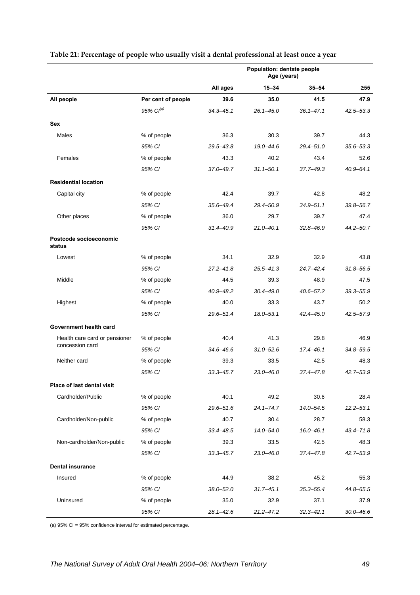|                                  |                    | <b>Population: dentate people</b><br>Age (years) |               |               |               |
|----------------------------------|--------------------|--------------------------------------------------|---------------|---------------|---------------|
|                                  |                    | All ages                                         | $15 - 34$     | $35 - 54$     | $\geq 55$     |
| All people                       | Per cent of people | 39.6                                             | 35.0          | 41.5          | 47.9          |
|                                  | 95% $Cl^{(a)}$     | $34.3 - 45.1$                                    | $26.1 - 45.0$ | $36.1 - 47.1$ | $42.5 - 53.3$ |
| Sex                              |                    |                                                  |               |               |               |
| Males                            | % of people        | 36.3                                             | 30.3          | 39.7          | 44.3          |
|                                  | 95% CI             | $29.5 - 43.8$                                    | 19.0-44.6     | $29.4 - 51.0$ | $35.6 - 53.3$ |
| Females                          | % of people        | 43.3                                             | 40.2          | 43.4          | 52.6          |
|                                  | 95% CI             | $37.0 - 49.7$                                    | $31.1 - 50.1$ | 37.7-49.3     | $40.9 - 64.1$ |
| <b>Residential location</b>      |                    |                                                  |               |               |               |
| Capital city                     | % of people        | 42.4                                             | 39.7          | 42.8          | 48.2          |
|                                  | 95% CI             | $35.6 - 49.4$                                    | 29.4-50.9     | $34.9 - 51.1$ | 39.8-56.7     |
| Other places                     | % of people        | 36.0                                             | 29.7          | 39.7          | 47.4          |
|                                  | 95% CI             | $31.4 - 40.9$                                    | $21.0 - 40.1$ | $32.8 - 46.9$ | $44.2 - 50.7$ |
| Postcode socioeconomic<br>status |                    |                                                  |               |               |               |
| Lowest                           | % of people        | 34.1                                             | 32.9          | 32.9          | 43.8          |
|                                  | 95% CI             | $27.2 - 41.8$                                    | $25.5 - 41.3$ | $24.7 - 42.4$ | $31.8 - 56.5$ |
| Middle                           | % of people        | 44.5                                             | 39.3          | 48.9          | 47.5          |
|                                  | 95% CI             | $40.9 - 48.2$                                    | $30.4 - 49.0$ | $40.6 - 57.2$ | $39.3 - 55.9$ |
| Highest                          | % of people        | 40.0                                             | 33.3          | 43.7          | 50.2          |
|                                  | 95% CI             | $29.6 - 51.4$                                    | 18.0-53.1     | 42.4-45.0     | 42.5-57.9     |
| Government health card           |                    |                                                  |               |               |               |
| Health care card or pensioner    | % of people        | 40.4                                             | 41.3          | 29.8          | 46.9          |
| concession card                  | 95% CI             | $34.6 - 46.6$                                    | $31.0 - 52.6$ | $17.4 - 46.1$ | 34.8-59.5     |
| Neither card                     | % of people        | 39.3                                             | 33.5          | 42.5          | 48.3          |
|                                  | 95% CI             | $33.3 - 45.7$                                    | $23.0 - 46.0$ | 37.4-47.8     | $42.7 - 53.9$ |
| Place of last dental visit       |                    |                                                  |               |               |               |
| Cardholder/Public                | % of people        | 40.1                                             | 49.2          | 30.6          | 28.4          |
|                                  | 95% CI             | $29.6 - 51.6$                                    | $24.1 - 74.7$ | 14.0-54.5     | $12.2 - 53.1$ |
| Cardholder/Non-public            | % of people        | 40.7                                             | 30.4          | 28.7          | 58.3          |
|                                  | 95% CI             | 33.4-48.5                                        | $14.0 - 54.0$ | $16.0 - 46.1$ | 43.4-71.8     |
| Non-cardholder/Non-public        | % of people        | 39.3                                             | 33.5          | 42.5          | 48.3          |
|                                  | 95% CI             | $33.3 - 45.7$                                    | $23.0 - 46.0$ | 37.4–47.8     | $42.7 - 53.9$ |
| <b>Dental insurance</b>          |                    |                                                  |               |               |               |
| Insured                          | % of people        | 44.9                                             | 38.2          | 45.2          | 55.3          |
|                                  | 95% CI             | $38.0 - 52.0$                                    | $31.7 - 45.1$ | $35.3 - 55.4$ | 44.8-65.5     |
| Uninsured                        | % of people        | 35.0                                             | 32.9          | 37.1          | 37.9          |
|                                  | 95% CI             | $28.1 - 42.6$                                    | $21.2 - 47.2$ | $32.3 - 42.1$ | $30.0 - 46.6$ |

#### <span id="page-56-0"></span>**Table 21: Percentage of people who usually visit a dental professional at least once a year**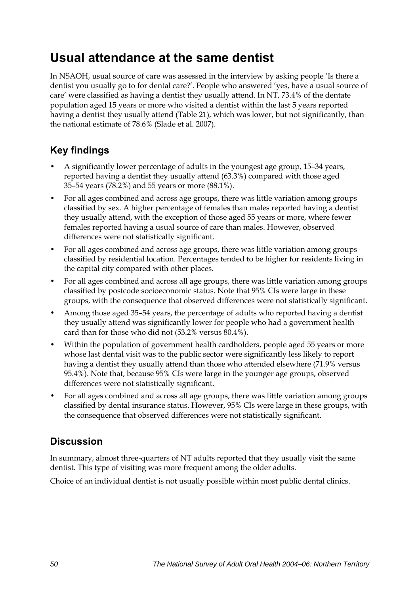## **Usual attendance at the same dentist**

In NSAOH, usual source of care was assessed in the interview by asking people 'Is there a dentist you usually go to for dental care?'. People who answered 'yes, have a usual source of care' were classified as having a dentist they usually attend. In NT, 73.4% of the dentate population aged 15 years or more who visited a dentist within the last 5 years reported having a dentist they usually attend (Table 21), which was lower, but not significantly, than the national estimate of 78.6% (Slade et al. 2007).

## **Key findings**

- A significantly lower percentage of adults in the youngest age group, 15–34 years, reported having a dentist they usually attend (63.3%) compared with those aged 35–54 years (78.2%) and 55 years or more (88.1%).
- For all ages combined and across age groups, there was little variation among groups classified by sex. A higher percentage of females than males reported having a dentist they usually attend, with the exception of those aged 55 years or more, where fewer females reported having a usual source of care than males. However, observed differences were not statistically significant.
- For all ages combined and across age groups, there was little variation among groups classified by residential location. Percentages tended to be higher for residents living in the capital city compared with other places.
- For all ages combined and across all age groups, there was little variation among groups classified by postcode socioeconomic status. Note that 95% CIs were large in these groups, with the consequence that observed differences were not statistically significant.
- Among those aged 35–54 years, the percentage of adults who reported having a dentist they usually attend was significantly lower for people who had a government health card than for those who did not (53.2% versus 80.4%).
- Within the population of government health cardholders, people aged 55 years or more whose last dental visit was to the public sector were significantly less likely to report having a dentist they usually attend than those who attended elsewhere (71.9% versus 95.4%). Note that, because 95% CIs were large in the younger age groups, observed differences were not statistically significant.
- For all ages combined and across all age groups, there was little variation among groups classified by dental insurance status. However, 95% CIs were large in these groups, with the consequence that observed differences were not statistically significant.

## **Discussion**

In summary, almost three-quarters of NT adults reported that they usually visit the same dentist. This type of visiting was more frequent among the older adults.

Choice of an individual dentist is not usually possible within most public dental clinics.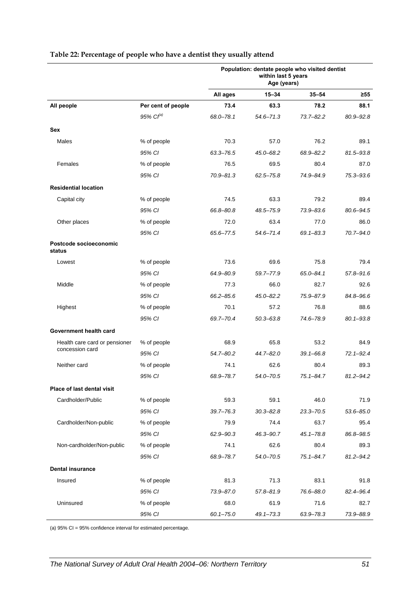|                                  |                    | Population: dentate people who visited dentist<br>within last 5 years<br>Age (years) |               |               |               |
|----------------------------------|--------------------|--------------------------------------------------------------------------------------|---------------|---------------|---------------|
|                                  |                    | All ages                                                                             | $15 - 34$     | $35 - 54$     | ≥55           |
| All people                       | Per cent of people | 73.4                                                                                 | 63.3          | 78.2          | 88.1          |
|                                  | 95% $Cl^{(a)}$     | 68.0-78.1                                                                            | 54.6-71.3     | $73.7 - 82.2$ | 80.9-92.8     |
| Sex                              |                    |                                                                                      |               |               |               |
| Males                            | % of people        | 70.3                                                                                 | 57.0          | 76.2          | 89.1          |
|                                  | 95% CI             | 63.3-76.5                                                                            | 45.0-68.2     | 68.9-82.2     | 81.5-93.8     |
| Females                          | % of people        | 76.5                                                                                 | 69.5          | 80.4          | 87.0          |
|                                  | 95% CI             | $70.9 - 81.3$                                                                        | $62.5 - 75.8$ | 74.9-84.9     | 75.3-93.6     |
| <b>Residential location</b>      |                    |                                                                                      |               |               |               |
| Capital city                     | % of people        | 74.5                                                                                 | 63.3          | 79.2          | 89.4          |
|                                  | 95% CI             | 66.8-80.8                                                                            | 48.5-75.9     | 73.9-83.6     | 80.6-94.5     |
| Other places                     | % of people        | 72.0                                                                                 | 63.4          | 77.0          | 86.0          |
|                                  | 95% CI             | 65.6-77.5                                                                            | $54.6 - 71.4$ | $69.1 - 83.3$ | 70.7-94.0     |
| Postcode socioeconomic<br>status |                    |                                                                                      |               |               |               |
| Lowest                           | % of people        | 73.6                                                                                 | 69.6          | 75.8          | 79.4          |
|                                  | 95% CI             | 64.9-80.9                                                                            | 59.7-77.9     | $65.0 - 84.1$ | $57.8 - 91.6$ |
| Middle                           | % of people        | 77.3                                                                                 | 66.0          | 82.7          | 92.6          |
|                                  | 95% CI             | 66.2-85.6                                                                            | 45.0-82.2     | 75.9-87.9     | 84.8-96.6     |
| Highest                          | % of people        | 70.1                                                                                 | 57.2          | 76.8          | 88.6          |
|                                  | 95% CI             | 69.7-70.4                                                                            | $50.3 - 63.8$ | 74.6-78.9     | $80.1 - 93.8$ |
| Government health card           |                    |                                                                                      |               |               |               |
| Health care card or pensioner    | % of people        | 68.9                                                                                 | 65.8          | 53.2          | 84.9          |
| concession card                  | 95% CI             | $54.7 - 80.2$                                                                        | 44.7-82.0     | $39.1 - 66.8$ | $72.1 - 92.4$ |
| Neither card                     | % of people        | 74.1                                                                                 | 62.6          | 80.4          | 89.3          |
|                                  | 95% CI             | 68.9-78.7                                                                            | 54.0-70.5     | $75.1 - 84.7$ | $81.2 - 94.2$ |
| Place of last dental visit       |                    |                                                                                      |               |               |               |
| Cardholder/Public                | % of people        | 59.3                                                                                 | 59.1          | 46.0          | 71.9          |
|                                  | 95% CI             | $39.7 - 76.3$                                                                        | $30.3 - 82.8$ | $23.3 - 70.5$ | $53.6 - 85.0$ |
| Cardholder/Non-public            | % of people        | 79.9                                                                                 | 74.4          | 63.7          | 95.4          |
|                                  | 95% CI             | 62.9-90.3                                                                            | 46.3-90.7     | $45.1 - 78.8$ | 86.8-98.5     |
| Non-cardholder/Non-public        | % of people        | 74.1                                                                                 | 62.6          | 80.4          | 89.3          |
|                                  | 95% CI             | 68.9-78.7                                                                            | 54.0-70.5     | $75.1 - 84.7$ | $81.2 - 94.2$ |
| <b>Dental insurance</b>          |                    |                                                                                      |               |               |               |
| Insured                          | % of people        | 81.3                                                                                 | 71.3          | 83.1          | 91.8          |
|                                  | 95% CI             | 73.9-87.0                                                                            | 57.8-81.9     | 76.6-88.0     | 82.4-96.4     |
| Uninsured                        | % of people        | 68.0                                                                                 | 61.9          | 71.6          | 82.7          |
|                                  | 95% CI             | $60.1 - 75.0$                                                                        | $49.1 - 73.3$ | 63.9-78.3     | 73.9-88.9     |

#### **Table 22: Percentage of people who have a dentist they usually attend**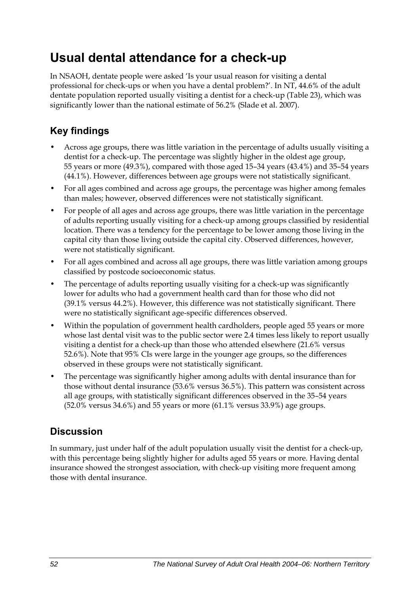## **Usual dental attendance for a check-up**

In NSAOH, dentate people were asked 'Is your usual reason for visiting a dental professional for check-ups or when you have a dental problem?'. In NT, 44.6% of the adult dentate population reported usually visiting a dentist for a check-up ([Table 23](#page-60-0)), which was significantly lower than the national estimate of 56.2% (Slade et al. 2007).

## **Key findings**

- Across age groups, there was little variation in the percentage of adults usually visiting a dentist for a check-up. The percentage was slightly higher in the oldest age group, 55 years or more (49.3%), compared with those aged 15–34 years (43.4%) and 35–54 years (44.1%). However, differences between age groups were not statistically significant.
- For all ages combined and across age groups, the percentage was higher among females than males; however, observed differences were not statistically significant.
- For people of all ages and across age groups, there was little variation in the percentage of adults reporting usually visiting for a check-up among groups classified by residential location. There was a tendency for the percentage to be lower among those living in the capital city than those living outside the capital city. Observed differences, however, were not statistically significant.
- For all ages combined and across all age groups, there was little variation among groups classified by postcode socioeconomic status.
- The percentage of adults reporting usually visiting for a check-up was significantly lower for adults who had a government health card than for those who did not (39.1% versus 44.2%). However, this difference was not statistically significant. There were no statistically significant age-specific differences observed.
- Within the population of government health cardholders, people aged 55 years or more whose last dental visit was to the public sector were 2.4 times less likely to report usually visiting a dentist for a check-up than those who attended elsewhere (21.6% versus 52.6%). Note that 95% CIs were large in the younger age groups, so the differences observed in these groups were not statistically significant.
- The percentage was significantly higher among adults with dental insurance than for those without dental insurance (53.6% versus 36.5%). This pattern was consistent across all age groups, with statistically significant differences observed in the 35–54 years (52.0% versus 34.6%) and 55 years or more (61.1% versus 33.9%) age groups.

### **Discussion**

In summary, just under half of the adult population usually visit the dentist for a check-up, with this percentage being slightly higher for adults aged 55 years or more. Having dental insurance showed the strongest association, with check-up visiting more frequent among those with dental insurance.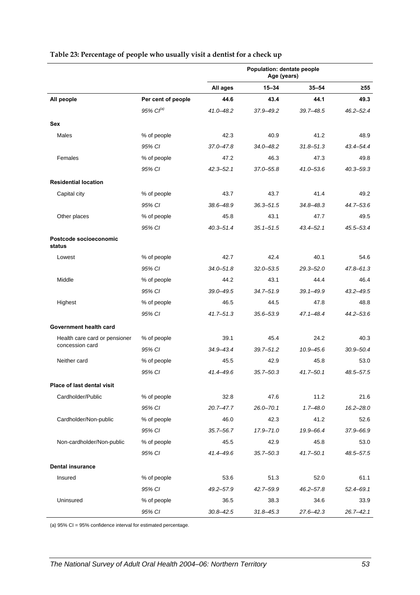|                                  |                       | Population: dentate people<br>Age (years) |               |               |               |
|----------------------------------|-----------------------|-------------------------------------------|---------------|---------------|---------------|
|                                  |                       | All ages                                  | $15 - 34$     | $35 - 54$     | $\geq 55$     |
| All people                       | Per cent of people    | 44.6                                      | 43.4          | 44.1          | 49.3          |
|                                  | 95% Cl <sup>(a)</sup> | 41.0-48.2                                 | 37.9-49.2     | 39.7-48.5     | $46.2 - 52.4$ |
| Sex                              |                       |                                           |               |               |               |
| Males                            | % of people           | 42.3                                      | 40.9          | 41.2          | 48.9          |
|                                  | 95% CI                | $37.0 - 47.8$                             | 34.0-48.2     | $31.8 - 51.3$ | 43.4-54.4     |
| Females                          | % of people           | 47.2                                      | 46.3          | 47.3          | 49.8          |
|                                  | 95% CI                | $42.3 - 52.1$                             | 37.0-55.8     | 41.0-53.6     | $40.3 - 59.3$ |
| <b>Residential location</b>      |                       |                                           |               |               |               |
| Capital city                     | % of people           | 43.7                                      | 43.7          | 41.4          | 49.2          |
|                                  | 95% CI                | 38.6-48.9                                 | $36.3 - 51.5$ | 34.8-48.3     | 44.7-53.6     |
| Other places                     | % of people           | 45.8                                      | 43.1          | 47.7          | 49.5          |
|                                  | 95% CI                | $40.3 - 51.4$                             | $35.1 - 51.5$ | 43.4–52.1     | 45.5-53.4     |
| Postcode socioeconomic<br>status |                       |                                           |               |               |               |
| Lowest                           | % of people           | 42.7                                      | 42.4          | 40.1          | 54.6          |
|                                  | 95% CI                | $34.0 - 51.8$                             | $32.0 - 53.5$ | $29.3 - 52.0$ | $47.8 - 61.3$ |
| Middle                           | % of people           | 44.2                                      | 43.1          | 44.4          | 46.4          |
|                                  | 95% CI                | $39.0 - 49.5$                             | $34.7 - 51.9$ | $39.1 - 49.9$ | $43.2 - 49.5$ |
| Highest                          | % of people           | 46.5                                      | 44.5          | 47.8          | 48.8          |
|                                  | 95% CI                | $41.7 - 51.3$                             | 35.6-53.9     | 47.1–48.4     | $44.2 - 53.6$ |
| Government health card           |                       |                                           |               |               |               |
| Health care card or pensioner    | % of people           | 39.1                                      | 45.4          | 24.2          | 40.3          |
| concession card                  | 95% CI                | $34.9 - 43.4$                             | $39.7 - 51.2$ | $10.9 - 45.6$ | $30.9 - 50.4$ |
| Neither card                     | % of people           | 45.5                                      | 42.9          | 45.8          | 53.0          |
|                                  | 95% CI                | 41.4-49.6                                 | $35.7 - 50.3$ | 41.7–50.1     | 48.5-57.5     |
| Place of last dental visit       |                       |                                           |               |               |               |
| Cardholder/Public                | % of people           | 32.8                                      | 47.6          | 11.2          | 21.6          |
|                                  | 95% CI                | $20.7 - 47.7$                             | $26.0 - 70.1$ | $1.7 - 48.0$  | $16.2 - 28.0$ |
| Cardholder/Non-public            | % of people           | 46.0                                      | 42.3          | 41.2          | 52.6          |
|                                  | 95% CI                | $35.7 - 56.7$                             | 17.9-71.0     | 19.9-66.4     | 37.9-66.9     |
| Non-cardholder/Non-public        | % of people           | 45.5                                      | 42.9          | 45.8          | 53.0          |
|                                  | 95% CI                | 41.4-49.6                                 | $35.7 - 50.3$ | 41.7–50.1     | 48.5-57.5     |
| <b>Dental insurance</b>          |                       |                                           |               |               |               |
| Insured                          | % of people           | 53.6                                      | 51.3          | 52.0          | 61.1          |
|                                  | 95% CI                | $49.2 - 57.9$                             | 42.7-59.9     | $46.2 - 57.8$ | $52.4 - 69.1$ |
| Uninsured                        | % of people           | 36.5                                      | 38.3          | 34.6          | 33.9          |
|                                  | 95% CI                | $30.8 - 42.5$                             | $31.8 - 45.3$ | $27.6 - 42.3$ | $26.7 - 42.1$ |

#### <span id="page-60-0"></span>**Table 23: Percentage of people who usually visit a dentist for a check up**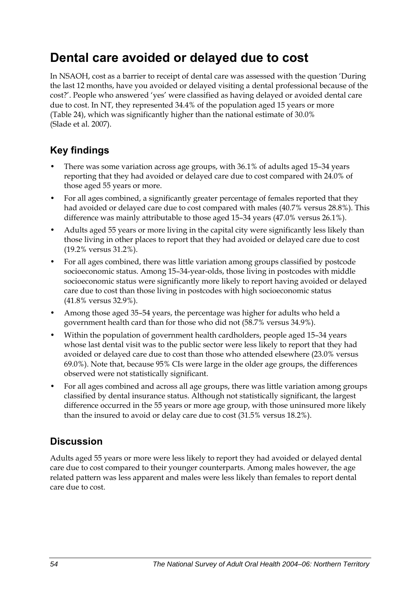## **Dental care avoided or delayed due to cost**

In NSAOH, cost as a barrier to receipt of dental care was assessed with the question 'During the last 12 months, have you avoided or delayed visiting a dental professional because of the cost?'. People who answered 'yes' were classified as having delayed or avoided dental care due to cost. In NT, they represented 34.4% of the population aged 15 years or more ([Table 24](#page-62-0)), which was significantly higher than the national estimate of 30.0% (Slade et al. 2007).

### **Key findings**

- There was some variation across age groups, with 36.1% of adults aged 15–34 years reporting that they had avoided or delayed care due to cost compared with 24.0% of those aged 55 years or more.
- For all ages combined, a significantly greater percentage of females reported that they had avoided or delayed care due to cost compared with males (40.7% versus 28.8%). This difference was mainly attributable to those aged 15–34 years (47.0% versus 26.1%).
- Adults aged 55 years or more living in the capital city were significantly less likely than those living in other places to report that they had avoided or delayed care due to cost (19.2% versus 31.2%).
- For all ages combined, there was little variation among groups classified by postcode socioeconomic status. Among 15–34-year-olds, those living in postcodes with middle socioeconomic status were significantly more likely to report having avoided or delayed care due to cost than those living in postcodes with high socioeconomic status (41.8% versus 32.9%).
- Among those aged 35–54 years, the percentage was higher for adults who held a government health card than for those who did not (58.7% versus 34.9%).
- Within the population of government health cardholders, people aged 15–34 years whose last dental visit was to the public sector were less likely to report that they had avoided or delayed care due to cost than those who attended elsewhere (23.0% versus 69.0%). Note that, because 95% CIs were large in the older age groups, the differences observed were not statistically significant.
- For all ages combined and across all age groups, there was little variation among groups classified by dental insurance status. Although not statistically significant, the largest difference occurred in the 55 years or more age group, with those uninsured more likely than the insured to avoid or delay care due to cost (31.5% versus 18.2%).

### **Discussion**

Adults aged 55 years or more were less likely to report they had avoided or delayed dental care due to cost compared to their younger counterparts. Among males however, the age related pattern was less apparent and males were less likely than females to report dental care due to cost.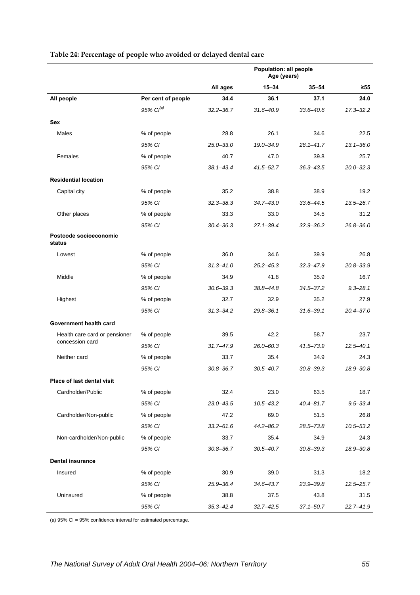|                                  |                       | Population: all people<br>Age (years) |               |               |               |
|----------------------------------|-----------------------|---------------------------------------|---------------|---------------|---------------|
|                                  |                       | All ages                              | $15 - 34$     | 35–54         | $\geq 55$     |
| All people                       | Per cent of people    | 34.4                                  | 36.1          | 37.1          | 24.0          |
|                                  | 95% Cl <sup>(a)</sup> | $32.2 - 36.7$                         | $31.6 - 40.9$ | $33.6 - 40.6$ | $17.3 - 32.2$ |
| Sex                              |                       |                                       |               |               |               |
| Males                            | % of people           | 28.8                                  | 26.1          | 34.6          | 22.5          |
|                                  | 95% CI                | $25.0 - 33.0$                         | 19.0-34.9     | $28.1 - 41.7$ | $13.1 - 36.0$ |
| Females                          | % of people           | 40.7                                  | 47.0          | 39.8          | 25.7          |
|                                  | 95% CI                | $38.1 - 43.4$                         | $41.5 - 52.7$ | $36.3 - 43.5$ | $20.0 - 32.3$ |
| <b>Residential location</b>      |                       |                                       |               |               |               |
| Capital city                     | % of people           | 35.2                                  | 38.8          | 38.9          | 19.2          |
|                                  | 95% CI                | $32.3 - 38.3$                         | $34.7 - 43.0$ | $33.6 - 44.5$ | $13.5 - 26.7$ |
| Other places                     | % of people           | 33.3                                  | 33.0          | 34.5          | 31.2          |
|                                  | 95% CI                | $30.4 - 36.3$                         | $27.1 - 39.4$ | $32.9 - 36.2$ | $26.8 - 36.0$ |
| Postcode socioeconomic<br>status |                       |                                       |               |               |               |
| Lowest                           | % of people           | 36.0                                  | 34.6          | 39.9          | 26.8          |
|                                  | 95% CI                | $31.3 - 41.0$                         | $25.2 - 45.3$ | $32.3 - 47.9$ | 20.8-33.9     |
| Middle                           | % of people           | 34.9                                  | 41.8          | 35.9          | 16.7          |
|                                  | 95% CI                | $30.6 - 39.3$                         | $38.8 - 44.8$ | $34.5 - 37.2$ | $9.3 - 28.1$  |
| Highest                          | % of people           | 32.7                                  | 32.9          | 35.2          | 27.9          |
|                                  | 95% CI                | $31.3 - 34.2$                         | $29.8 - 36.1$ | $31.6 - 39.1$ | $20.4 - 37.0$ |
| Government health card           |                       |                                       |               |               |               |
| Health care card or pensioner    | % of people           | 39.5                                  | 42.2          | 58.7          | 23.7          |
| concession card                  | 95% CI                | $31.7 - 47.9$                         | $26.0 - 60.3$ | $41.5 - 73.9$ | $12.5 - 40.1$ |
| Neither card                     | % of people           | 33.7                                  | 35.4          | 34.9          | 24.3          |
|                                  | 95% CI                | $30.8 - 36.7$                         | $30.5 - 40.7$ | $30.8 - 39.3$ | 18.9-30.8     |
| Place of last dental visit       |                       |                                       |               |               |               |
| Cardholder/Public                | % of people           | 32.4                                  | 23.0          | 63.5          | 18.7          |
|                                  | 95% CI                | $23.0 - 43.5$                         | $10.5 - 43.2$ | $40.4 - 81.7$ | $9.5 - 33.4$  |
| Cardholder/Non-public            | % of people           | 47.2                                  | 69.0          | 51.5          | 26.8          |
|                                  | 95% CI                | $33.2 - 61.6$                         | $44.2 - 86.2$ | 28.5-73.8     | $10.5 - 53.2$ |
| Non-cardholder/Non-public        | % of people           | 33.7                                  | 35.4          | 34.9          | 24.3          |
|                                  | 95% CI                | $30.8 - 36.7$                         | $30.5 - 40.7$ | $30.8 - 39.3$ | 18.9-30.8     |
| <b>Dental insurance</b>          |                       |                                       |               |               |               |
| Insured                          | % of people           | 30.9                                  | 39.0          | 31.3          | 18.2          |
|                                  | 95% CI                | 25.9-36.4                             | $34.6 - 43.7$ | 23.9-39.8     | $12.5 - 25.7$ |
| Uninsured                        | % of people           | 38.8                                  | 37.5          | 43.8          | 31.5          |
|                                  | 95% CI                | $35.3 - 42.4$                         | $32.7 - 42.5$ | $37.1 - 50.7$ | 22.7-41.9     |

#### <span id="page-62-0"></span>**Table 24: Percentage of people who avoided or delayed dental care**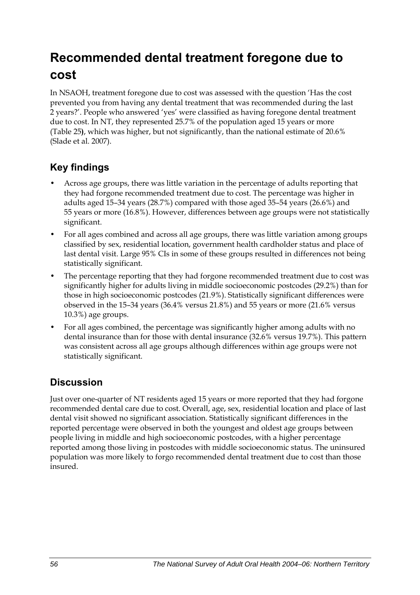# **Recommended dental treatment foregone due to cost**

In NSAOH, treatment foregone due to cost was assessed with the question 'Has the cost prevented you from having any dental treatment that was recommended during the last 2 years?'. People who answered 'yes' were classified as having foregone dental treatment due to cost. In NT, they represented 25.7% of the population aged 15 years or more ([Table 25](#page-64-0)**)**, which was higher, but not significantly, than the national estimate of 20.6% (Slade et al. 2007).

### **Key findings**

- Across age groups, there was little variation in the percentage of adults reporting that they had forgone recommended treatment due to cost. The percentage was higher in adults aged 15–34 years (28.7%) compared with those aged 35–54 years (26.6%) and 55 years or more (16.8%). However, differences between age groups were not statistically significant.
- For all ages combined and across all age groups, there was little variation among groups classified by sex, residential location, government health cardholder status and place of last dental visit. Large 95% CIs in some of these groups resulted in differences not being statistically significant.
- The percentage reporting that they had forgone recommended treatment due to cost was significantly higher for adults living in middle socioeconomic postcodes (29.2%) than for those in high socioeconomic postcodes (21.9%). Statistically significant differences were observed in the 15–34 years (36.4% versus 21.8%) and 55 years or more (21.6% versus 10.3%) age groups.
- For all ages combined, the percentage was significantly higher among adults with no dental insurance than for those with dental insurance (32.6% versus 19.7%). This pattern was consistent across all age groups although differences within age groups were not statistically significant.

### **Discussion**

Just over one-quarter of NT residents aged 15 years or more reported that they had forgone recommended dental care due to cost. Overall, age, sex, residential location and place of last dental visit showed no significant association. Statistically significant differences in the reported percentage were observed in both the youngest and oldest age groups between people living in middle and high socioeconomic postcodes, with a higher percentage reported among those living in postcodes with middle socioeconomic status. The uninsured population was more likely to forgo recommended dental treatment due to cost than those insured.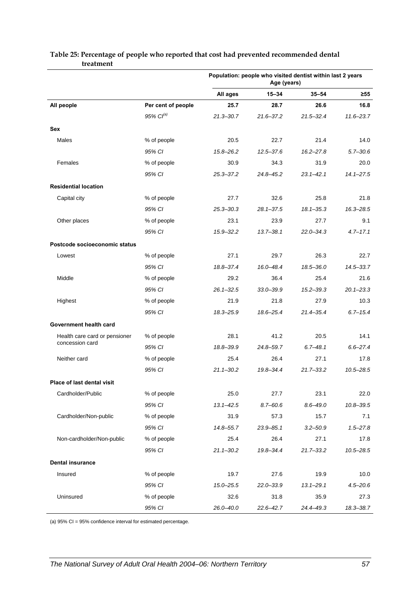|                                   |                    | Population: people who visited dentist within last 2 years<br>Age (years) |               |               |               |
|-----------------------------------|--------------------|---------------------------------------------------------------------------|---------------|---------------|---------------|
|                                   |                    | All ages                                                                  | $15 - 34$     | $35 - 54$     | $\geq 55$     |
| All people                        | Per cent of people | 25.7                                                                      | 28.7          | 26.6          | 16.8          |
|                                   | $95\%$ $Cl^{(a)}$  | $21.3 - 30.7$                                                             | $21.6 - 37.2$ | $21.5 - 32.4$ | $11.6 - 23.7$ |
| <b>Sex</b>                        |                    |                                                                           |               |               |               |
| Males                             | % of people        | 20.5                                                                      | 22.7          | 21.4          | 14.0          |
|                                   | 95% CI             | $15.8 - 26.2$                                                             | $12.5 - 37.6$ | $16.2 - 27.8$ | $5.7 - 30.6$  |
| Females                           | % of people        | 30.9                                                                      | 34.3          | 31.9          | 20.0          |
|                                   | 95% CI             | $25.3 - 37.2$                                                             | 24.8-45.2     | $23.1 - 42.1$ | $14.1 - 27.5$ |
| <b>Residential location</b>       |                    |                                                                           |               |               |               |
| Capital city                      | % of people        | 27.7                                                                      | 32.6          | 25.8          | 21.8          |
|                                   | 95% CI             | $25.3 - 30.3$                                                             | $28.1 - 37.5$ | $18.1 - 35.3$ | 16.3-28.5     |
| Other places                      | % of people        | 23.1                                                                      | 23.9          | 27.7          | 9.1           |
|                                   | 95% CI             | $15.9 - 32.2$                                                             | $13.7 - 38.1$ | $22.0 - 34.3$ | $4.7 - 17.1$  |
| Postcode socioeconomic status     |                    |                                                                           |               |               |               |
| Lowest                            | % of people        | 27.1                                                                      | 29.7          | 26.3          | 22.7          |
|                                   | 95% CI             | 18.8-37.4                                                                 | 16.0-48.4     | $18.5 - 36.0$ | $14.5 - 33.7$ |
| Middle                            | % of people        | 29.2                                                                      | 36.4          | 25.4          | 21.6          |
|                                   | 95% CI             | $26.1 - 32.5$                                                             | $33.0 - 39.9$ | $15.2 - 39.3$ | $20.1 - 23.3$ |
| Highest                           | % of people        | 21.9                                                                      | 21.8          | 27.9          | 10.3          |
|                                   | 95% CI             | 18.3-25.9                                                                 | 18.6–25.4     | 21.4-35.4     | $6.7 - 15.4$  |
| Government health card            |                    |                                                                           |               |               |               |
| Health care card or pensioner     | % of people        | 28.1                                                                      | 41.2          | 20.5          | 14.1          |
| concession card                   | 95% CI             | 18.8-39.9                                                                 | 24.8-59.7     | $6.7 - 48.1$  | $6.6 - 27.4$  |
| Neither card                      | % of people        | 25.4                                                                      | 26.4          | 27.1          | 17.8          |
|                                   | 95% CI             | $21.1 - 30.2$                                                             | $19.8 - 34.4$ | $21.7 - 33.2$ | $10.5 - 28.5$ |
| <b>Place of last dental visit</b> |                    |                                                                           |               |               |               |
| Cardholder/Public                 | % of people        | 25.0                                                                      | 27.7          | 23.1          | 22.0          |
|                                   | 95% CI             | $13.1 - 42.5$                                                             | $8.7 - 60.6$  | $8.6 - 49.0$  | $10.8 - 39.5$ |
| Cardholder/Non-public             | % of people        | 31.9                                                                      | 57.3          | 15.7          | 7.1           |
|                                   | 95% CI             | 14.8-55.7                                                                 | $23.9 - 85.1$ | $3.2 - 50.9$  | $1.5 - 27.8$  |
| Non-cardholder/Non-public         | % of people        | 25.4                                                                      | 26.4          | 27.1          | 17.8          |
|                                   | 95% CI             | $21.1 - 30.2$                                                             | 19.8-34.4     | $21.7 - 33.2$ | $10.5 - 28.5$ |
| <b>Dental insurance</b>           |                    |                                                                           |               |               |               |
| Insured                           | % of people        | 19.7                                                                      | 27.6          | 19.9          | 10.0          |
|                                   | 95% CI             | $15.0 - 25.5$                                                             | $22.0 - 33.9$ | $13.1 - 29.1$ | $4.5 - 20.6$  |
| Uninsured                         | % of people        | 32.6                                                                      | 31.8          | 35.9          | 27.3          |
|                                   | 95% CI             | 26.0-40.0                                                                 | $22.6 - 42.7$ | 24.4-49.3     | 18.3-38.7     |

#### <span id="page-64-0"></span>**Table 25: Percentage of people who reported that cost had prevented recommended dental treatment**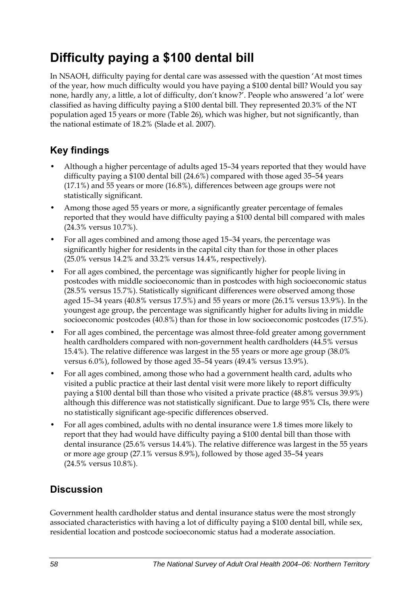# **Difficulty paying a \$100 dental bill**

In NSAOH, difficulty paying for dental care was assessed with the question 'At most times of the year, how much difficulty would you have paying a \$100 dental bill? Would you say none, hardly any, a little, a lot of difficulty, don't know?'. People who answered 'a lot' were classified as having difficulty paying a \$100 dental bill. They represented 20.3% of the NT population aged 15 years or more (Table 26), which was higher, but not significantly, than the national estimate of 18.2% (Slade et al. 2007).

## **Key findings**

- Although a higher percentage of adults aged 15–34 years reported that they would have difficulty paying a \$100 dental bill (24.6%) compared with those aged 35–54 years (17.1%) and 55 years or more (16.8%), differences between age groups were not statistically significant.
- Among those aged 55 years or more, a significantly greater percentage of females reported that they would have difficulty paying a \$100 dental bill compared with males (24.3% versus 10.7%).
- For all ages combined and among those aged 15–34 years, the percentage was significantly higher for residents in the capital city than for those in other places (25.0% versus 14.2% and 33.2% versus 14.4%, respectively).
- For all ages combined, the percentage was significantly higher for people living in postcodes with middle socioeconomic than in postcodes with high socioeconomic status (28.5% versus 15.7%). Statistically significant differences were observed among those aged 15–34 years (40.8% versus 17.5%) and 55 years or more (26.1% versus 13.9%). In the youngest age group, the percentage was significantly higher for adults living in middle socioeconomic postcodes (40.8%) than for those in low socioeconomic postcodes (17.5%).
- For all ages combined, the percentage was almost three-fold greater among government health cardholders compared with non-government health cardholders (44.5% versus 15.4%). The relative difference was largest in the 55 years or more age group (38.0% versus 6.0%), followed by those aged 35–54 years (49.4% versus 13.9%).
- For all ages combined, among those who had a government health card, adults who visited a public practice at their last dental visit were more likely to report difficulty paying a \$100 dental bill than those who visited a private practice (48.8% versus 39.9%) although this difference was not statistically significant. Due to large 95% CIs, there were no statistically significant age-specific differences observed.
- For all ages combined, adults with no dental insurance were 1.8 times more likely to report that they had would have difficulty paying a \$100 dental bill than those with dental insurance (25.6% versus 14.4%). The relative difference was largest in the 55 years or more age group (27.1% versus 8.9%), followed by those aged 35–54 years (24.5% versus 10.8%).

## **Discussion**

Government health cardholder status and dental insurance status were the most strongly associated characteristics with having a lot of difficulty paying a \$100 dental bill, while sex, residential location and postcode socioeconomic status had a moderate association.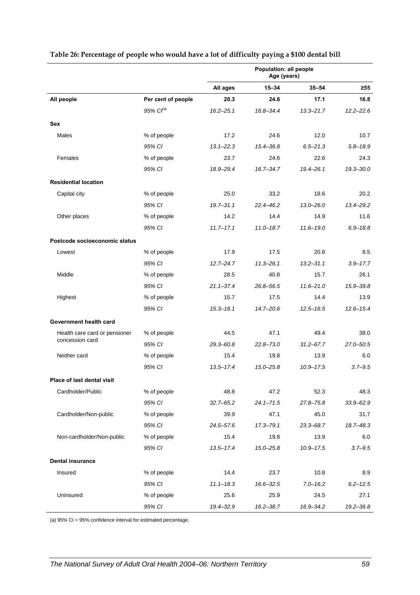|                               |                       | Population: all people<br>Age (years) |               |               |               |
|-------------------------------|-----------------------|---------------------------------------|---------------|---------------|---------------|
|                               |                       | All ages                              | $15 - 34$     | $35 - 54$     | $\geq 55$     |
| All people                    | Per cent of people    | 20.3                                  | 24.6          | 17.1          | 16.8          |
|                               | 95% Cl <sup>(a)</sup> | $16.2 - 25.1$                         | 16.8-34.4     | $13.3 - 21.7$ | $12.2 - 22.6$ |
| Sex                           |                       |                                       |               |               |               |
| Males                         | % of people           | 17.2                                  | 24.6          | 12.0          | 10.7          |
|                               | 95% CI                | $13.1 - 22.3$                         | $15.4 - 36.8$ | $6.5 - 21.3$  | $5.8 - 18.9$  |
| Females                       | % of people           | 23.7                                  | 24.6          | 22.6          | 24.3          |
|                               | 95% CI                | 18.9-29.4                             | $16.7 - 34.7$ | $19.4 - 26.1$ | $19.3 - 30.0$ |
| <b>Residential location</b>   |                       |                                       |               |               |               |
| Capital city                  | % of people           | 25.0                                  | 33.2          | 18.6          | 20.2          |
|                               | 95% CI                | $19.7 - 31.1$                         | $22.4 - 46.2$ | $13.0 - 26.0$ | 13.4-29.2     |
| Other places                  | % of people           | 14.2                                  | 14.4          | 14.9          | 11.6          |
|                               | 95% CI                | $11.7 - 17.1$                         | $11.0 - 18.7$ | $11.6 - 19.0$ | $6.9 - 18.8$  |
| Postcode socioeconomic status |                       |                                       |               |               |               |
| Lowest                        | % of people           | 17.9                                  | 17.5          | 20.8          | 8.5           |
|                               | 95% CI                | $12.7 - 24.7$                         | $11.3 - 26.1$ | $13.2 - 31.1$ | $3.9 - 17.7$  |
| Middle                        | % of people           | 28.5                                  | 40.8          | 15.7          | 26.1          |
|                               | 95% CI                | $21.1 - 37.4$                         | 26.8-56.5     | $11.6 - 21.0$ | 15.9-39.8     |
| Highest                       | % of people           | 15.7                                  | 17.5          | 14.4          | 13.9          |
|                               | 95% CI                | $15.3 - 16.1$                         | $14.7 - 20.6$ | $12.5 - 16.5$ | $12.6 - 15.4$ |
| Government health card        |                       |                                       |               |               |               |
| Health care card or pensioner | % of people           | 44.5                                  | 47.1          | 49.4          | 38.0          |
| concession card               | 95% CI                | $29.3 - 60.8$                         | $22.8 - 73.0$ | $31.2 - 67.7$ | 27.0-50.5     |
| Neither card                  | % of people           | 15.4                                  | 19.8          | 13.9          | 6.0           |
|                               | 95% CI                | $13.5 - 17.4$                         | $15.0 - 25.8$ | $10.9 - 17.5$ | $3.7 - 9.5$   |
| Place of last dental visit    |                       |                                       |               |               |               |
| Cardholder/Public             | % of people           | 48.8                                  | 47.2          | 52.3          | 48.3          |
|                               | 95% CI                | $32.7 - 65.2$                         | $24.1 - 71.5$ | 27.8-75.8     | $33.9 - 62.9$ |
| Cardholder/Non-public         | % of people           | 39.9                                  | 47.1          | 45.0          | 31.7          |
|                               | 95% CI                | $24.5 - 57.6$                         | $17.3 - 79.1$ | 23.3-68.7     | 18.7-48.3     |
| Non-cardholder/Non-public     | % of people           | 15.4                                  | 19.8          | 13.9          | 6.0           |
|                               | 95% CI                | $13.5 - 17.4$                         | $15.0 - 25.8$ | $10.9 - 17.5$ | $3.7 - 9.5$   |
| <b>Dental insurance</b>       |                       |                                       |               |               |               |
| Insured                       | % of people           | 14.4                                  | 23.7          | 10.8          | 8.9           |
|                               | 95% CI                | $11.1 - 18.3$                         | $16.6 - 32.5$ | $7.0 - 16.2$  | $6.2 - 12.5$  |
| Uninsured                     | % of people           | 25.6                                  | 25.9          | 24.5          | 27.1          |
|                               | 95% CI                | 19.4-32.9                             | $16.2 - 38.7$ | 16.9-34.2     | 19.2-36.8     |

#### **Table 26: Percentage of people who would have a lot of difficulty paying a \$100 dental bill**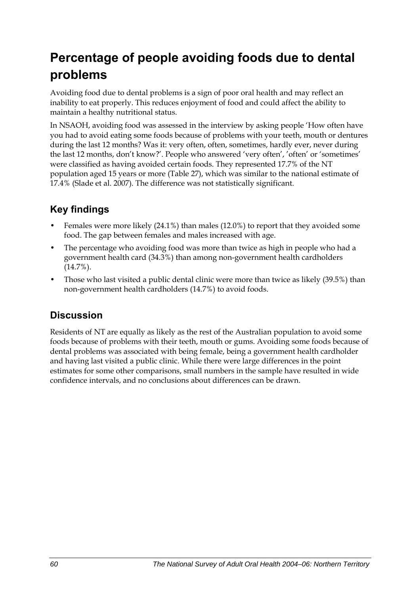# **Percentage of people avoiding foods due to dental problems**

Avoiding food due to dental problems is a sign of poor oral health and may reflect an inability to eat properly. This reduces enjoyment of food and could affect the ability to maintain a healthy nutritional status.

In NSAOH, avoiding food was assessed in the interview by asking people 'How often have you had to avoid eating some foods because of problems with your teeth, mouth or dentures during the last 12 months? Was it: very often, often, sometimes, hardly ever, never during the last 12 months, don't know?'. People who answered 'very often', 'often' or 'sometimes' were classified as having avoided certain foods. They represented 17.7% of the NT population aged 15 years or more [\(Table 27\)](#page-68-0), which was similar to the national estimate of 17.4% (Slade et al. 2007). The difference was not statistically significant.

## **Key findings**

- Females were more likely (24.1%) than males (12.0%) to report that they avoided some food. The gap between females and males increased with age.
- The percentage who avoiding food was more than twice as high in people who had a government health card (34.3%) than among non-government health cardholders (14.7%).
- Those who last visited a public dental clinic were more than twice as likely (39.5%) than non-government health cardholders (14.7%) to avoid foods.

### **Discussion**

Residents of NT are equally as likely as the rest of the Australian population to avoid some foods because of problems with their teeth, mouth or gums. Avoiding some foods because of dental problems was associated with being female, being a government health cardholder and having last visited a public clinic. While there were large differences in the point estimates for some other comparisons, small numbers in the sample have resulted in wide confidence intervals, and no conclusions about differences can be drawn.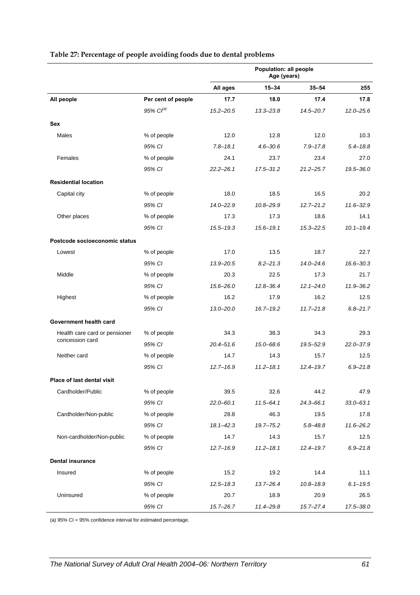|                               |                       | Population: all people<br>Age (years) |               |               |               |
|-------------------------------|-----------------------|---------------------------------------|---------------|---------------|---------------|
|                               |                       | All ages                              | $15 - 34$     | $35 - 54$     | $\geq 55$     |
| All people                    | Per cent of people    | 17.7                                  | 18.0          | 17.4          | 17.8          |
|                               | 95% Cl <sup>(a)</sup> | $15.2 - 20.5$                         | $13.3 - 23.8$ | 14.5-20.7     | $12.0 - 25.6$ |
| Sex                           |                       |                                       |               |               |               |
| Males                         | % of people           | 12.0                                  | 12.8          | 12.0          | 10.3          |
|                               | 95% CI                | $7.8 - 18.1$                          | $4.6 - 30.6$  | $7.9 - 17.8$  | $5.4 - 18.8$  |
| Females                       | % of people           | 24.1                                  | 23.7          | 23.4          | 27.0          |
|                               | 95% CI                | $22.2 - 26.1$                         | $17.5 - 31.2$ | 21.2-25.7     | 19.5-36.0     |
| <b>Residential location</b>   |                       |                                       |               |               |               |
| Capital city                  | % of people           | 18.0                                  | 18.5          | 16.5          | 20.2          |
|                               | 95% CI                | $14.0 - 22.9$                         | $10.8 - 29.9$ | $12.7 - 21.2$ | $11.6 - 32.9$ |
| Other places                  | % of people           | 17.3                                  | 17.3          | 18.6          | 14.1          |
|                               | 95% CI                | $15.5 - 19.3$                         | $15.6 - 19.1$ | $15.3 - 22.5$ | $10.1 - 19.4$ |
| Postcode socioeconomic status |                       |                                       |               |               |               |
| Lowest                        | % of people           | 17.0                                  | 13.5          | 18.7          | 22.7          |
|                               | 95% CI                | 13.9-20.5                             | $8.2 - 21.3$  | $14.0 - 24.6$ | $16.6 - 30.3$ |
| Middle                        | % of people           | 20.3                                  | 22.5          | 17.3          | 21.7          |
|                               | 95% CI                | $15.6 - 26.0$                         | $12.8 - 36.4$ | $12.1 - 24.0$ | 11.9-36.2     |
| Highest                       | % of people           | 16.2                                  | 17.9          | 16.2          | 12.5          |
|                               | 95% CI                | $13.0 - 20.0$                         | $16.7 - 19.2$ | $11.7 - 21.8$ | $6.8 - 21.7$  |
| Government health card        |                       |                                       |               |               |               |
| Health care card or pensioner | % of people           | 34.3                                  | 38.3          | 34.3          | 29.3          |
| concession card               | 95% CI                | $20.4 - 51.6$                         | 15.0-68.6     | 19.5-52.9     | $22.0 - 37.9$ |
| Neither card                  | % of people           | 14.7                                  | 14.3          | 15.7          | 12.5          |
|                               | 95% CI                | $12.7 - 16.9$                         | $11.2 - 18.1$ | $12.4 - 19.7$ | $6.9 - 21.8$  |
| Place of last dental visit    |                       |                                       |               |               |               |
| Cardholder/Public             | % of people           | 39.5                                  | 32.6          | 44.2          | 47.9          |
|                               | 95% CI                | $22.0 - 60.1$                         | $11.5 - 64.1$ | $24.3 - 66.1$ | $33.0 - 63.1$ |
| Cardholder/Non-public         | % of people           | 28.8                                  | 46.3          | 19.5          | 17.8          |
|                               | 95% CI                | $18.1 - 42.3$                         | $19.7 - 75.2$ | $5.8 - 48.8$  | $11.6 - 26.2$ |
| Non-cardholder/Non-public     | % of people           | 14.7                                  | 14.3          | 15.7          | 12.5          |
|                               | 95% CI                | $12.7 - 16.9$                         | $11.2 - 18.1$ | $12.4 - 19.7$ | $6.9 - 21.8$  |
| <b>Dental insurance</b>       |                       |                                       |               |               |               |
| Insured                       | % of people           | 15.2                                  | 19.2          | 14.4          | 11.1          |
|                               | 95% CI                | $12.5 - 18.3$                         | $13.7 - 26.4$ | $10.8 - 18.9$ | $6.1 - 19.5$  |
| Uninsured                     | % of people           | 20.7                                  | 18.9          | 20.9          | 26.5          |
|                               | 95% CI                | $15.7 - 26.7$                         | $11.4 - 29.8$ | $15.7 - 27.4$ | 17.5-38.0     |

#### <span id="page-68-0"></span>**Table 27: Percentage of people avoiding foods due to dental problems**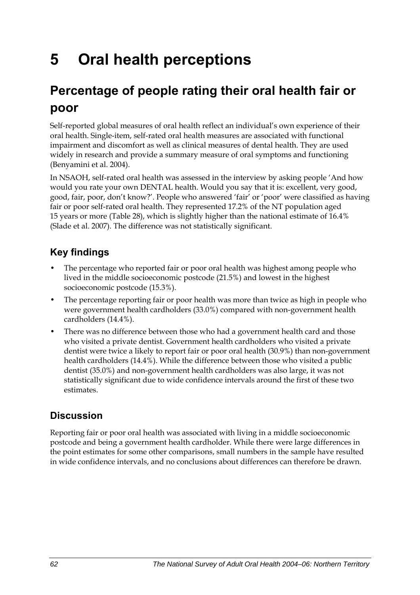# **5 Oral health perceptions**

# **Percentage of people rating their oral health fair or poor**

Self-reported global measures of oral health reflect an individual's own experience of their oral health. Single-item, self-rated oral health measures are associated with functional impairment and discomfort as well as clinical measures of dental health. They are used widely in research and provide a summary measure of oral symptoms and functioning (Benyamini et al. 2004).

In NSAOH, self-rated oral health was assessed in the interview by asking people 'And how would you rate your own DENTAL health. Would you say that it is: excellent, very good, good, fair, poor, don't know?'. People who answered 'fair' or 'poor' were classified as having fair or poor self-rated oral health. They represented 17.2% of the NT population aged 15 years or more [\(Table 28\)](#page-70-0), which is slightly higher than the national estimate of 16.4% (Slade et al. 2007). The difference was not statistically significant.

## **Key findings**

- The percentage who reported fair or poor oral health was highest among people who lived in the middle socioeconomic postcode (21.5%) and lowest in the highest socioeconomic postcode (15.3%).
- The percentage reporting fair or poor health was more than twice as high in people who were government health cardholders (33.0%) compared with non-government health cardholders (14.4%).
- There was no difference between those who had a government health card and those who visited a private dentist. Government health cardholders who visited a private dentist were twice a likely to report fair or poor oral health (30.9%) than non-government health cardholders (14.4%). While the difference between those who visited a public dentist (35.0%) and non-government health cardholders was also large, it was not statistically significant due to wide confidence intervals around the first of these two estimates.

## **Discussion**

Reporting fair or poor oral health was associated with living in a middle socioeconomic postcode and being a government health cardholder. While there were large differences in the point estimates for some other comparisons, small numbers in the sample have resulted in wide confidence intervals, and no conclusions about differences can therefore be drawn.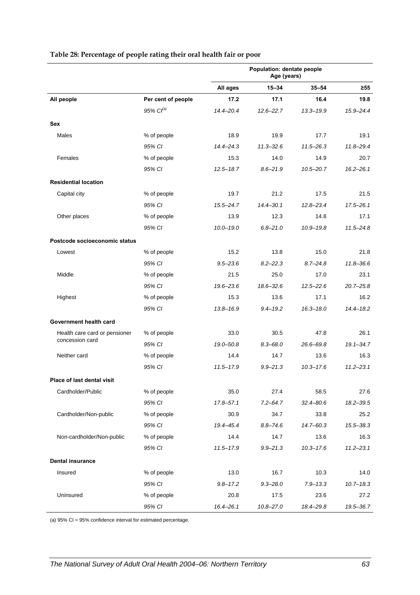|                               |                       | Population: dentate people<br>Age (years) |               |               |               |
|-------------------------------|-----------------------|-------------------------------------------|---------------|---------------|---------------|
|                               |                       | All ages                                  | $15 - 34$     | $35 - 54$     | $\geq 55$     |
| All people                    | Per cent of people    | 17.2                                      | 17.1          | 16.4          | 19.8          |
|                               | 95% Cl <sup>(a)</sup> | 14.4-20.4                                 | $12.6 - 22.7$ | $13.3 - 19.9$ | 15.9-24.4     |
| Sex                           |                       |                                           |               |               |               |
| Males                         | % of people           | 18.9                                      | 19.9          | 17.7          | 19.1          |
|                               | 95% CI                | $14.4 - 24.3$                             | $11.3 - 32.6$ | $11.5 - 26.3$ | $11.8 - 29.4$ |
| Females                       | % of people           | 15.3                                      | 14.0          | 14.9          | 20.7          |
|                               | 95% CI                | $12.5 - 18.7$                             | $8.6 - 21.9$  | $10.5 - 20.7$ | $16.2 - 26.1$ |
| <b>Residential location</b>   |                       |                                           |               |               |               |
| Capital city                  | % of people           | 19.7                                      | 21.2          | 17.5          | 21.5          |
|                               | 95% CI                | $15.5 - 24.7$                             | $14.4 - 30.1$ | $12.8 - 23.4$ | $17.5 - 26.1$ |
| Other places                  | % of people           | 13.9                                      | 12.3          | 14.8          | 17.1          |
|                               | 95% CI                | $10.0 - 19.0$                             | $6.8 - 21.0$  | $10.9 - 19.8$ | $11.5 - 24.8$ |
| Postcode socioeconomic status |                       |                                           |               |               |               |
| Lowest                        | % of people           | 15.2                                      | 13.8          | 15.0          | 21.8          |
|                               | 95% CI                | $9.5 - 23.6$                              | $8.2 - 22.3$  | $8.7 - 24.8$  | $11.8 - 36.6$ |
| Middle                        | % of people           | 21.5                                      | 25.0          | 17.0          | 23.1          |
|                               | 95% CI                | $19.6 - 23.6$                             | $18.6 - 32.6$ | $12.5 - 22.6$ | $20.7 - 25.8$ |
| Highest                       | % of people           | 15.3                                      | 13.6          | 17.1          | 16.2          |
|                               | 95% CI                | $13.8 - 16.9$                             | $9.4 - 19.2$  | $16.3 - 18.0$ | $14.4 - 18.2$ |
| Government health card        |                       |                                           |               |               |               |
| Health care card or pensioner | % of people           | 33.0                                      | 30.5          | 47.8          | 26.1          |
| concession card               | 95% CI                | 19.0-50.8                                 | $8.3 - 68.0$  | 26.6-69.8     | $19.1 - 34.7$ |
| Neither card                  | % of people           | 14.4                                      | 14.7          | 13.6          | 16.3          |
|                               | 95% CI                | $11.5 - 17.9$                             | $9.9 - 21.3$  | $10.3 - 17.6$ | $11.2 - 23.1$ |
| Place of last dental visit    |                       |                                           |               |               |               |
| Cardholder/Public             | % of people           | 35.0                                      | 27.4          | 58.5          | 27.6          |
|                               | 95% CI                | $17.8 - 57.1$                             | $7.2 - 64.7$  | $32.4 - 80.6$ | $18.2 - 39.5$ |
| Cardholder/Non-public         | % of people           | 30.9                                      | 34.7          | 33.8          | 25.2          |
|                               | 95% CI                | 19.4-45.4                                 | $8.8 - 74.6$  | $14.7 - 60.3$ | 15.5-38.3     |
| Non-cardholder/Non-public     | % of people           | 14.4                                      | 14.7          | 13.6          | 16.3          |
|                               | 95% CI                | $11.5 - 17.9$                             | $9.9 - 21.3$  | $10.3 - 17.6$ | $11.2 - 23.1$ |
| <b>Dental insurance</b>       |                       |                                           |               |               |               |
| Insured                       | % of people           | 13.0                                      | 16.7          | 10.3          | 14.0          |
|                               | 95% CI                | $9.8 - 17.2$                              | $9.3 - 28.0$  | $7.9 - 13.3$  | $10.7 - 18.3$ |
| Uninsured                     | % of people           | 20.8                                      | 17.5          | 23.6          | 27.2          |
|                               | 95% CI                | 16.4-26.1                                 | $10.8 - 27.0$ | 18.4-29.8     | 19.5-36.7     |

#### <span id="page-70-0"></span>**Table 28: Percentage of people rating their oral health fair or poor**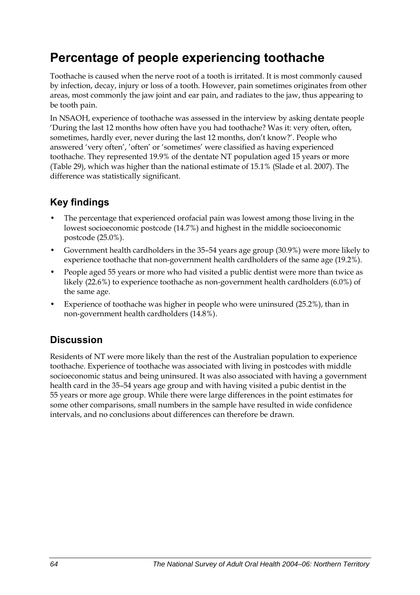## **Percentage of people experiencing toothache**

Toothache is caused when the nerve root of a tooth is irritated. It is most commonly caused by infection, decay, injury or loss of a tooth. However, pain sometimes originates from other areas, most commonly the jaw joint and ear pain, and radiates to the jaw, thus appearing to be tooth pain.

In NSAOH, experience of toothache was assessed in the interview by asking dentate people 'During the last 12 months how often have you had toothache? Was it: very often, often, sometimes, hardly ever, never during the last 12 months, don't know?'. People who answered 'very often', 'often' or 'sometimes' were classified as having experienced toothache. They represented 19.9% of the dentate NT population aged 15 years or more ([Table 29](#page-72-0)), which was higher than the national estimate of 15.1% (Slade et al. 2007). The difference was statistically significant.

## **Key findings**

- The percentage that experienced orofacial pain was lowest among those living in the lowest socioeconomic postcode (14.7%) and highest in the middle socioeconomic postcode (25.0%).
- Government health cardholders in the 35–54 years age group (30.9%) were more likely to experience toothache that non-government health cardholders of the same age (19.2%).
- People aged 55 years or more who had visited a public dentist were more than twice as likely (22.6%) to experience toothache as non-government health cardholders (6.0%) of the same age.
- Experience of toothache was higher in people who were uninsured (25.2%), than in non-government health cardholders (14.8%).

### **Discussion**

Residents of NT were more likely than the rest of the Australian population to experience toothache. Experience of toothache was associated with living in postcodes with middle socioeconomic status and being uninsured. It was also associated with having a government health card in the 35–54 years age group and with having visited a pubic dentist in the 55 years or more age group. While there were large differences in the point estimates for some other comparisons, small numbers in the sample have resulted in wide confidence intervals, and no conclusions about differences can therefore be drawn.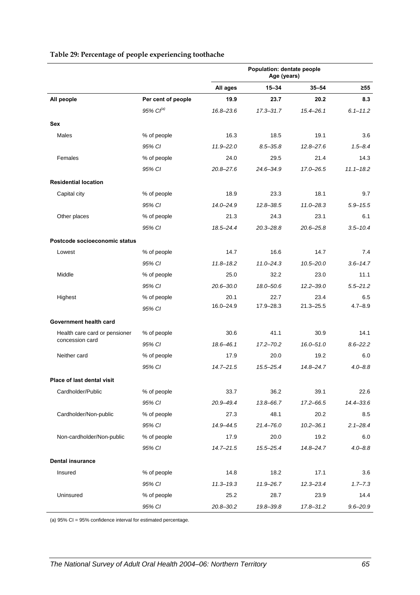#### **Population: dentate people Age (years) All ages 15–34 35–54 ≥55 All people Per cent of people 19.9 23.7 20.2 8.3** *95% CI(a) 16.8–23.6 17.3–31.7 15.4–26.1 6.1–11.2* **Sex**  Males % of people 16.3 18.5 19.1 3.6 *95% CI 11.9–22.0 8.5–35.8 12.8–27.6 1.5–8.4* Females % of people 24.0 29.5 21.4 14.3 *95% CI 20.8–27.6 24.6–34.9 17.0–26.5 11.1–18.2* **Residential location**  Capital city 18.1 23.3 18.1 23.3 18.1 23.3 18.1 23.3 18.1 23.3 18.1 23.3 18.1 25.1 25.1 25.1 25.1 25.1 25.1 25 *95% CI 14.0–24.9 12.8–38.5 11.0–28.3 5.9–15.5* Other places 21.3 24.3 23.1 23.1 6.1 *95% CI 18.5–24.4 20.3–28.8 20.6–25.8 3.5–10.4* **Postcode socioeconomic status**  Lowest % of people 14.7 16.6 14.7 7.4 *95% CI 11.8–18.2 11.0–24.3 10.5–20.0 3.6–14.7* Middle % of people 25.0 32.2 23.0 11.1 *95% CI 20.6–30.0 18.0–50.6 12.2–39.0 5.5–21.2* Highest % of people 20.1 22.7 23.4 6.5 *95% CI* 16.0–24.9 17.9–28.3 21.3–25.5 4.7–8.9 **Government health card**  Health care card or pensioner % of people 30.6 41.1 30.9 44.1 concession card *95% CI 18.6–46.1 17.2–70.2 16.0–51.0 8.6–22.2* Neither card % of people 17.9 20.0 19.2 6.0 *95% CI 14.7–21.5 15.5–25.4 14.8–24.7 4.0–8.8* **Place of last dental visit**  Cardholder/Public % of people 33.7 36.2 39.1 22.6 *95% CI 20.9–49.4 13.8–66.7 17.2–66.5 14.4–33.6* Cardholder/Non-public % of people 27.3 48.1 20.2 8.5 *95% CI 14.9–44.5 21.4–76.0 10.2–36.1 2.1–28.4* Non-cardholder/Non-public % of people 17.9 20.0 19.2 6.0 *95% CI 14.7–21.5 15.5–25.4 14.8–24.7 4.0–8.8* **Dental insurance**  Insured % of people 14.8 18.2 17.1 3.6 *95% CI 11.3–19.3 11.9–26.7 12.3–23.4 1.7–7.3* Uninsured % of people 25.2 28.7 23.9 14.4

*95% CI 20.8–30.2 19.8–39.8 17.8–31.2 9.6–20.9*

#### <span id="page-72-0"></span>**Table 29: Percentage of people experiencing toothache**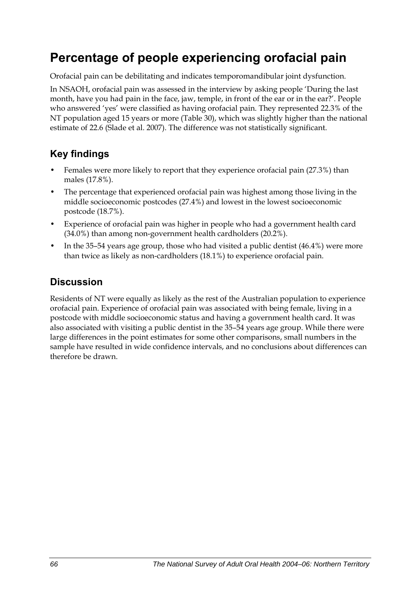## **Percentage of people experiencing orofacial pain**

Orofacial pain can be debilitating and indicates temporomandibular joint dysfunction.

In NSAOH, orofacial pain was assessed in the interview by asking people 'During the last month, have you had pain in the face, jaw, temple, in front of the ear or in the ear?'. People who answered 'yes' were classified as having orofacial pain. They represented 22.3% of the NT population aged 15 years or more ([Table 30](#page-74-0)), which was slightly higher than the national estimate of 22.6 (Slade et al. 2007). The difference was not statistically significant.

### **Key findings**

- Females were more likely to report that they experience orofacial pain (27.3%) than males (17.8%).
- The percentage that experienced orofacial pain was highest among those living in the middle socioeconomic postcodes (27.4%) and lowest in the lowest socioeconomic postcode (18.7%).
- Experience of orofacial pain was higher in people who had a government health card (34.0%) than among non-government health cardholders (20.2%).
- In the 35–54 years age group, those who had visited a public dentist (46.4%) were more than twice as likely as non-cardholders (18.1%) to experience orofacial pain.

### **Discussion**

Residents of NT were equally as likely as the rest of the Australian population to experience orofacial pain. Experience of orofacial pain was associated with being female, living in a postcode with middle socioeconomic status and having a government health card. It was also associated with visiting a public dentist in the 35–54 years age group. While there were large differences in the point estimates for some other comparisons, small numbers in the sample have resulted in wide confidence intervals, and no conclusions about differences can therefore be drawn.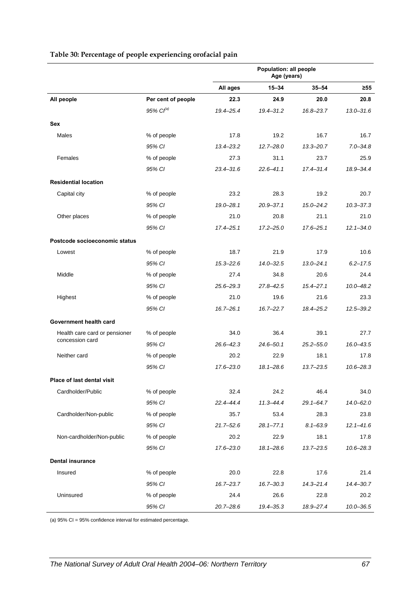|                               |                       | Population: all people<br>Age (years) |               |               |               |
|-------------------------------|-----------------------|---------------------------------------|---------------|---------------|---------------|
|                               |                       | All ages                              | $15 - 34$     | $35 - 54$     | $\geq 55$     |
| All people                    | Per cent of people    | 22.3                                  | 24.9          | 20.0          | 20.8          |
|                               | 95% Cl <sup>(a)</sup> | 19.4-25.4                             | $19.4 - 31.2$ | $16.8 - 23.7$ | $13.0 - 31.6$ |
| <b>Sex</b>                    |                       |                                       |               |               |               |
| Males                         | % of people           | 17.8                                  | 19.2          | 16.7          | 16.7          |
|                               | 95% CI                | $13.4 - 23.2$                         | $12.7 - 28.0$ | $13.3 - 20.7$ | $7.0 - 34.8$  |
| Females                       | % of people           | 27.3                                  | 31.1          | 23.7          | 25.9          |
|                               | 95% CI                | $23.4 - 31.6$                         | $22.6 - 41.1$ | $17.4 - 31.4$ | 18.9-34.4     |
| <b>Residential location</b>   |                       |                                       |               |               |               |
| Capital city                  | % of people           | 23.2                                  | 28.3          | 19.2          | 20.7          |
|                               | 95% CI                | $19.0 - 28.1$                         | $20.9 - 37.1$ | $15.0 - 24.2$ | $10.3 - 37.3$ |
| Other places                  | % of people           | 21.0                                  | 20.8          | 21.1          | 21.0          |
|                               | 95% CI                | $17.4 - 25.1$                         | $17.2 - 25.0$ | $17.6 - 25.1$ | $12.1 - 34.0$ |
| Postcode socioeconomic status |                       |                                       |               |               |               |
| Lowest                        | % of people           | 18.7                                  | 21.9          | 17.9          | 10.6          |
|                               | 95% CI                | $15.3 - 22.6$                         | $14.0 - 32.5$ | $13.0 - 24.1$ | $6.2 - 17.5$  |
| Middle                        | % of people           | 27.4                                  | 34.8          | 20.6          | 24.4          |
|                               | 95% CI                | $25.6 - 29.3$                         | $27.8 - 42.5$ | $15.4 - 27.1$ | $10.0 - 48.2$ |
| Highest                       | % of people           | 21.0                                  | 19.6          | 21.6          | 23.3          |
|                               | 95% CI                | $16.7 - 26.1$                         | $16.7 - 22.7$ | 18.4-25.2     | $12.5 - 39.2$ |
| Government health card        |                       |                                       |               |               |               |
| Health care card or pensioner | % of people           | 34.0                                  | 36.4          | 39.1          | 27.7          |
| concession card               | 95% CI                | $26.6 - 42.3$                         | $24.6 - 50.1$ | $25.2 - 55.0$ | $16.0 - 43.5$ |
| Neither card                  | % of people           | 20.2                                  | 22.9          | 18.1          | 17.8          |
|                               | 95% CI                | $17.6 - 23.0$                         | $18.1 - 28.6$ | $13.7 - 23.5$ | $10.6 - 28.3$ |
| Place of last dental visit    |                       |                                       |               |               |               |
| Cardholder/Public             | % of people           | 32.4                                  | 24.2          | 46.4          | 34.0          |
|                               | 95% CI                | $22.4 - 44.4$                         | $11.3 - 44.4$ | $29.1 - 64.7$ | $14.0 - 62.0$ |
| Cardholder/Non-public         | % of people           | 35.7                                  | 53.4          | 28.3          | 23.8          |
|                               | 95% CI                | $21.7 - 52.6$                         | $28.1 - 77.1$ | $8.1 - 63.9$  | $12.1 - 41.6$ |
| Non-cardholder/Non-public     | % of people           | 20.2                                  | 22.9          | 18.1          | 17.8          |
|                               | 95% CI                | $17.6 - 23.0$                         | $18.1 - 28.6$ | $13.7 - 23.5$ | $10.6 - 28.3$ |
| <b>Dental insurance</b>       |                       |                                       |               |               |               |
| Insured                       |                       | 20.0                                  | 22.8          | 17.6          | 21.4          |
|                               | % of people<br>95% CI | $16.7 - 23.7$                         | $16.7 - 30.3$ | $14.3 - 21.4$ | 14.4-30.7     |
| Uninsured                     | % of people           | 24.4                                  | 26.6          | 22.8          | 20.2          |
|                               | 95% CI                | $20.7 - 28.6$                         | 19.4 - 35.3   | 18.9-27.4     | $10.0 - 36.5$ |

#### <span id="page-74-1"></span><span id="page-74-0"></span>**Table 30: Percentage of people experiencing orofacial pain**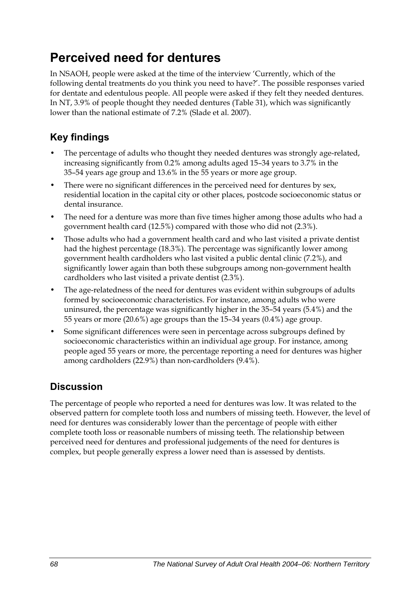## **Perceived need for dentures**

In NSAOH, people were asked at the time of the interview 'Currently, which of the following dental treatments do you think you need to have?'. The possible responses varied for dentate and edentulous people. All people were asked if they felt they needed dentures. In NT, 3.9% of people thought they needed dentures [\(Table 31\)](#page-76-0), which was significantly lower than the national estimate of 7.2% (Slade et al. 2007).

## **Key findings**

- The percentage of adults who thought they needed dentures was strongly age-related, increasing significantly from 0.2% among adults aged 15–34 years to 3.7% in the 35–54 years age group and 13.6% in the 55 years or more age group.
- There were no significant differences in the perceived need for dentures by sex, residential location in the capital city or other places, postcode socioeconomic status or dental insurance.
- The need for a denture was more than five times higher among those adults who had a government health card (12.5%) compared with those who did not (2.3%).
- Those adults who had a government health card and who last visited a private dentist had the highest percentage (18.3%). The percentage was significantly lower among government health cardholders who last visited a public dental clinic (7.2%), and significantly lower again than both these subgroups among non-government health cardholders who last visited a private dentist (2.3%).
- The age-relatedness of the need for dentures was evident within subgroups of adults formed by socioeconomic characteristics. For instance, among adults who were uninsured, the percentage was significantly higher in the 35–54 years (5.4%) and the 55 years or more (20.6%) age groups than the 15–34 years (0.4%) age group.
- Some significant differences were seen in percentage across subgroups defined by socioeconomic characteristics within an individual age group. For instance, among people aged 55 years or more, the percentage reporting a need for dentures was higher among cardholders (22.9%) than non-cardholders (9.4%).

## **Discussion**

The percentage of people who reported a need for dentures was low. It was related to the observed pattern for complete tooth loss and numbers of missing teeth. However, the level of need for dentures was considerably lower than the percentage of people with either complete tooth loss or reasonable numbers of missing teeth. The relationship between perceived need for dentures and professional judgements of the need for dentures is complex, but people generally express a lower need than is assessed by dentists.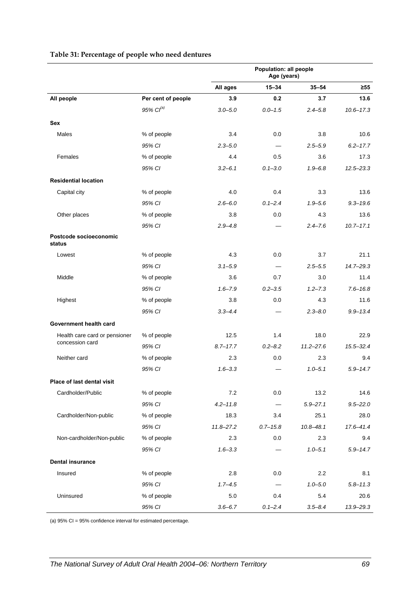|                                  |                       | Population: all people<br>Age (years) |              |               |               |
|----------------------------------|-----------------------|---------------------------------------|--------------|---------------|---------------|
|                                  |                       | All ages                              | $15 - 34$    | $35 - 54$     | $\geq 55$     |
| All people                       | Per cent of people    | 3.9                                   | 0.2          | 3.7           | 13.6          |
|                                  | 95% Cl <sup>(a)</sup> | $3.0 - 5.0$                           | $0.0 - 1.5$  | $2.4 - 5.8$   | $10.6 - 17.3$ |
| Sex                              |                       |                                       |              |               |               |
| Males                            | % of people           | 3.4                                   | 0.0          | 3.8           | 10.6          |
|                                  | 95% CI                | $2.3 - 5.0$                           |              | $2.5 - 5.9$   | $6.2 - 17.7$  |
| Females                          | % of people           | 4.4                                   | 0.5          | 3.6           | 17.3          |
|                                  | 95% CI                | $3.2 - 6.1$                           | $0.1 - 3.0$  | $1.9 - 6.8$   | $12.5 - 23.3$ |
| <b>Residential location</b>      |                       |                                       |              |               |               |
| Capital city                     | % of people           | 4.0                                   | 0.4          | 3.3           | 13.6          |
|                                  | 95% CI                | $2.6 - 6.0$                           | $0.1 - 2.4$  | $1.9 - 5.6$   | $9.3 - 19.6$  |
| Other places                     | % of people           | 3.8                                   | 0.0          | 4.3           | 13.6          |
|                                  | 95% CI                | $2.9 - 4.8$                           |              | $2.4 - 7.6$   | $10.7 - 17.1$ |
| Postcode socioeconomic<br>status |                       |                                       |              |               |               |
| Lowest                           | % of people           | 4.3                                   | 0.0          | 3.7           | 21.1          |
|                                  | 95% CI                | $3.1 - 5.9$                           |              | $2.5 - 5.5$   | $14.7 - 29.3$ |
| Middle                           | % of people           | 3.6                                   | 0.7          | 3.0           | 11.4          |
|                                  | 95% CI                | $1.6 - 7.9$                           | $0.2 - 3.5$  | $1.2 - 7.3$   | $7.6 - 16.8$  |
| Highest                          | % of people           | 3.8                                   | 0.0          | 4.3           | 11.6          |
|                                  | 95% CI                | $3.3 - 4.4$                           |              | $2.3 - 8.0$   | $9.9 - 13.4$  |
| Government health card           |                       |                                       |              |               |               |
| Health care card or pensioner    | % of people           | 12.5                                  | 1.4          | 18.0          | 22.9          |
| concession card                  | 95% CI                | $8.7 - 17.7$                          | $0.2 - 8.2$  | $11.2 - 27.6$ | $15.5 - 32.4$ |
| Neither card                     | % of people           | 2.3                                   | 0.0          | 2.3           | 9.4           |
|                                  | 95% CI                | $1.6 - 3.3$                           |              | $1.0 - 5.1$   | $5.9 - 14.7$  |
| Place of last dental visit       |                       |                                       |              |               |               |
| Cardholder/Public                | % of people           | 7.2                                   | 0.0          | 13.2          | 14.6          |
|                                  | 95% CI                | $4.2 - 11.8$                          |              | $5.9 - 27.1$  | $9.5 - 22.0$  |
| Cardholder/Non-public            | % of people           | 18.3                                  | 3.4          | 25.1          | 28.0          |
|                                  | 95% CI                | $11.8 - 27.2$                         | $0.7 - 15.8$ | $10.8 - 48.1$ | 17.6-41.4     |
| Non-cardholder/Non-public        | % of people           | 2.3                                   | 0.0          | 2.3           | 9.4           |
|                                  | 95% CI                | $1.6 - 3.3$                           |              | $1.0 - 5.1$   | $5.9 - 14.7$  |
| <b>Dental insurance</b>          |                       |                                       |              |               |               |
| Insured                          | % of people           | 2.8                                   | 0.0          | 2.2           | 8.1           |
|                                  | 95% CI                | $1.7 - 4.5$                           |              | $1.0 - 5.0$   | $5.8 - 11.3$  |
| Uninsured                        | % of people           | 5.0                                   | 0.4          | 5.4           | 20.6          |
|                                  | 95% CI                | $3.6 - 6.7$                           | $0.1 - 2.4$  | $3.5 - 8.4$   | 13.9-29.3     |

#### <span id="page-76-1"></span><span id="page-76-0"></span>**Table 31: Percentage of people who need dentures**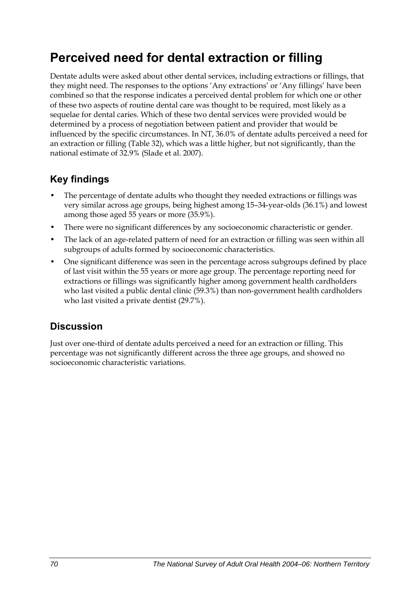## **Perceived need for dental extraction or filling**

Dentate adults were asked about other dental services, including extractions or fillings, that they might need. The responses to the options 'Any extractions' or 'Any fillings' have been combined so that the response indicates a perceived dental problem for which one or other of these two aspects of routine dental care was thought to be required, most likely as a sequelae for dental caries. Which of these two dental services were provided would be determined by a process of negotiation between patient and provider that would be influenced by the specific circumstances. In NT, 36.0% of dentate adults perceived a need for an extraction or filling [\(Table 32\)](#page-78-0), which was a little higher, but not significantly, than the national estimate of 32.9% (Slade et al. 2007).

### **Key findings**

- The percentage of dentate adults who thought they needed extractions or fillings was very similar across age groups, being highest among 15–34-year-olds (36.1%) and lowest among those aged 55 years or more (35.9%).
- There were no significant differences by any socioeconomic characteristic or gender.
- The lack of an age-related pattern of need for an extraction or filling was seen within all subgroups of adults formed by socioeconomic characteristics.
- One significant difference was seen in the percentage across subgroups defined by place of last visit within the 55 years or more age group. The percentage reporting need for extractions or fillings was significantly higher among government health cardholders who last visited a public dental clinic (59.3%) than non-government health cardholders who last visited a private dentist (29.7%).

### **Discussion**

Just over one-third of dentate adults perceived a need for an extraction or filling. This percentage was not significantly different across the three age groups, and showed no socioeconomic characteristic variations.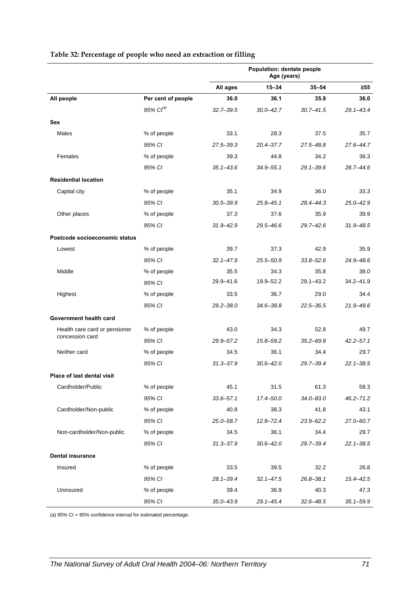|                                   |                       | Population: dentate people<br>Age (years) |               |               |               |
|-----------------------------------|-----------------------|-------------------------------------------|---------------|---------------|---------------|
|                                   |                       | All ages                                  | $15 - 34$     | $35 - 54$     | $\geq 55$     |
| All people                        | Per cent of people    | 36.0                                      | 36.1          | 35.9          | 36.0          |
|                                   | 95% Cl <sup>(a)</sup> | $32.7 - 39.5$                             | $30.0 - 42.7$ | $30.7 - 41.5$ | $29.1 - 43.4$ |
| Sex                               |                       |                                           |               |               |               |
| Males                             | % of people           | 33.1                                      | 28.3          | 37.5          | 35.7          |
|                                   | 95% CI                | $27.5 - 39.3$                             | 20.4-37.7     | 27.5-48.8     | 27.6-44.7     |
| Females                           | % of people           | 39.3                                      | 44.8          | 34.2          | 36.3          |
|                                   | 95% CI                | $35.1 - 43.6$                             | $34.9 - 55.1$ | $29.1 - 39.6$ | $28.7 - 44.6$ |
| <b>Residential location</b>       |                       |                                           |               |               |               |
| Capital city                      | % of people           | 35.1                                      | 34.9          | 36.0          | 33.3          |
|                                   | 95% CI                | $30.5 - 39.9$                             | 25.8-45.1     | 28.4-44.3     | 25.0-42.9     |
| Other places                      | % of people           | 37.3                                      | 37.6          | 35.9          | 39.9          |
|                                   | 95% CI                | $31.9 - 42.9$                             | 29.5-46.6     | $29.7 - 42.6$ | $31.9 - 48.5$ |
| Postcode socioeconomic status     |                       |                                           |               |               |               |
| Lowest                            | % of people           | 39.7                                      | 37.3          | 42.9          | 35.9          |
|                                   | 95% CI                | $32.1 - 47.9$                             | 25.5-50.9     | $33.8 - 52.6$ | $24.9 - 48.6$ |
| Middle                            | % of people           | 35.5                                      | 34.3          | 35.8          | 38.0          |
|                                   | 95% CI                | 29.9-41.6                                 | 19.9-52.2     | $29.1 - 43.2$ | $34.2 - 41.9$ |
| Highest                           | % of people           | 33.5                                      | 36.7          | 29.0          | 34.4          |
|                                   | 95% CI                | $29.2 - 38.0$                             | $34.6 - 38.8$ | $22.5 - 36.5$ | $21.9 - 49.6$ |
| Government health card            |                       |                                           |               |               |               |
| Health care card or pensioner     | % of people           | 43.0                                      | 34.3          | 52.8          | 49.7          |
| concession card                   | 95% CI                | 29.9-57.2                                 | 15.8-59.2     | $35.2 - 69.8$ | $42.2 - 57.1$ |
| Neither card                      | % of people           | 34.5                                      | 36.1          | 34.4          | 29.7          |
|                                   | 95% CI                | $31.3 - 37.9$                             | $30.6 - 42.0$ | 29.7-39.4     | $22.1 - 38.5$ |
| <b>Place of last dental visit</b> |                       |                                           |               |               |               |
| Cardholder/Public                 | % of people           | 45.1                                      | 31.5          | 61.3          | 59.3          |
|                                   | 95% CI                | $33.6 - 57.1$                             | $17.4 - 50.0$ | $34.0 - 83.0$ | $46.2 - 71.2$ |
| Cardholder/Non-public             | % of people           | 40.8                                      | 38.3          | 41.8          | 43.1          |
|                                   | 95% CI                | 25.0-58.7                                 | $12.8 - 72.4$ | 23.9-62.2     | 27.0-60.7     |
| Non-cardholder/Non-public         | % of people           | 34.5                                      | 36.1          | 34.4          | 29.7          |
|                                   | 95% CI                | $31.3 - 37.9$                             | $30.6 - 42.0$ | 29.7-39.4     | $22.1 - 38.5$ |
| <b>Dental insurance</b>           |                       |                                           |               |               |               |
| Insured                           | % of people           | 33.5                                      | 39.5          | 32.2          | 26.8          |
|                                   | 95% CI                | $28.1 - 39.4$                             | $32.1 - 47.5$ | $26.8 - 38.1$ | 15.4-42.5     |
| Uninsured                         | % of people           | 39.4                                      | 36.9          | 40.3          | 47.3          |
|                                   | 95% CI                | $35.0 - 43.9$                             | $29.1 - 45.4$ | $32.6 - 48.5$ | $35.1 - 59.9$ |

#### <span id="page-78-1"></span><span id="page-78-0"></span>**Table 32: Percentage of people who need an extraction or filling**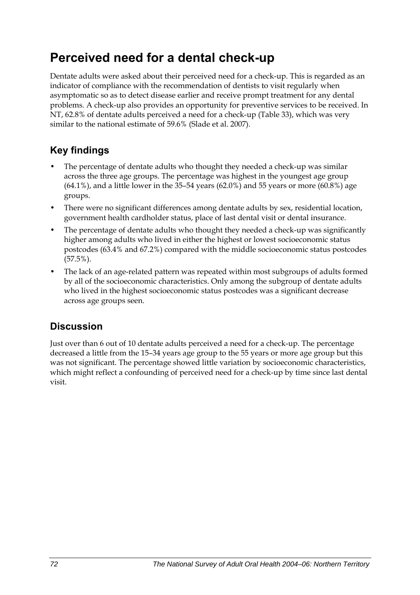## **Perceived need for a dental check-up**

Dentate adults were asked about their perceived need for a check-up. This is regarded as an indicator of compliance with the recommendation of dentists to visit regularly when asymptomatic so as to detect disease earlier and receive prompt treatment for any dental problems. A check-up also provides an opportunity for preventive services to be received. In NT, 62.8% of dentate adults perceived a need for a check-up [\(Table 33\)](#page-80-0), which was very similar to the national estimate of 59.6% (Slade et al. 2007).

## **Key findings**

- The percentage of dentate adults who thought they needed a check-up was similar across the three age groups. The percentage was highest in the youngest age group  $(64.1\%)$ , and a little lower in the 35-54 years  $(62.0\%)$  and 55 years or more  $(60.8\%)$  age groups.
- There were no significant differences among dentate adults by sex, residential location, government health cardholder status, place of last dental visit or dental insurance.
- The percentage of dentate adults who thought they needed a check-up was significantly higher among adults who lived in either the highest or lowest socioeconomic status postcodes (63.4% and 67.2%) compared with the middle socioeconomic status postcodes (57.5%).
- The lack of an age-related pattern was repeated within most subgroups of adults formed by all of the socioeconomic characteristics. Only among the subgroup of dentate adults who lived in the highest socioeconomic status postcodes was a significant decrease across age groups seen.

### **Discussion**

Just over than 6 out of 10 dentate adults perceived a need for a check-up. The percentage decreased a little from the 15–34 years age group to the 55 years or more age group but this was not significant. The percentage showed little variation by socioeconomic characteristics, which might reflect a confounding of perceived need for a check-up by time since last dental visit.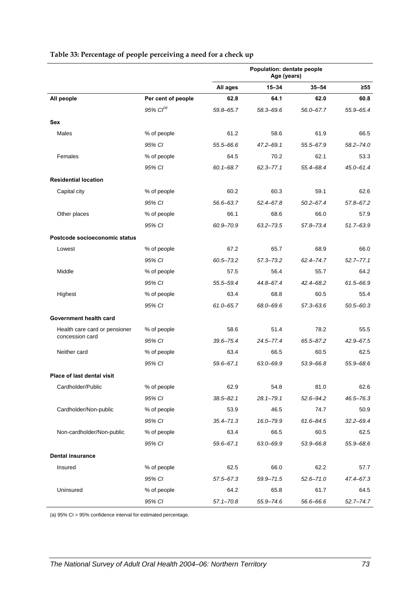|                                   |                    | Population: dentate people<br>Age (years) |               |               |               |
|-----------------------------------|--------------------|-------------------------------------------|---------------|---------------|---------------|
|                                   |                    | All ages                                  | $15 - 34$     | $35 - 54$     | $\geq 55$     |
| All people                        | Per cent of people | 62.8                                      | 64.1          | 62.0          | 60.8          |
|                                   | 95% $Cl^{(a)}$     | 59.8-65.7                                 | 58.3-69.6     | 56.0-67.7     | 55.9-65.4     |
| <b>Sex</b>                        |                    |                                           |               |               |               |
| Males                             | % of people        | 61.2                                      | 58.6          | 61.9          | 66.5          |
|                                   | 95% CI             | 55.5-66.6                                 | 47.2-69.1     | 55.5-67.9     | $58.2 - 74.0$ |
| Females                           | % of people        | 64.5                                      | 70.2          | 62.1          | 53.3          |
|                                   | 95% CI             | $60.1 - 68.7$                             | $62.3 - 77.1$ | 55.4-68.4     | $45.0 - 61.4$ |
| <b>Residential location</b>       |                    |                                           |               |               |               |
| Capital city                      | % of people        | 60.2                                      | 60.3          | 59.1          | 62.6          |
|                                   | 95% CI             | 56.6-63.7                                 | $52.4 - 67.8$ | $50.2 - 67.4$ | 57.8-67.2     |
| Other places                      | % of people        | 66.1                                      | 68.6          | 66.0          | 57.9          |
|                                   | 95% CI             | 60.9-70.9                                 | $63.2 - 73.5$ | 57.8-73.4     | $51.7 - 63.9$ |
| Postcode socioeconomic status     |                    |                                           |               |               |               |
| Lowest                            | % of people        | 67.2                                      | 65.7          | 68.9          | 66.0          |
|                                   | 95% CI             | $60.5 - 73.2$                             | $57.3 - 73.2$ | 62.4-74.7     | $52.7 - 77.1$ |
| Middle                            | % of people        | 57.5                                      | 56.4          | 55.7          | 64.2          |
|                                   | 95% CI             | 55.5-59.4                                 | 44.8–67.4     | 42.4–68.2     | 61.5-66.9     |
| Highest                           | % of people        | 63.4                                      | 68.8          | 60.5          | 55.4          |
|                                   | 95% CI             | $61.0 - 65.7$                             | 68.0-69.6     | 57.3-63.6     | $50.5 - 60.3$ |
| Government health card            |                    |                                           |               |               |               |
| Health care card or pensioner     | % of people        | 58.6                                      | 51.4          | 78.2          | 55.5          |
| concession card                   | 95% CI             | $39.6 - 75.4$                             | $24.5 - 77.4$ | 65.5-87.2     | 42.9-67.5     |
| Neither card                      | % of people        | 63.4                                      | 66.5          | 60.5          | 62.5          |
|                                   | 95% CI             | $59.6 - 67.1$                             | 63.0-69.9     | 53.9-66.8     | 55.9-68.6     |
| <b>Place of last dental visit</b> |                    |                                           |               |               |               |
| Cardholder/Public                 | % of people        | 62.9                                      | 54.8          | 81.0          | 62.6          |
|                                   | 95% CI             | $38.5 - 82.1$                             | $28.1 - 79.1$ | $52.6 - 94.2$ | 46.5-76.3     |
| Cardholder/Non-public             | % of people        | 53.9                                      | 46.5          | 74.7          | 50.9          |
|                                   | 95% CI             | $35.4 - 71.3$                             | 16.0-79.9     | $61.6 - 84.5$ | $32.2 - 69.4$ |
| Non-cardholder/Non-public         | % of people        | 63.4                                      | 66.5          | 60.5          | 62.5          |
|                                   | 95% CI             | $59.6 - 67.1$                             | 63.0-69.9     | 53.9-66.8     | 55.9-68.6     |
| <b>Dental insurance</b>           |                    |                                           |               |               |               |
| Insured                           | % of people        | 62.5                                      | 66.0          | 62.2          | 57.7          |
|                                   | 95% CI             | $57.5 - 67.3$                             | 59.9-71.5     | $52.6 - 71.0$ | 47.4-67.3     |
| Uninsured                         | % of people        | 64.2                                      | 65.8          | 61.7          | 64.5          |
|                                   | 95% CI             | $57.1 - 70.8$                             | 55.9-74.6     | 56.6–66.6     | $52.7 - 74.7$ |

#### <span id="page-80-1"></span><span id="page-80-0"></span>**Table 33: Percentage of people perceiving a need for a check up**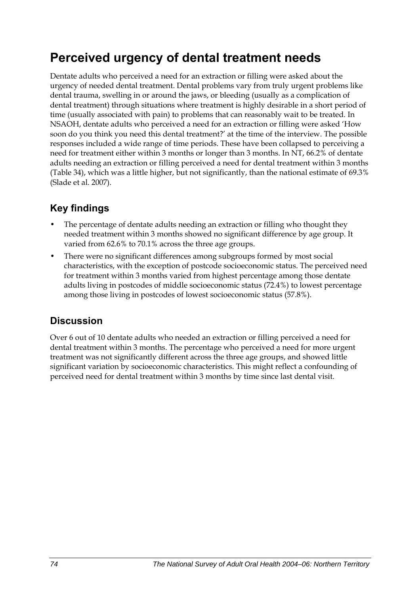## **Perceived urgency of dental treatment needs**

Dentate adults who perceived a need for an extraction or filling were asked about the urgency of needed dental treatment. Dental problems vary from truly urgent problems like dental trauma, swelling in or around the jaws, or bleeding (usually as a complication of dental treatment) through situations where treatment is highly desirable in a short period of time (usually associated with pain) to problems that can reasonably wait to be treated. In NSAOH, dentate adults who perceived a need for an extraction or filling were asked 'How soon do you think you need this dental treatment?' at the time of the interview. The possible responses included a wide range of time periods. These have been collapsed to perceiving a need for treatment either within 3 months or longer than 3 months. In NT, 66.2% of dentate adults needing an extraction or filling perceived a need for dental treatment within 3 months ([Table 34](#page-82-0)), which was a little higher, but not significantly, than the national estimate of 69.3% (Slade et al. 2007).

## **Key findings**

- The percentage of dentate adults needing an extraction or filling who thought they needed treatment within 3 months showed no significant difference by age group. It varied from 62.6% to 70.1% across the three age groups.
- There were no significant differences among subgroups formed by most social characteristics, with the exception of postcode socioeconomic status. The perceived need for treatment within 3 months varied from highest percentage among those dentate adults living in postcodes of middle socioeconomic status (72.4%) to lowest percentage among those living in postcodes of lowest socioeconomic status (57.8%).

### **Discussion**

Over 6 out of 10 dentate adults who needed an extraction or filling perceived a need for dental treatment within 3 months. The percentage who perceived a need for more urgent treatment was not significantly different across the three age groups, and showed little significant variation by socioeconomic characteristics. This might reflect a confounding of perceived need for dental treatment within 3 months by time since last dental visit.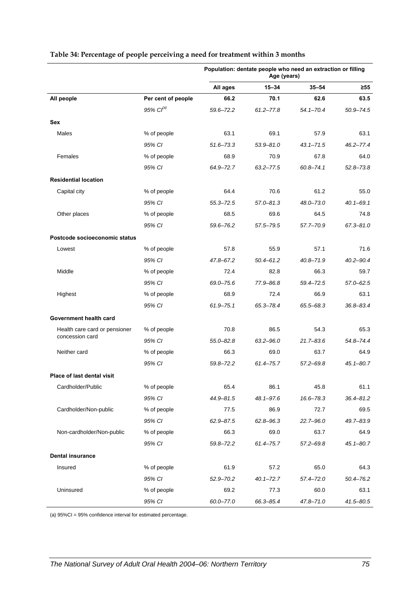|                                   |                    |               | Population: dentate people who need an extraction or filling<br>Age (years) |               |               |  |
|-----------------------------------|--------------------|---------------|-----------------------------------------------------------------------------|---------------|---------------|--|
|                                   |                    | All ages      | $15 - 34$                                                                   | $35 - 54$     | $\geq 55$     |  |
| All people                        | Per cent of people | 66.2          | 70.1                                                                        | 62.6          | 63.5          |  |
|                                   | 95% $Cl^{(a)}$     | 59.6-72.2     | $61.2 - 77.8$                                                               | $54.1 - 70.4$ | $50.9 - 74.5$ |  |
| <b>Sex</b>                        |                    |               |                                                                             |               |               |  |
| Males                             | % of people        | 63.1          | 69.1                                                                        | 57.9          | 63.1          |  |
|                                   | 95% CI             | $51.6 - 73.3$ | $53.9 - 81.0$                                                               | $43.1 - 71.5$ | $46.2 - 77.4$ |  |
| Females                           | % of people        | 68.9          | 70.9                                                                        | 67.8          | 64.0          |  |
|                                   | 95% CI             | 64.9-72.7     | $63.2 - 77.5$                                                               | $60.8 - 74.1$ | $52.8 - 73.8$ |  |
| <b>Residential location</b>       |                    |               |                                                                             |               |               |  |
| Capital city                      | % of people        | 64.4          | 70.6                                                                        | 61.2          | 55.0          |  |
|                                   | 95% CI             | $55.3 - 72.5$ | $57.0 - 81.3$                                                               | 48.0-73.0     | $40.1 - 69.1$ |  |
| Other places                      | % of people        | 68.5          | 69.6                                                                        | 64.5          | 74.8          |  |
|                                   | 95% CI             | 59.6-76.2     | 57.5-79.5                                                                   | 57.7-70.9     | $67.3 - 81.0$ |  |
| Postcode socioeconomic status     |                    |               |                                                                             |               |               |  |
| Lowest                            | % of people        | 57.8          | 55.9                                                                        | 57.1          | 71.6          |  |
|                                   | 95% CI             | 47.8-67.2     | $50.4 - 61.2$                                                               | $40.8 - 71.9$ | $40.2 - 90.4$ |  |
| Middle                            | % of people        | 72.4          | 82.8                                                                        | 66.3          | 59.7          |  |
|                                   | 95% CI             | 69.0-75.6     | 77.9-86.8                                                                   | 59.4-72.5     | $57.0 - 62.5$ |  |
| Highest                           | % of people        | 68.9          | 72.4                                                                        | 66.9          | 63.1          |  |
|                                   | 95% CI             | $61.9 - 75.1$ | 65.3-78.4                                                                   | 65.5-68.3     | $36.8 - 83.4$ |  |
| Government health card            |                    |               |                                                                             |               |               |  |
| Health care card or pensioner     | % of people        | 70.8          | 86.5                                                                        | 54.3          | 65.3          |  |
| concession card                   | 95% CI             | $55.0 - 82.8$ | $63.2 - 96.0$                                                               | $21.7 - 83.6$ | 54.8-74.4     |  |
| Neither card                      | % of people        | 66.3          | 69.0                                                                        | 63.7          | 64.9          |  |
|                                   | 95% CI             | 59.8-72.2     | 61.4-75.7                                                                   | $57.2 - 69.8$ | $45.1 - 80.7$ |  |
| <b>Place of last dental visit</b> |                    |               |                                                                             |               |               |  |
| Cardholder/Public                 | % of people        | 65.4          | 86.1                                                                        | 45.8          | 61.1          |  |
|                                   | 95% CI             | 44.9-81.5     | 48.1-97.6                                                                   | 16.6-78.3     | $36.4 - 81.2$ |  |
| Cardholder/Non-public             | % of people        | 77.5          | 86.9                                                                        | 72.7          | 69.5          |  |
|                                   | 95% CI             | $62.9 - 87.5$ | $62.8 - 96.3$                                                               | $22.7 - 96.0$ | 49.7-83.9     |  |
| Non-cardholder/Non-public         | % of people        | 66.3          | 69.0                                                                        | 63.7          | 64.9          |  |
|                                   | 95% CI             | $59.8 - 72.2$ | $61.4 - 75.7$                                                               | $57.2 - 69.8$ | $45.1 - 80.7$ |  |
| <b>Dental insurance</b>           |                    |               |                                                                             |               |               |  |
| Insured                           | % of people        | 61.9          | 57.2                                                                        | 65.0          | 64.3          |  |
|                                   | 95% CI             | $52.9 - 70.2$ | $40.1 - 72.7$                                                               | $57.4 - 72.0$ | $50.4 - 76.2$ |  |
| Uninsured                         | % of people        | 69.2          | 77.3                                                                        | 60.0          | 63.1          |  |
|                                   | 95% CI             | $60.0 - 77.0$ | 66.3-85.4                                                                   | $47.8 - 71.0$ | $41.5 - 80.5$ |  |

#### <span id="page-82-1"></span><span id="page-82-0"></span>**Table 34: Percentage of people perceiving a need for treatment within 3 months**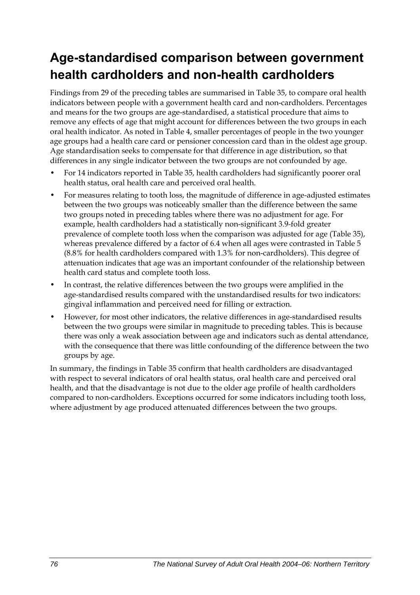## **Age-standardised comparison between government health cardholders and non-health cardholders**

Findings from 29 of the preceding tables are summarised in [Table 35,](#page-84-0) to compare oral health indicators between people with a government health card and non-cardholders. Percentages and means for the two groups are age-standardised, a statistical procedure that aims to remove any effects of age that might account for differences between the two groups in each oral health indicator. As noted in Table 4, smaller percentages of people in the two younger age groups had a health care card or pensioner concession card than in the oldest age group. Age standardisation seeks to compensate for that difference in age distribution, so that differences in any single indicator between the two groups are not confounded by age.

- For 14 indicators reported in [Table 35,](#page-84-0) health cardholders had significantly poorer oral health status, oral health care and perceived oral health.
- For measures relating to tooth loss, the magnitude of difference in age-adjusted estimates between the two groups was noticeably smaller than the difference between the same two groups noted in preceding tables where there was no adjustment for age. For example, health cardholders had a statistically non-significant 3.9-fold greater prevalence of complete tooth loss when the comparison was adjusted for age [\(Table 35](#page-84-0)), whereas prevalence differed by a factor of 6.4 when all ages were contrasted in Table 5 (8.8% for health cardholders compared with 1.3% for non-cardholders). This degree of attenuation indicates that age was an important confounder of the relationship between health card status and complete tooth loss.
- In contrast, the relative differences between the two groups were amplified in the age-standardised results compared with the unstandardised results for two indicators: gingival inflammation and perceived need for filling or extraction.
- However, for most other indicators, the relative differences in age-standardised results between the two groups were similar in magnitude to preceding tables. This is because there was only a weak association between age and indicators such as dental attendance, with the consequence that there was little confounding of the difference between the two groups by age.

In summary, the findings in [Table 35](#page-84-0) confirm that health cardholders are disadvantaged with respect to several indicators of oral health status, oral health care and perceived oral health, and that the disadvantage is not due to the older age profile of health cardholders compared to non-cardholders. Exceptions occurred for some indicators including tooth loss, where adjustment by age produced attenuated differences between the two groups.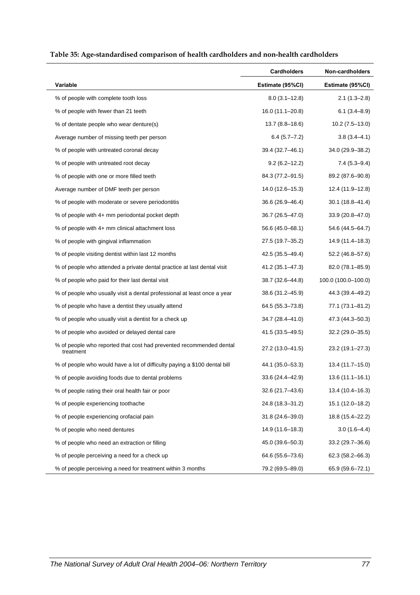<span id="page-84-0"></span>

|                                                                                  | <b>Cardholders</b> | Non-cardholders     |
|----------------------------------------------------------------------------------|--------------------|---------------------|
| Variable                                                                         | Estimate (95%CI)   | Estimate (95%CI)    |
| % of people with complete tooth loss                                             | $8.0(3.1 - 12.8)$  | $2.1(1.3 - 2.8)$    |
| % of people with fewer than 21 teeth                                             | 16.0 (11.1–20.8)   | $6.1(3.4 - 8.9)$    |
| % of dentate people who wear denture(s)                                          | $13.7(8.8 - 18.6)$ | $10.2(7.5-13.0)$    |
| Average number of missing teeth per person                                       | $6.4(5.7 - 7.2)$   | 3.8 (3.4–4.1)       |
| % of people with untreated coronal decay                                         | 39.4 (32.7–46.1)   | 34.0 (29.9-38.2)    |
| % of people with untreated root decay                                            | $9.2(6.2 - 12.2)$  | $7.4(5.3 - 9.4)$    |
| % of people with one or more filled teeth                                        | 84.3 (77.2–91.5)   | 89.2 (87.6-90.8)    |
| Average number of DMF teeth per person                                           | 14.0 (12.6-15.3)   | 12.4 (11.9–12.8)    |
| % of people with moderate or severe periodontitis                                | 36.6 (26.9-46.4)   | 30.1 (18.8–41.4)    |
| % of people with 4+ mm periodontal pocket depth                                  | 36.7 (26.5–47.0)   | 33.9 (20.8-47.0)    |
| % of people with 4+ mm clinical attachment loss                                  | 56.6 (45.0–68.1)   | 54.6 (44.5–64.7)    |
| % of people with gingival inflammation                                           | 27.5 (19.7–35.2)   | 14.9 (11.4–18.3)    |
| % of people visiting dentist within last 12 months                               | 42.5 (35.5-49.4)   | 52.2 (46.8-57.6)    |
| % of people who attended a private dental practice at last dental visit          | 41.2 (35.1-47.3)   | 82.0 (78.1-85.9)    |
| % of people who paid for their last dental visit                                 | 38.7 (32.6-44.8)   | 100.0 (100.0-100.0) |
| % of people who usually visit a dental professional at least once a year         | 38.6 (31.2-45.9)   | 44.3 (39.4-49.2)    |
| % of people who have a dentist they usually attend                               | 64.5 (55.3-73.8)   | 77.1 (73.1-81.2)    |
| % of people who usually visit a dentist for a check up                           | 34.7 (28.4-41.0)   | 47.3 (44.3–50.3)    |
| % of people who avoided or delayed dental care                                   | 41.5 (33.5-49.5)   | 32.2 (29.0–35.5)    |
| % of people who reported that cost had prevented recommended dental<br>treatment | 27.2 (13.0-41.5)   | 23.2 (19.1-27.3)    |
| % of people who would have a lot of difficulty paying a \$100 dental bill        | 44.1 (35.0–53.3)   | 13.4 (11.7–15.0)    |
| % of people avoiding foods due to dental problems                                | 33.6 (24.4–42.9)   | $13.6(11.1 - 16.1)$ |
| % of people rating their oral health fair or poor                                | 32.6 (21.7-43.6)   | 13.4 (10.4–16.3)    |
| % of people experiencing toothache                                               | 24.8 (18.3-31.2)   | 15.1 (12.0-18.2)    |
| % of people experiencing orofacial pain                                          | 31.8 (24.6-39.0)   | 18.8 (15.4-22.2)    |
| % of people who need dentures                                                    | 14.9 (11.6-18.3)   | $3.0(1.6-4.4)$      |
| % of people who need an extraction or filling                                    | 45.0 (39.6-50.3)   | 33.2 (29.7-36.6)    |
| % of people perceiving a need for a check up                                     | 64.6 (55.6-73.6)   | $62.3(58.2 - 66.3)$ |
| % of people perceiving a need for treatment within 3 months                      | 79.2 (69.5-89.0)   | 65.9 (59.6-72.1)    |

#### <span id="page-84-1"></span>**Table 35: Age-standardised comparison of health cardholders and non-health cardholders**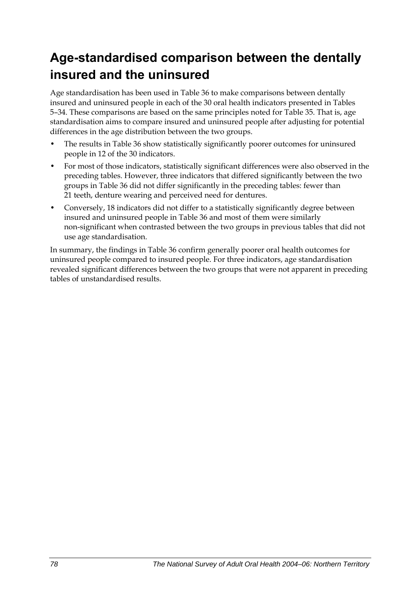## **Age-standardised comparison between the dentally insured and the uninsured**

Age standardisation has been used in [Table 36](#page-86-0) to make comparisons between dentally insured and uninsured people in each of the 30 oral health indicators presented in Tables 5–34. These comparisons are based on the same principles noted for [Table 35](#page-84-0). That is, age standardisation aims to compare insured and uninsured people after adjusting for potential differences in the age distribution between the two groups.

- The results in [Table 36](#page-86-0) show statistically significantly poorer outcomes for uninsured people in 12 of the 30 indicators.
- For most of those indicators, statistically significant differences were also observed in the preceding tables. However, three indicators that differed significantly between the two groups in [Table 36](#page-86-0) did not differ significantly in the preceding tables: fewer than 21 teeth, denture wearing and perceived need for dentures.
- Conversely, 18 indicators did not differ to a statistically significantly degree between insured and uninsured people in [Table 36](#page-86-0) and most of them were similarly non-significant when contrasted between the two groups in previous tables that did not use age standardisation.

In summary, the findings in [Table 36](#page-86-0) confirm generally poorer oral health outcomes for uninsured people compared to insured people. For three indicators, age standardisation revealed significant differences between the two groups that were not apparent in preceding tables of unstandardised results.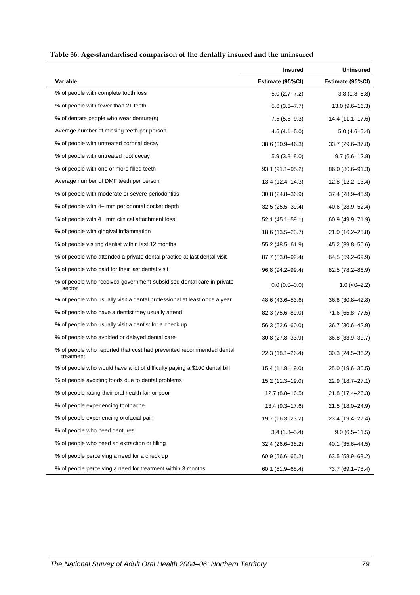<span id="page-86-1"></span><span id="page-86-0"></span>

| Table 36: Age-standardised comparison of the dentally insured and the uninsured |  |
|---------------------------------------------------------------------------------|--|
|                                                                                 |  |

|                                                                                  | <b>Insured</b>      | <b>Uninsured</b>    |
|----------------------------------------------------------------------------------|---------------------|---------------------|
| <b>Variable</b>                                                                  | Estimate (95%CI)    | Estimate (95%CI)    |
| % of people with complete tooth loss                                             | $5.0(2.7 - 7.2)$    | $3.8(1.8 - 5.8)$    |
| % of people with fewer than 21 teeth                                             | $5.6(3.6 - 7.7)$    | $13.0(9.6 - 16.3)$  |
| % of dentate people who wear denture(s)                                          | $7.5(5.8-9.3)$      | 14.4 (11.1–17.6)    |
| Average number of missing teeth per person                                       | $4.6(4.1 - 5.0)$    | $5.0(4.6-5.4)$      |
| % of people with untreated coronal decay                                         | 38.6 (30.9-46.3)    | 33.7 (29.6-37.8)    |
| % of people with untreated root decay                                            | $5.9(3.8 - 8.0)$    | $9.7(6.6-12.8)$     |
| % of people with one or more filled teeth                                        | 93.1 (91.1-95.2)    | 86.0 (80.6-91.3)    |
| Average number of DMF teeth per person                                           | 13.4 (12.4–14.3)    | $12.8(12.2 - 13.4)$ |
| % of people with moderate or severe periodontitis                                | 30.8 (24.8-36.9)    | 37.4 (28.9-45.9)    |
| % of people with 4+ mm periodontal pocket depth                                  | $32.5(25.5 - 39.4)$ | 40.6 (28.9–52.4)    |
| % of people with 4+ mm clinical attachment loss                                  | $52.1(45.1 - 59.1)$ | 60.9 (49.9-71.9)    |
| % of people with gingival inflammation                                           | 18.6 (13.5-23.7)    | 21.0 (16.2-25.8)    |
| % of people visiting dentist within last 12 months                               | 55.2 (48.5–61.9)    | 45.2 (39.8-50.6)    |
| % of people who attended a private dental practice at last dental visit          | 87.7 (83.0–92.4)    | 64.5 (59.2-69.9)    |
| % of people who paid for their last dental visit                                 | 96.8 (94.2-99.4)    | 82.5 (78.2-86.9)    |
| % of people who received government-subsidised dental care in private<br>sector  | $0.0(0.0-0.0)$      | $1.0$ ( $<0$ -2.2)  |
| % of people who usually visit a dental professional at least once a year         | 48.6 (43.6–53.6)    | 36.8 (30.8–42.8)    |
| % of people who have a dentist they usually attend                               | 82.3 (75.6-89.0)    | 71.6 (65.8-77.5)    |
| % of people who usually visit a dentist for a check up                           | 56.3 (52.6-60.0)    | 36.7 (30.6-42.9)    |
| % of people who avoided or delayed dental care                                   | 30.8 (27.8-33.9)    | 36.8 (33.9–39.7)    |
| % of people who reported that cost had prevented recommended dental<br>treatment | 22.3 (18.1-26.4)    | $30.3(24.5 - 36.2)$ |
| % of people who would have a lot of difficulty paying a \$100 dental bill        | 15.4 (11.8–19.0)    | 25.0 (19.6-30.5)    |
| % of people avoiding foods due to dental problems                                | 15.2 (11.3-19.0)    | 22.9 (18.7-27.1)    |
| % of people rating their oral health fair or poor                                | $12.7(8.8 - 16.5)$  | 21.8 (17.4-26.3)    |
| % of people experiencing toothache                                               | $13.4(9.3 - 17.6)$  | 21.5 (18.0-24.9)    |
| % of people experiencing orofacial pain                                          | 19.7 (16.3-23.2)    | 23.4 (19.4-27.4)    |
| % of people who need dentures                                                    | $3.4(1.3 - 5.4)$    | $9.0(6.5 - 11.5)$   |
| % of people who need an extraction or filling                                    | 32.4 (26.6-38.2)    | 40.1 (35.6-44.5)    |
| % of people perceiving a need for a check up                                     | 60.9 (56.6–65.2)    | 63.5 (58.9-68.2)    |
| % of people perceiving a need for treatment within 3 months                      | 60.1 (51.9-68.4)    | 73.7 (69.1-78.4)    |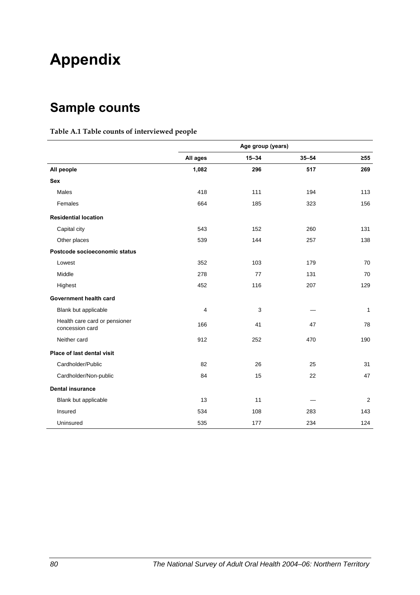# **Appendix**

## **Sample counts**

#### **Table A.1 Table counts of interviewed people**

|                                                  | Age group (years) |           |           |              |
|--------------------------------------------------|-------------------|-----------|-----------|--------------|
|                                                  | All ages          | $15 - 34$ | $35 - 54$ | $\geq 55$    |
| All people                                       | 1,082             | 296       | 517       | 269          |
| <b>Sex</b>                                       |                   |           |           |              |
| <b>Males</b>                                     | 418               | 111       | 194       | 113          |
| Females                                          | 664               | 185       | 323       | 156          |
| <b>Residential location</b>                      |                   |           |           |              |
| Capital city                                     | 543               | 152       | 260       | 131          |
| Other places                                     | 539               | 144       | 257       | 138          |
| Postcode socioeconomic status                    |                   |           |           |              |
| Lowest                                           | 352               | 103       | 179       | 70           |
| Middle                                           | 278               | 77        | 131       | 70           |
| Highest                                          | 452               | 116       | 207       | 129          |
| Government health card                           |                   |           |           |              |
| Blank but applicable                             | 4                 | 3         |           | $\mathbf{1}$ |
| Health care card or pensioner<br>concession card | 166               | 41        | 47        | 78           |
| Neither card                                     | 912               | 252       | 470       | 190          |
| Place of last dental visit                       |                   |           |           |              |
| Cardholder/Public                                | 82                | 26        | 25        | 31           |
| Cardholder/Non-public                            | 84                | 15        | 22        | 47           |
| <b>Dental insurance</b>                          |                   |           |           |              |
| Blank but applicable                             | 13                | 11        |           | 2            |
| Insured                                          | 534               | 108       | 283       | 143          |
| Uninsured                                        | 535               | 177       | 234       | 124          |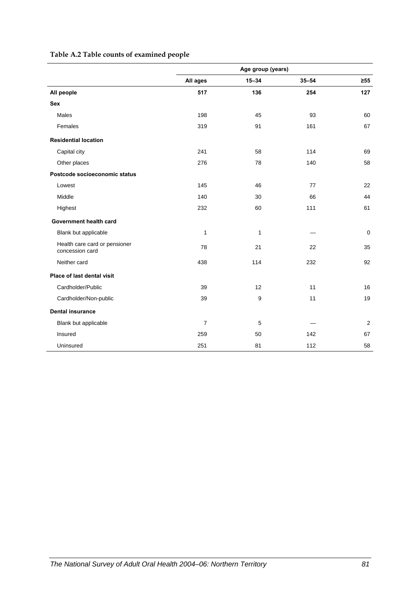#### **Table A.2 Table counts of examined people**

|                                                  | Age group (years) |           |           |             |
|--------------------------------------------------|-------------------|-----------|-----------|-------------|
|                                                  | All ages          | $15 - 34$ | $35 - 54$ | $\geq 55$   |
| All people                                       | 517               | 136       | 254       | 127         |
| <b>Sex</b>                                       |                   |           |           |             |
| <b>Males</b>                                     | 198               | 45        | 93        | 60          |
| Females                                          | 319               | 91        | 161       | 67          |
| <b>Residential location</b>                      |                   |           |           |             |
| Capital city                                     | 241               | 58        | 114       | 69          |
| Other places                                     | 276               | 78        | 140       | 58          |
| Postcode socioeconomic status                    |                   |           |           |             |
| Lowest                                           | 145               | 46        | 77        | 22          |
| Middle                                           | 140               | 30        | 66        | 44          |
| Highest                                          | 232               | 60        | 111       | 61          |
| Government health card                           |                   |           |           |             |
| Blank but applicable                             | $\mathbf{1}$      | 1         |           | $\mathbf 0$ |
| Health care card or pensioner<br>concession card | 78                | 21        | 22        | 35          |
| Neither card                                     | 438               | 114       | 232       | 92          |
| Place of last dental visit                       |                   |           |           |             |
| Cardholder/Public                                | 39                | 12        | 11        | 16          |
| Cardholder/Non-public                            | 39                | 9         | 11        | 19          |
| <b>Dental insurance</b>                          |                   |           |           |             |
| Blank but applicable                             | $\overline{7}$    | 5         |           | 2           |
| Insured                                          | 259               | 50        | 142       | 67          |
| Uninsured                                        | 251               | 81        | 112       | 58          |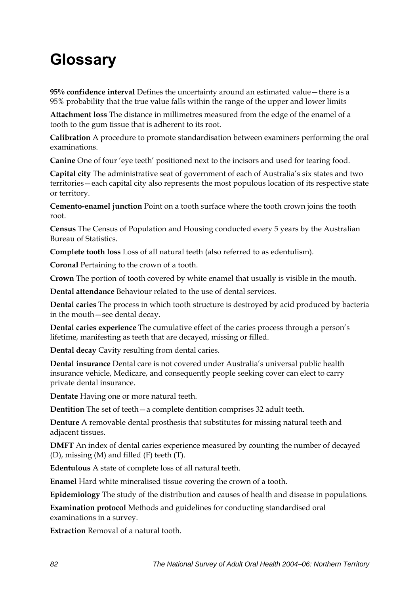# **Glossary**

**95% confidence interval** Defines the uncertainty around an estimated value—there is a 95% probability that the true value falls within the range of the upper and lower limits

**Attachment loss** The distance in millimetres measured from the edge of the enamel of a tooth to the gum tissue that is adherent to its root.

**Calibration** A procedure to promote standardisation between examiners performing the oral examinations.

**Canine** One of four 'eye teeth' positioned next to the incisors and used for tearing food.

**Capital city** The administrative seat of government of each of Australia's six states and two territories—each capital city also represents the most populous location of its respective state or territory.

**Cemento-enamel junction** Point on a tooth surface where the tooth crown joins the tooth root.

**Census** The Census of Population and Housing conducted every 5 years by the Australian Bureau of Statistics.

**Complete tooth loss** Loss of all natural teeth (also referred to as edentulism).

**Coronal** Pertaining to the crown of a tooth.

**Crown** The portion of tooth covered by white enamel that usually is visible in the mouth.

**Dental attendance** Behaviour related to the use of dental services.

**Dental caries** The process in which tooth structure is destroyed by acid produced by bacteria in the mouth—see dental decay.

**Dental caries experience** The cumulative effect of the caries process through a person's lifetime, manifesting as teeth that are decayed, missing or filled.

**Dental decay** Cavity resulting from dental caries.

**Dental insurance** Dental care is not covered under Australia's universal public health insurance vehicle, Medicare, and consequently people seeking cover can elect to carry private dental insurance.

**Dentate** Having one or more natural teeth.

**Dentition** The set of teeth—a complete dentition comprises 32 adult teeth.

**Denture** A removable dental prosthesis that substitutes for missing natural teeth and adjacent tissues.

**DMFT** An index of dental caries experience measured by counting the number of decayed (D), missing (M) and filled (F) teeth (T).

**Edentulous** A state of complete loss of all natural teeth.

**Enamel** Hard white mineralised tissue covering the crown of a tooth.

**Epidemiology** The study of the distribution and causes of health and disease in populations.

**Examination protocol** Methods and guidelines for conducting standardised oral examinations in a survey.

**Extraction** Removal of a natural tooth.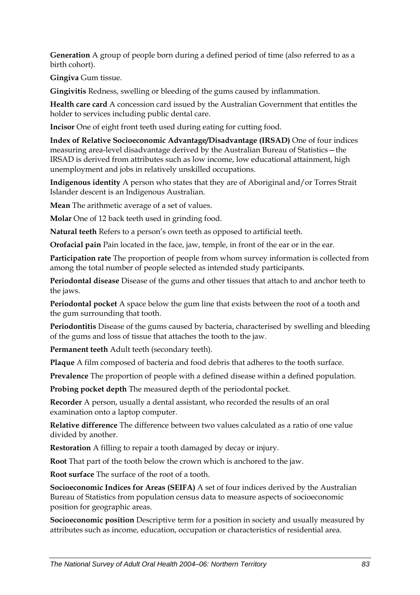**Generation** A group of people born during a defined period of time (also referred to as a birth cohort).

**Gingiva** Gum tissue.

**Gingivitis** Redness, swelling or bleeding of the gums caused by inflammation.

**Health care card** A concession card issued by the Australian Government that entitles the holder to services including public dental care.

**Incisor** One of eight front teeth used during eating for cutting food.

**Index of Relative Socioeconomic Advantage/Disadvantage (IRSAD)** One of four indices measuring area-level disadvantage derived by the Australian Bureau of Statistics—the IRSAD is derived from attributes such as low income, low educational attainment, high unemployment and jobs in relatively unskilled occupations.

**Indigenous identity** A person who states that they are of Aboriginal and/or Torres Strait Islander descent is an Indigenous Australian.

**Mean** The arithmetic average of a set of values.

**Molar** One of 12 back teeth used in grinding food.

**Natural teeth** Refers to a person's own teeth as opposed to artificial teeth.

**Orofacial pain** Pain located in the face, jaw, temple, in front of the ear or in the ear.

**Participation rate** The proportion of people from whom survey information is collected from among the total number of people selected as intended study participants.

**Periodontal disease** Disease of the gums and other tissues that attach to and anchor teeth to the jaws.

**Periodontal pocket** A space below the gum line that exists between the root of a tooth and the gum surrounding that tooth.

**Periodontitis** Disease of the gums caused by bacteria, characterised by swelling and bleeding of the gums and loss of tissue that attaches the tooth to the jaw.

**Permanent teeth** Adult teeth (secondary teeth).

**Plaque** A film composed of bacteria and food debris that adheres to the tooth surface.

**Prevalence** The proportion of people with a defined disease within a defined population.

**Probing pocket depth** The measured depth of the periodontal pocket.

**Recorder** A person, usually a dental assistant, who recorded the results of an oral examination onto a laptop computer.

**Relative difference** The difference between two values calculated as a ratio of one value divided by another.

**Restoration** A filling to repair a tooth damaged by decay or injury.

**Root** That part of the tooth below the crown which is anchored to the jaw.

**Root surface** The surface of the root of a tooth.

**Socioeconomic Indices for Areas (SEIFA)** A set of four indices derived by the Australian Bureau of Statistics from population census data to measure aspects of socioeconomic position for geographic areas.

**Socioeconomic position** Descriptive term for a position in society and usually measured by attributes such as income, education, occupation or characteristics of residential area.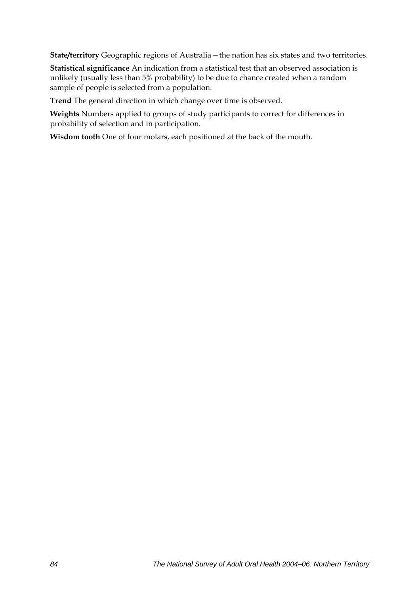**State/territory** Geographic regions of Australia—the nation has six states and two territories.

**Statistical significance** An indication from a statistical test that an observed association is unlikely (usually less than 5% probability) to be due to chance created when a random sample of people is selected from a population.

**Trend** The general direction in which change over time is observed.

**Weights** Numbers applied to groups of study participants to correct for differences in probability of selection and in participation.

**Wisdom tooth** One of four molars, each positioned at the back of the mouth.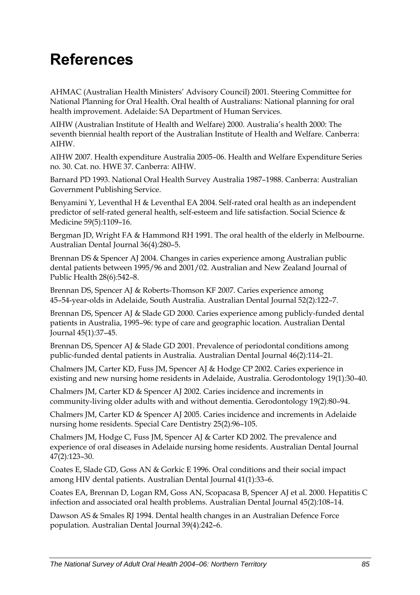# **References**

AHMAC (Australian Health Ministers' Advisory Council) 2001. Steering Committee for National Planning for Oral Health. Oral health of Australians: National planning for oral health improvement. Adelaide: SA Department of Human Services.

AIHW (Australian Institute of Health and Welfare) 2000. Australia's health 2000: The seventh biennial health report of the Australian Institute of Health and Welfare. Canberra: AIHW.

AIHW 2007. Health expenditure Australia 2005–06. Health and Welfare Expenditure Series no. 30. Cat. no. HWE 37. Canberra: AIHW.

Barnard PD 1993. National Oral Health Survey Australia 1987–1988. Canberra: Australian Government Publishing Service.

Benyamini Y, Leventhal H & Leventhal EA 2004. Self-rated oral health as an independent predictor of self-rated general health, self-esteem and life satisfaction. Social Science & Medicine 59(5)*:*1109–16.

Bergman JD, Wright FA & Hammond RH 1991. The oral health of the elderly in Melbourne. Australian Dental Journal 36(4)*:*280–5.

Brennan DS & Spencer AJ 2004. Changes in caries experience among Australian public dental patients between 1995/96 and 2001/02. Australian and New Zealand Journal of Public Health 28(6)*:*542–8.

Brennan DS, Spencer AJ & Roberts-Thomson KF 2007. Caries experience among 45–54-year-olds in Adelaide, South Australia. Australian Dental Journal 52(2)*:*122–7.

Brennan DS, Spencer AJ & Slade GD 2000. Caries experience among publicly-funded dental patients in Australia, 1995–96: type of care and geographic location. Australian Dental Journal 45(1)*:*37–45.

Brennan DS, Spencer AJ & Slade GD 2001. Prevalence of periodontal conditions among public-funded dental patients in Australia. Australian Dental Journal 46(2)*:*114–21.

Chalmers JM, Carter KD, Fuss JM, Spencer AJ & Hodge CP 2002. Caries experience in existing and new nursing home residents in Adelaide, Australia. Gerodontology 19(1)*:*30–40.

Chalmers JM, Carter KD & Spencer AJ 2002. Caries incidence and increments in community-living older adults with and without dementia. Gerodontology 19(2)*:*80–94.

Chalmers JM, Carter KD & Spencer AJ 2005. Caries incidence and increments in Adelaide nursing home residents. Special Care Dentistry 25(2)*:*96–105.

Chalmers JM, Hodge C, Fuss JM, Spencer AJ & Carter KD 2002. The prevalence and experience of oral diseases in Adelaide nursing home residents. Australian Dental Journal 47(2)*:*123–30.

Coates E, Slade GD, Goss AN & Gorkic E 1996. Oral conditions and their social impact among HIV dental patients. Australian Dental Journal 41(1)*:*33–6.

Coates EA, Brennan D, Logan RM, Goss AN, Scopacasa B, Spencer AJ et al. 2000. Hepatitis C infection and associated oral health problems. Australian Dental Journal 45(2)*:*108–14.

Dawson AS & Smales RJ 1994. Dental health changes in an Australian Defence Force population. Australian Dental Journal 39(4)*:*242–6.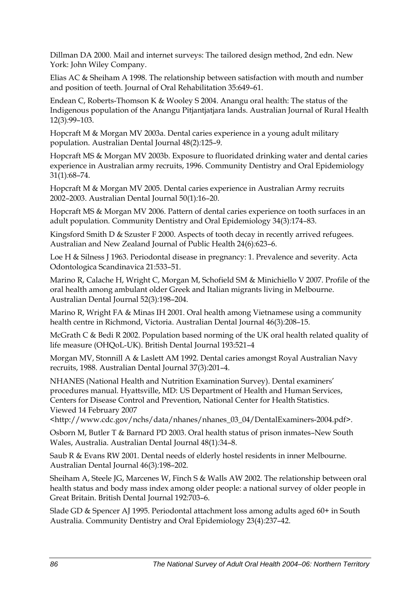Dillman DA 2000. Mail and internet surveys: The tailored design method, 2nd edn. New York: John Wiley Company.

Elias AC & Sheiham A 1998. The relationship between satisfaction with mouth and number and position of teeth. Journal of Oral Rehabilitation 35:649–61.

Endean C, Roberts-Thomson K & Wooley S 2004. Anangu oral health: The status of the Indigenous population of the Anangu Pitjantjatjara lands. Australian Journal of Rural Health 12(3)*:*99–103.

Hopcraft M & Morgan MV 2003a. Dental caries experience in a young adult military population. Australian Dental Journal 48(2)*:*125–9.

Hopcraft MS & Morgan MV 2003b. Exposure to fluoridated drinking water and dental caries experience in Australian army recruits, 1996. Community Dentistry and Oral Epidemiology 31(1)*:*68–74.

Hopcraft M & Morgan MV 2005. Dental caries experience in Australian Army recruits 2002–2003. Australian Dental Journal 50(1)*:*16–20.

Hopcraft MS & Morgan MV 2006. Pattern of dental caries experience on tooth surfaces in an adult population. Community Dentistry and Oral Epidemiology 34(3)*:*174–83.

Kingsford Smith D & Szuster F 2000. Aspects of tooth decay in recently arrived refugees. Australian and New Zealand Journal of Public Health 24(6)*:*623–6.

Loe H & Silness J 1963. Periodontal disease in pregnancy: 1. Prevalence and severity. Acta Odontologica Scandinavica 21:533–51.

Marino R, Calache H, Wright C, Morgan M, Schofield SM & Minichiello V 2007. Profile of the oral health among ambulant older Greek and Italian migrants living in Melbourne. Australian Dental Journal 52(3)*:*198–204.

Marino R, Wright FA & Minas IH 2001. Oral health among Vietnamese using a community health centre in Richmond, Victoria. Australian Dental Journal 46(3)*:*208–15.

McGrath C & Bedi R 2002. Population based norming of the UK oral health related quality of life measure (OHQoL-UK). British Dental Journal 193:521–4

Morgan MV, Stonnill A & Laslett AM 1992. Dental caries amongst Royal Australian Navy recruits, 1988. Australian Dental Journal 37(3)*:*201–4.

NHANES (National Health and Nutrition Examination Survey). Dental examiners' procedures manual. Hyattsville, MD: US Department of Health and Human Services, Centers for Disease Control and Prevention, National Center for Health Statistics. Viewed 14 February 2007

<http://www.cdc.gov/nchs/data/nhanes/nhanes\_03\_04/DentalExaminers-2004.pdf>.

Osborn M, Butler T & Barnard PD 2003. Oral health status of prison inmates–New South Wales, Australia. Australian Dental Journal 48(1)*:*34–8.

Saub R & Evans RW 2001. Dental needs of elderly hostel residents in inner Melbourne. Australian Dental Journal 46(3)*:*198–202.

Sheiham A, Steele JG, Marcenes W, Finch S & Walls AW 2002. The relationship between oral health status and body mass index among older people: a national survey of older people in Great Britain. British Dental Journal 192:703–6.

Slade GD & Spencer AJ 1995. Periodontal attachment loss among adults aged 60+ in South Australia. Community Dentistry and Oral Epidemiology 23(4)*:*237–42.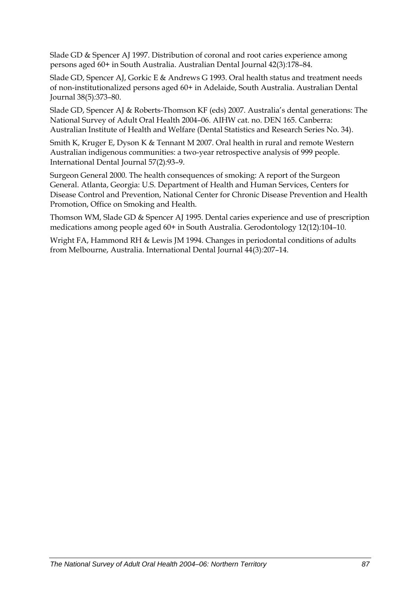Slade GD & Spencer AJ 1997. Distribution of coronal and root caries experience among persons aged 60+ in South Australia. Australian Dental Journal 42(3)*:*178–84.

Slade GD, Spencer AJ, Gorkic E & Andrews G 1993. Oral health status and treatment needs of non-institutionalized persons aged 60+ in Adelaide, South Australia. Australian Dental Journal 38(5)*:*373–80.

Slade GD, Spencer AJ & Roberts-Thomson KF (eds) 2007. Australia's dental generations: The National Survey of Adult Oral Health 2004–06. AIHW cat. no. DEN 165. Canberra: Australian Institute of Health and Welfare (Dental Statistics and Research Series No. 34).

Smith K, Kruger E, Dyson K & Tennant M 2007. Oral health in rural and remote Western Australian indigenous communities: a two-year retrospective analysis of 999 people. International Dental Journal 57(2)*:*93–9.

Surgeon General 2000. The health consequences of smoking: A report of the Surgeon General. Atlanta, Georgia: U.S. Department of Health and Human Services, Centers for Disease Control and Prevention, National Center for Chronic Disease Prevention and Health Promotion, Office on Smoking and Health.

Thomson WM, Slade GD & Spencer AJ 1995. Dental caries experience and use of prescription medications among people aged 60+ in South Australia. Gerodontology 12(12)*:*104–10.

Wright FA, Hammond RH & Lewis JM 1994. Changes in periodontal conditions of adults from Melbourne, Australia. International Dental Journal 44(3)*:*207–14.